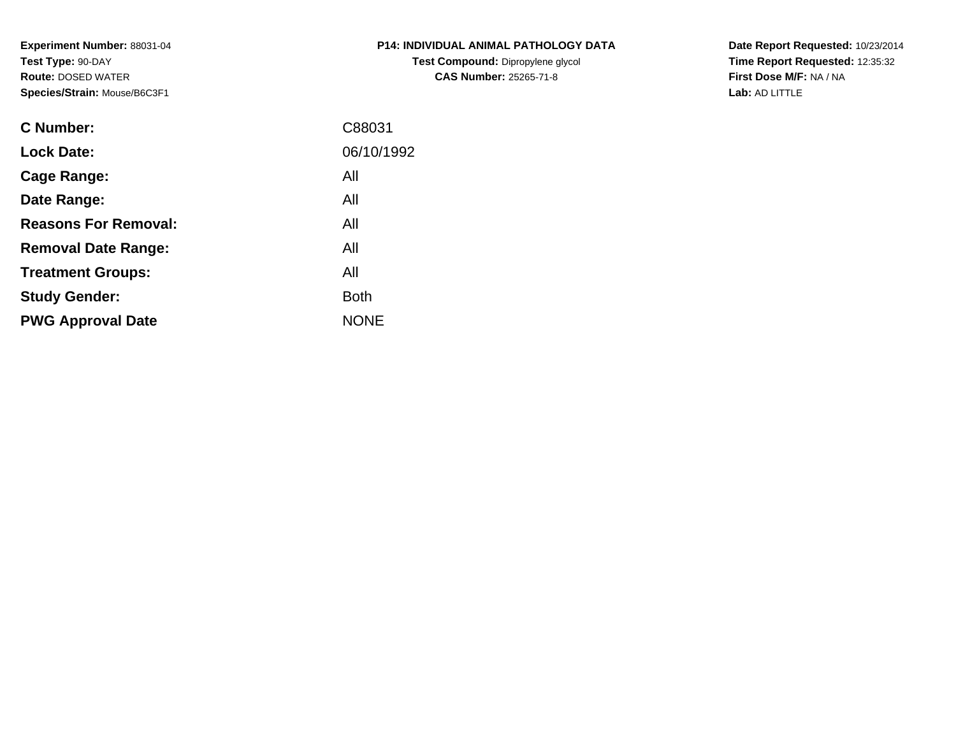**Experiment Number:** 88031-04**Test Type:** 90-DAY **Route:** DOSED WATER**Species/Strain:** Mouse/B6C3F1

| <b>P14: INDIVIDUAL ANIMAL PATHOLOGY DATA</b> |  |
|----------------------------------------------|--|
| <b>Test Compound: Dipropylene glycol</b>     |  |
| <b>CAS Number: 25265-71-8</b>                |  |

**Date Report Requested:** 10/23/2014 **Time Report Requested:** 12:35:32**First Dose M/F:** NA / NA**Lab:** AD LITTLE

| <b>C</b> Number:            | C88031      |
|-----------------------------|-------------|
| <b>Lock Date:</b>           | 06/10/1992  |
| Cage Range:                 | All         |
| Date Range:                 | All         |
| <b>Reasons For Removal:</b> | All         |
| <b>Removal Date Range:</b>  | All         |
| <b>Treatment Groups:</b>    | All         |
| <b>Study Gender:</b>        | <b>Both</b> |
| <b>PWG Approval Date</b>    | <b>NONE</b> |
|                             |             |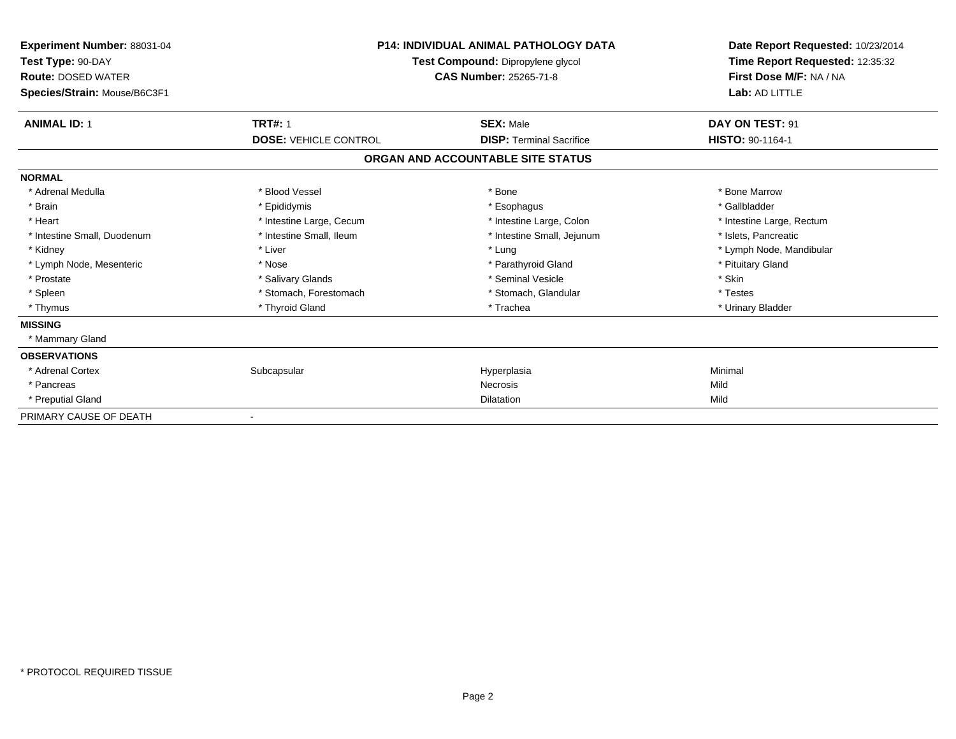| Experiment Number: 88031-04<br>Test Type: 90-DAY<br><b>Route: DOSED WATER</b><br>Species/Strain: Mouse/B6C3F1 | <b>P14: INDIVIDUAL ANIMAL PATHOLOGY DATA</b><br><b>Test Compound: Dipropylene glycol</b><br><b>CAS Number: 25265-71-8</b> |                                   | Date Report Requested: 10/23/2014<br>Time Report Requested: 12:35:32<br>First Dose M/F: NA / NA<br>Lab: AD LITTLE |
|---------------------------------------------------------------------------------------------------------------|---------------------------------------------------------------------------------------------------------------------------|-----------------------------------|-------------------------------------------------------------------------------------------------------------------|
| <b>ANIMAL ID: 1</b>                                                                                           | <b>TRT#: 1</b>                                                                                                            | <b>SEX: Male</b>                  | DAY ON TEST: 91                                                                                                   |
|                                                                                                               | <b>DOSE: VEHICLE CONTROL</b>                                                                                              | <b>DISP: Terminal Sacrifice</b>   | <b>HISTO: 90-1164-1</b>                                                                                           |
|                                                                                                               |                                                                                                                           | ORGAN AND ACCOUNTABLE SITE STATUS |                                                                                                                   |
| <b>NORMAL</b>                                                                                                 |                                                                                                                           |                                   |                                                                                                                   |
| * Adrenal Medulla                                                                                             | * Blood Vessel                                                                                                            | * Bone                            | * Bone Marrow                                                                                                     |
| * Brain                                                                                                       | * Epididymis                                                                                                              | * Esophagus                       | * Gallbladder                                                                                                     |
| * Heart                                                                                                       | * Intestine Large, Cecum                                                                                                  | * Intestine Large, Colon          | * Intestine Large, Rectum                                                                                         |
| * Intestine Small, Duodenum                                                                                   | * Intestine Small, Ileum                                                                                                  | * Intestine Small, Jejunum        | * Islets. Pancreatic                                                                                              |
| * Kidney                                                                                                      | * Liver                                                                                                                   | * Lung                            | * Lymph Node, Mandibular                                                                                          |
| * Lymph Node, Mesenteric                                                                                      | * Nose                                                                                                                    | * Parathyroid Gland               | * Pituitary Gland                                                                                                 |
| * Prostate                                                                                                    | * Salivary Glands                                                                                                         | * Seminal Vesicle                 | * Skin                                                                                                            |
| * Spleen                                                                                                      | * Stomach, Forestomach                                                                                                    | * Stomach, Glandular              | * Testes                                                                                                          |
| * Thymus                                                                                                      | * Thyroid Gland                                                                                                           | * Trachea                         | * Urinary Bladder                                                                                                 |
| <b>MISSING</b>                                                                                                |                                                                                                                           |                                   |                                                                                                                   |
| * Mammary Gland                                                                                               |                                                                                                                           |                                   |                                                                                                                   |
| <b>OBSERVATIONS</b>                                                                                           |                                                                                                                           |                                   |                                                                                                                   |
| * Adrenal Cortex                                                                                              | Subcapsular                                                                                                               | Hyperplasia                       | Minimal                                                                                                           |
| * Pancreas                                                                                                    |                                                                                                                           | <b>Necrosis</b>                   | Mild                                                                                                              |
| * Preputial Gland                                                                                             |                                                                                                                           | Dilatation                        | Mild                                                                                                              |
| PRIMARY CAUSE OF DEATH                                                                                        |                                                                                                                           |                                   |                                                                                                                   |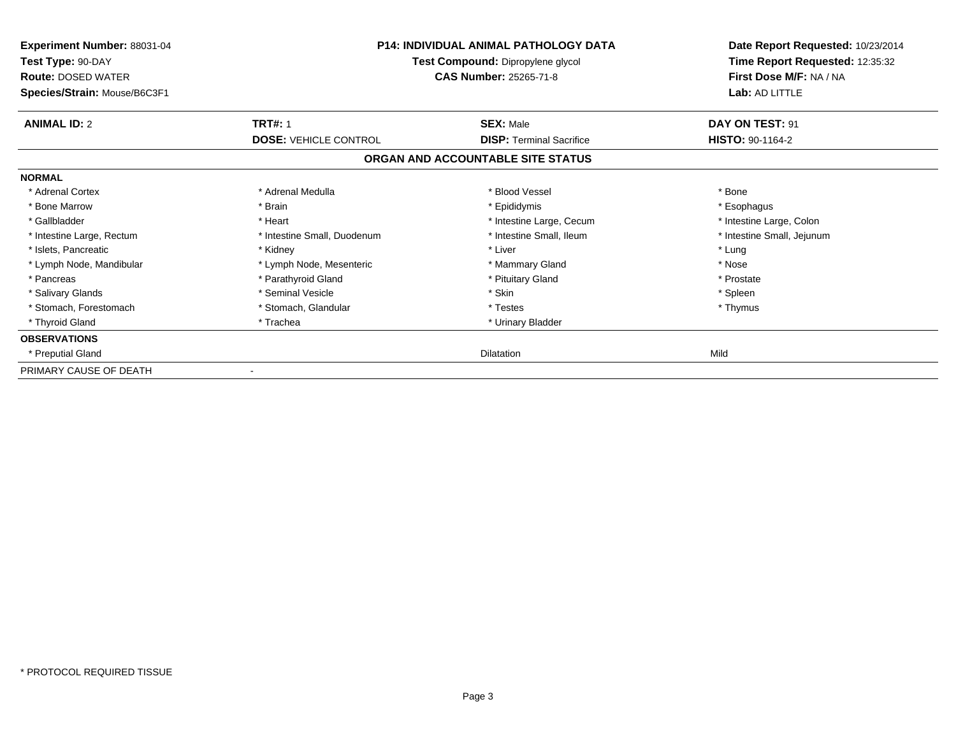| Experiment Number: 88031-04<br>Test Type: 90-DAY<br><b>Route: DOSED WATER</b><br>Species/Strain: Mouse/B6C3F1 | <b>P14: INDIVIDUAL ANIMAL PATHOLOGY DATA</b><br>Test Compound: Dipropylene glycol<br><b>CAS Number: 25265-71-8</b> |                                   | Date Report Requested: 10/23/2014<br>Time Report Requested: 12:35:32<br>First Dose M/F: NA / NA<br>Lab: AD LITTLE |
|---------------------------------------------------------------------------------------------------------------|--------------------------------------------------------------------------------------------------------------------|-----------------------------------|-------------------------------------------------------------------------------------------------------------------|
| <b>ANIMAL ID: 2</b>                                                                                           | <b>TRT#: 1</b>                                                                                                     | <b>SEX: Male</b>                  | DAY ON TEST: 91                                                                                                   |
|                                                                                                               | <b>DOSE: VEHICLE CONTROL</b>                                                                                       | <b>DISP: Terminal Sacrifice</b>   | HISTO: 90-1164-2                                                                                                  |
|                                                                                                               |                                                                                                                    | ORGAN AND ACCOUNTABLE SITE STATUS |                                                                                                                   |
| <b>NORMAL</b>                                                                                                 |                                                                                                                    |                                   |                                                                                                                   |
| * Adrenal Cortex                                                                                              | * Adrenal Medulla                                                                                                  | * Blood Vessel                    | * Bone                                                                                                            |
| * Bone Marrow                                                                                                 | * Brain                                                                                                            | * Epididymis                      | * Esophagus                                                                                                       |
| * Gallbladder                                                                                                 | * Heart                                                                                                            | * Intestine Large, Cecum          | * Intestine Large, Colon                                                                                          |
| * Intestine Large, Rectum                                                                                     | * Intestine Small, Duodenum                                                                                        | * Intestine Small, Ileum          | * Intestine Small, Jejunum                                                                                        |
| * Islets, Pancreatic                                                                                          | * Kidney                                                                                                           | * Liver                           | * Lung                                                                                                            |
| * Lymph Node, Mandibular                                                                                      | * Lymph Node, Mesenteric                                                                                           | * Mammary Gland                   | * Nose                                                                                                            |
| * Pancreas                                                                                                    | * Parathyroid Gland                                                                                                | * Pituitary Gland                 | * Prostate                                                                                                        |
| * Salivary Glands                                                                                             | * Seminal Vesicle                                                                                                  | * Skin                            | * Spleen                                                                                                          |
| * Stomach, Forestomach                                                                                        | * Stomach, Glandular                                                                                               | * Testes                          | * Thymus                                                                                                          |
| * Thyroid Gland                                                                                               | * Trachea                                                                                                          | * Urinary Bladder                 |                                                                                                                   |
| <b>OBSERVATIONS</b>                                                                                           |                                                                                                                    |                                   |                                                                                                                   |
| * Preputial Gland                                                                                             |                                                                                                                    | <b>Dilatation</b>                 | Mild                                                                                                              |
| PRIMARY CAUSE OF DEATH                                                                                        |                                                                                                                    |                                   |                                                                                                                   |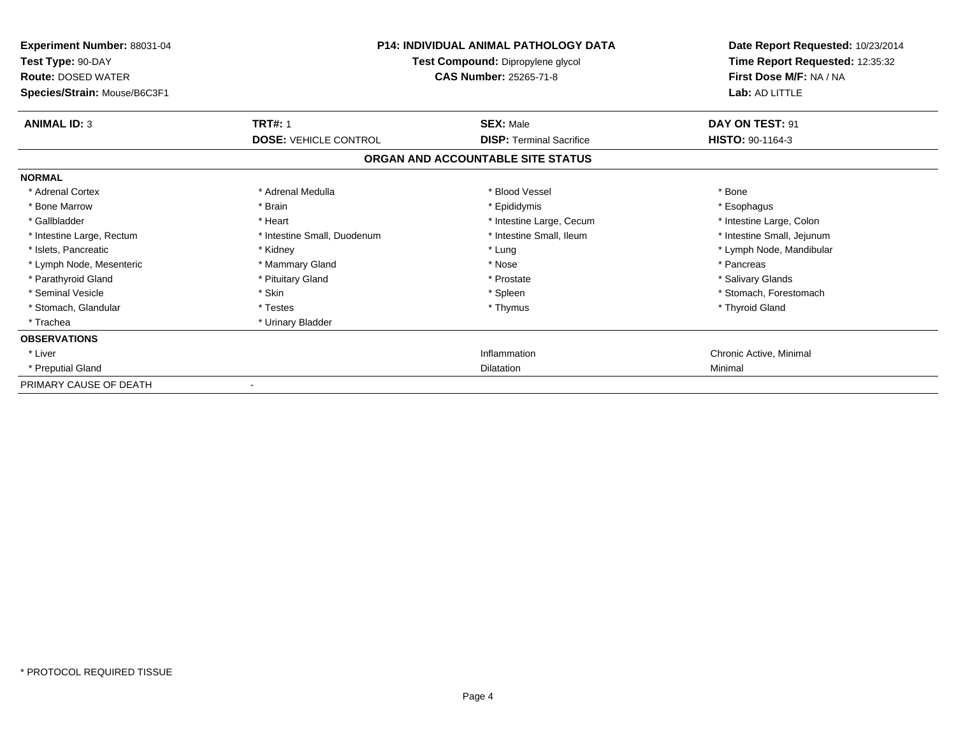| <b>Experiment Number: 88031-04</b><br>Test Type: 90-DAY<br><b>Route: DOSED WATER</b><br>Species/Strain: Mouse/B6C3F1 |                              | <b>P14: INDIVIDUAL ANIMAL PATHOLOGY DATA</b><br>Test Compound: Dipropylene glycol<br><b>CAS Number: 25265-71-8</b> | Date Report Requested: 10/23/2014<br>Time Report Requested: 12:35:32<br>First Dose M/F: NA / NA<br>Lab: AD LITTLE |
|----------------------------------------------------------------------------------------------------------------------|------------------------------|--------------------------------------------------------------------------------------------------------------------|-------------------------------------------------------------------------------------------------------------------|
| <b>ANIMAL ID: 3</b>                                                                                                  | <b>TRT#: 1</b>               | <b>SEX: Male</b>                                                                                                   | DAY ON TEST: 91                                                                                                   |
|                                                                                                                      | <b>DOSE: VEHICLE CONTROL</b> | <b>DISP: Terminal Sacrifice</b>                                                                                    | HISTO: 90-1164-3                                                                                                  |
|                                                                                                                      |                              | ORGAN AND ACCOUNTABLE SITE STATUS                                                                                  |                                                                                                                   |
| <b>NORMAL</b>                                                                                                        |                              |                                                                                                                    |                                                                                                                   |
| * Adrenal Cortex                                                                                                     | * Adrenal Medulla            | * Blood Vessel                                                                                                     | * Bone                                                                                                            |
| * Bone Marrow                                                                                                        | * Brain                      | * Epididymis                                                                                                       | * Esophagus                                                                                                       |
| * Gallbladder                                                                                                        | * Heart                      | * Intestine Large, Cecum                                                                                           | * Intestine Large, Colon                                                                                          |
| * Intestine Large, Rectum                                                                                            | * Intestine Small, Duodenum  | * Intestine Small. Ileum                                                                                           | * Intestine Small, Jejunum                                                                                        |
| * Islets, Pancreatic                                                                                                 | * Kidney                     | * Lung                                                                                                             | * Lymph Node, Mandibular                                                                                          |
| * Lymph Node, Mesenteric                                                                                             | * Mammary Gland              | * Nose                                                                                                             | * Pancreas                                                                                                        |
| * Parathyroid Gland                                                                                                  | * Pituitary Gland            | * Prostate                                                                                                         | * Salivary Glands                                                                                                 |
| * Seminal Vesicle                                                                                                    | * Skin                       | * Spleen                                                                                                           | * Stomach, Forestomach                                                                                            |
| * Stomach, Glandular                                                                                                 | * Testes                     | * Thymus                                                                                                           | * Thyroid Gland                                                                                                   |
| * Trachea                                                                                                            | * Urinary Bladder            |                                                                                                                    |                                                                                                                   |
| <b>OBSERVATIONS</b>                                                                                                  |                              |                                                                                                                    |                                                                                                                   |
| * Liver                                                                                                              |                              | Inflammation                                                                                                       | Chronic Active, Minimal                                                                                           |
| * Preputial Gland                                                                                                    |                              | <b>Dilatation</b>                                                                                                  | Minimal                                                                                                           |
| PRIMARY CAUSE OF DEATH                                                                                               |                              |                                                                                                                    |                                                                                                                   |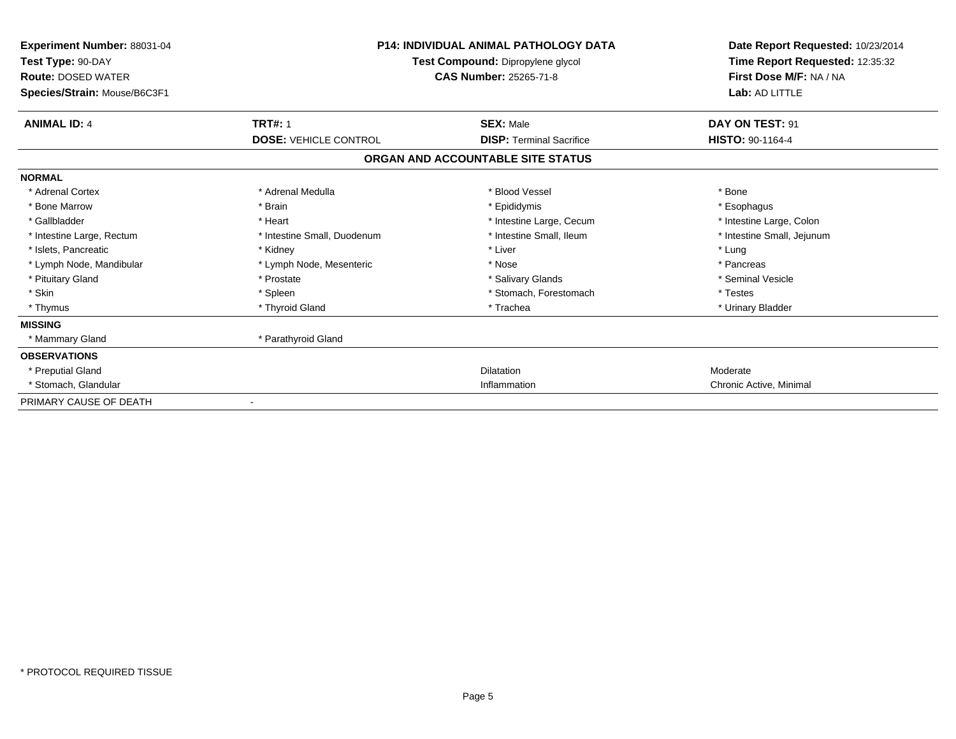| Experiment Number: 88031-04<br>Test Type: 90-DAY          | <b>P14: INDIVIDUAL ANIMAL PATHOLOGY DATA</b><br>Test Compound: Dipropylene glycol |                                   | Date Report Requested: 10/23/2014<br>Time Report Requested: 12:35:32 |  |
|-----------------------------------------------------------|-----------------------------------------------------------------------------------|-----------------------------------|----------------------------------------------------------------------|--|
| <b>Route: DOSED WATER</b><br>Species/Strain: Mouse/B6C3F1 |                                                                                   | CAS Number: 25265-71-8            | First Dose M/F: NA / NA<br>Lab: AD LITTLE                            |  |
| <b>ANIMAL ID: 4</b>                                       | <b>TRT#: 1</b>                                                                    | <b>SEX: Male</b>                  | DAY ON TEST: 91                                                      |  |
|                                                           | <b>DOSE: VEHICLE CONTROL</b>                                                      | <b>DISP: Terminal Sacrifice</b>   | <b>HISTO: 90-1164-4</b>                                              |  |
|                                                           |                                                                                   | ORGAN AND ACCOUNTABLE SITE STATUS |                                                                      |  |
| <b>NORMAL</b>                                             |                                                                                   |                                   |                                                                      |  |
| * Adrenal Cortex                                          | * Adrenal Medulla                                                                 | * Blood Vessel                    | * Bone                                                               |  |
| * Bone Marrow                                             | * Brain                                                                           | * Epididymis                      | * Esophagus                                                          |  |
| * Gallbladder                                             | * Heart                                                                           | * Intestine Large, Cecum          | * Intestine Large, Colon                                             |  |
| * Intestine Large, Rectum                                 | * Intestine Small, Duodenum                                                       | * Intestine Small, Ileum          | * Intestine Small, Jejunum                                           |  |
| * Islets, Pancreatic                                      | * Kidney                                                                          | * Liver                           | * Lung                                                               |  |
| * Lymph Node, Mandibular                                  | * Lymph Node, Mesenteric                                                          | * Nose                            | * Pancreas                                                           |  |
| * Pituitary Gland                                         | * Prostate                                                                        | * Salivary Glands                 | * Seminal Vesicle                                                    |  |
| * Skin                                                    | * Spleen                                                                          | * Stomach, Forestomach            | * Testes                                                             |  |
| * Thymus                                                  | * Thyroid Gland                                                                   | * Trachea                         | * Urinary Bladder                                                    |  |
| <b>MISSING</b>                                            |                                                                                   |                                   |                                                                      |  |
| * Mammary Gland                                           | * Parathyroid Gland                                                               |                                   |                                                                      |  |
| <b>OBSERVATIONS</b>                                       |                                                                                   |                                   |                                                                      |  |
| * Preputial Gland                                         |                                                                                   | Dilatation                        | Moderate                                                             |  |
| * Stomach, Glandular                                      |                                                                                   | Inflammation                      | Chronic Active, Minimal                                              |  |
| PRIMARY CAUSE OF DEATH                                    |                                                                                   |                                   |                                                                      |  |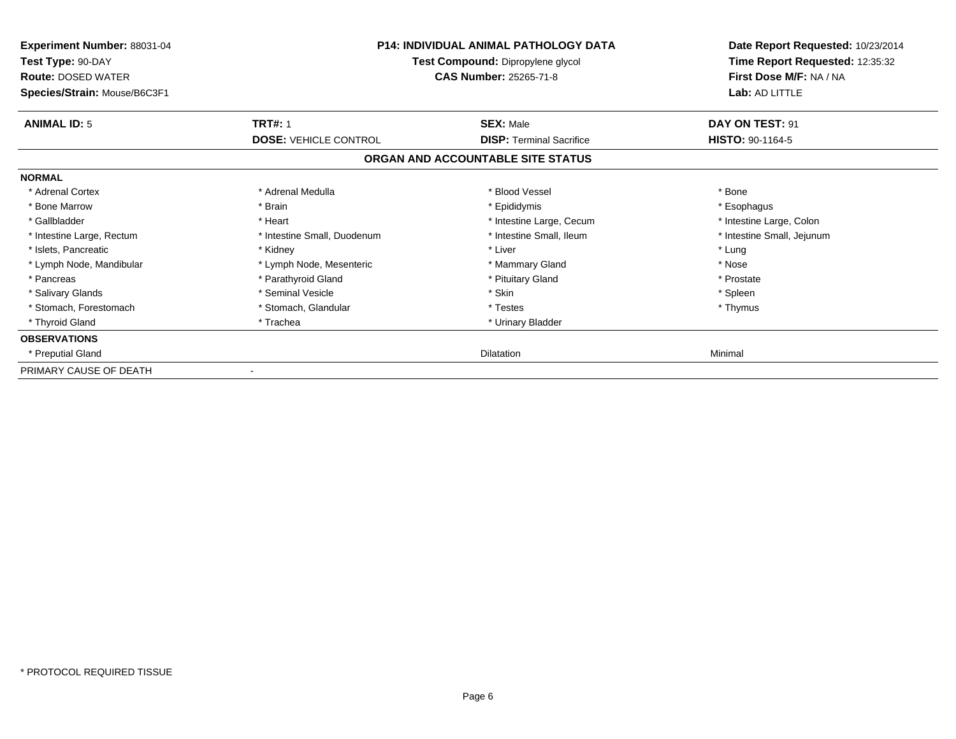| Experiment Number: 88031-04<br>Test Type: 90-DAY<br><b>Route: DOSED WATER</b><br>Species/Strain: Mouse/B6C3F1 | <b>P14: INDIVIDUAL ANIMAL PATHOLOGY DATA</b><br>Test Compound: Dipropylene glycol<br><b>CAS Number: 25265-71-8</b> |                                   | Date Report Requested: 10/23/2014<br>Time Report Requested: 12:35:32<br>First Dose M/F: NA / NA<br>Lab: AD LITTLE |
|---------------------------------------------------------------------------------------------------------------|--------------------------------------------------------------------------------------------------------------------|-----------------------------------|-------------------------------------------------------------------------------------------------------------------|
| <b>ANIMAL ID: 5</b>                                                                                           | <b>TRT#: 1</b>                                                                                                     | <b>SEX: Male</b>                  | DAY ON TEST: 91                                                                                                   |
|                                                                                                               | <b>DOSE: VEHICLE CONTROL</b>                                                                                       | <b>DISP:</b> Terminal Sacrifice   | <b>HISTO: 90-1164-5</b>                                                                                           |
|                                                                                                               |                                                                                                                    | ORGAN AND ACCOUNTABLE SITE STATUS |                                                                                                                   |
| <b>NORMAL</b>                                                                                                 |                                                                                                                    |                                   |                                                                                                                   |
| * Adrenal Cortex                                                                                              | * Adrenal Medulla                                                                                                  | * Blood Vessel                    | * Bone                                                                                                            |
| * Bone Marrow                                                                                                 | * Brain                                                                                                            | * Epididymis                      | * Esophagus                                                                                                       |
| * Gallbladder                                                                                                 | * Heart                                                                                                            | * Intestine Large, Cecum          | * Intestine Large, Colon                                                                                          |
| * Intestine Large, Rectum                                                                                     | * Intestine Small, Duodenum                                                                                        | * Intestine Small, Ileum          | * Intestine Small, Jejunum                                                                                        |
| * Islets, Pancreatic                                                                                          | * Kidney                                                                                                           | * Liver                           | * Lung                                                                                                            |
| * Lymph Node, Mandibular                                                                                      | * Lymph Node, Mesenteric                                                                                           | * Mammary Gland                   | * Nose                                                                                                            |
| * Pancreas                                                                                                    | * Parathyroid Gland                                                                                                | * Pituitary Gland                 | * Prostate                                                                                                        |
| * Salivary Glands                                                                                             | * Seminal Vesicle                                                                                                  | * Skin                            | * Spleen                                                                                                          |
| * Stomach, Forestomach                                                                                        | * Stomach, Glandular                                                                                               | * Testes                          | * Thymus                                                                                                          |
| * Thyroid Gland                                                                                               | * Trachea                                                                                                          | * Urinary Bladder                 |                                                                                                                   |
| <b>OBSERVATIONS</b>                                                                                           |                                                                                                                    |                                   |                                                                                                                   |
| * Preputial Gland                                                                                             |                                                                                                                    | Dilatation                        | Minimal                                                                                                           |
| PRIMARY CAUSE OF DEATH                                                                                        |                                                                                                                    |                                   |                                                                                                                   |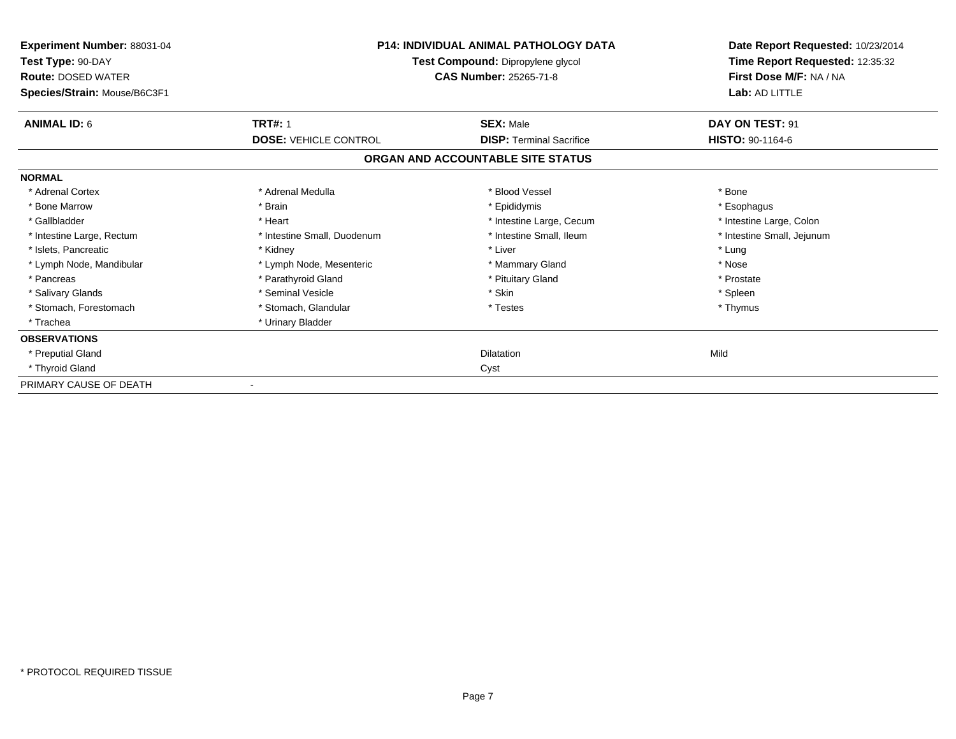| Experiment Number: 88031-04<br>Test Type: 90-DAY<br><b>Route: DOSED WATER</b><br>Species/Strain: Mouse/B6C3F1 |                              | <b>P14: INDIVIDUAL ANIMAL PATHOLOGY DATA</b><br>Test Compound: Dipropylene glycol<br>CAS Number: 25265-71-8 | Date Report Requested: 10/23/2014<br>Time Report Requested: 12:35:32<br>First Dose M/F: NA / NA<br>Lab: AD LITTLE |
|---------------------------------------------------------------------------------------------------------------|------------------------------|-------------------------------------------------------------------------------------------------------------|-------------------------------------------------------------------------------------------------------------------|
| <b>ANIMAL ID: 6</b>                                                                                           | <b>TRT#: 1</b>               | <b>SEX: Male</b>                                                                                            | DAY ON TEST: 91                                                                                                   |
|                                                                                                               | <b>DOSE: VEHICLE CONTROL</b> | <b>DISP:</b> Terminal Sacrifice                                                                             | HISTO: 90-1164-6                                                                                                  |
|                                                                                                               |                              | ORGAN AND ACCOUNTABLE SITE STATUS                                                                           |                                                                                                                   |
| <b>NORMAL</b>                                                                                                 |                              |                                                                                                             |                                                                                                                   |
| * Adrenal Cortex                                                                                              | * Adrenal Medulla            | * Blood Vessel                                                                                              | * Bone                                                                                                            |
| * Bone Marrow                                                                                                 | * Brain                      | * Epididymis                                                                                                | * Esophagus                                                                                                       |
| * Gallbladder                                                                                                 | * Heart                      | * Intestine Large, Cecum                                                                                    | * Intestine Large, Colon                                                                                          |
| * Intestine Large, Rectum                                                                                     | * Intestine Small, Duodenum  | * Intestine Small, Ileum                                                                                    | * Intestine Small, Jejunum                                                                                        |
| * Islets, Pancreatic                                                                                          | * Kidney                     | * Liver                                                                                                     | * Lung                                                                                                            |
| * Lymph Node, Mandibular                                                                                      | * Lymph Node, Mesenteric     | * Mammary Gland                                                                                             | * Nose                                                                                                            |
| * Pancreas                                                                                                    | * Parathyroid Gland          | * Pituitary Gland                                                                                           | * Prostate                                                                                                        |
| * Salivary Glands                                                                                             | * Seminal Vesicle            | * Skin                                                                                                      | * Spleen                                                                                                          |
| * Stomach, Forestomach                                                                                        | * Stomach, Glandular         | * Testes                                                                                                    | * Thymus                                                                                                          |
| * Trachea                                                                                                     | * Urinary Bladder            |                                                                                                             |                                                                                                                   |
| <b>OBSERVATIONS</b>                                                                                           |                              |                                                                                                             |                                                                                                                   |
| * Preputial Gland                                                                                             |                              | <b>Dilatation</b>                                                                                           | Mild                                                                                                              |
| * Thyroid Gland                                                                                               |                              | Cyst                                                                                                        |                                                                                                                   |
| PRIMARY CAUSE OF DEATH                                                                                        |                              |                                                                                                             |                                                                                                                   |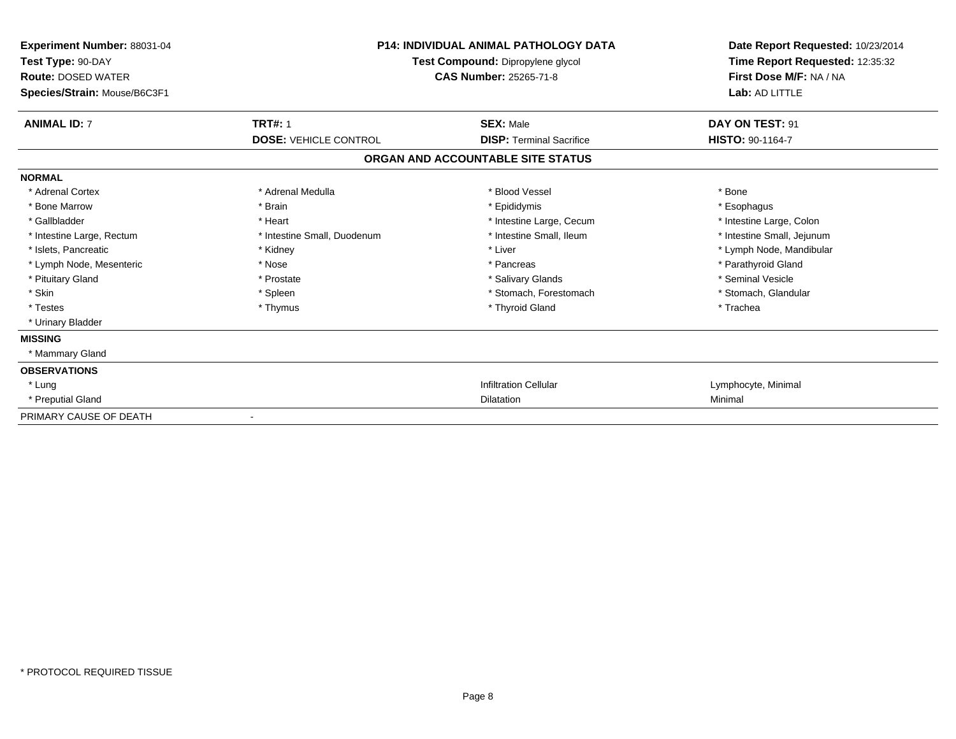| <b>Experiment Number: 88031-04</b><br>Test Type: 90-DAY<br><b>Route: DOSED WATER</b><br>Species/Strain: Mouse/B6C3F1 | <b>P14: INDIVIDUAL ANIMAL PATHOLOGY DATA</b><br><b>Test Compound: Dipropylene glycol</b><br><b>CAS Number: 25265-71-8</b> |                                   | Date Report Requested: 10/23/2014<br>Time Report Requested: 12:35:32<br>First Dose M/F: NA / NA<br>Lab: AD LITTLE |  |
|----------------------------------------------------------------------------------------------------------------------|---------------------------------------------------------------------------------------------------------------------------|-----------------------------------|-------------------------------------------------------------------------------------------------------------------|--|
| <b>ANIMAL ID: 7</b>                                                                                                  | <b>TRT#: 1</b>                                                                                                            | <b>SEX: Male</b>                  | DAY ON TEST: 91                                                                                                   |  |
|                                                                                                                      | <b>DOSE: VEHICLE CONTROL</b>                                                                                              | <b>DISP:</b> Terminal Sacrifice   | HISTO: 90-1164-7                                                                                                  |  |
|                                                                                                                      |                                                                                                                           | ORGAN AND ACCOUNTABLE SITE STATUS |                                                                                                                   |  |
| <b>NORMAL</b>                                                                                                        |                                                                                                                           |                                   |                                                                                                                   |  |
| * Adrenal Cortex                                                                                                     | * Adrenal Medulla                                                                                                         | * Blood Vessel                    | * Bone                                                                                                            |  |
| * Bone Marrow                                                                                                        | * Brain                                                                                                                   | * Epididymis                      | * Esophagus                                                                                                       |  |
| * Gallbladder                                                                                                        | * Heart                                                                                                                   | * Intestine Large, Cecum          | * Intestine Large, Colon                                                                                          |  |
| * Intestine Large, Rectum                                                                                            | * Intestine Small, Duodenum                                                                                               | * Intestine Small. Ileum          | * Intestine Small, Jejunum                                                                                        |  |
| * Islets, Pancreatic                                                                                                 | * Kidney                                                                                                                  | * Liver                           | * Lymph Node, Mandibular                                                                                          |  |
| * Lymph Node, Mesenteric                                                                                             | * Nose                                                                                                                    | * Pancreas                        | * Parathyroid Gland                                                                                               |  |
| * Pituitary Gland                                                                                                    | * Prostate                                                                                                                | * Salivary Glands                 | * Seminal Vesicle                                                                                                 |  |
| * Skin                                                                                                               | * Spleen                                                                                                                  | * Stomach, Forestomach            | * Stomach, Glandular                                                                                              |  |
| * Testes                                                                                                             | * Thymus                                                                                                                  | * Thyroid Gland                   | * Trachea                                                                                                         |  |
| * Urinary Bladder                                                                                                    |                                                                                                                           |                                   |                                                                                                                   |  |
| <b>MISSING</b>                                                                                                       |                                                                                                                           |                                   |                                                                                                                   |  |
| * Mammary Gland                                                                                                      |                                                                                                                           |                                   |                                                                                                                   |  |
| <b>OBSERVATIONS</b>                                                                                                  |                                                                                                                           |                                   |                                                                                                                   |  |
| * Lung                                                                                                               |                                                                                                                           | <b>Infiltration Cellular</b>      | Lymphocyte, Minimal                                                                                               |  |
| * Preputial Gland                                                                                                    |                                                                                                                           | Dilatation                        | Minimal                                                                                                           |  |
| PRIMARY CAUSE OF DEATH                                                                                               |                                                                                                                           |                                   |                                                                                                                   |  |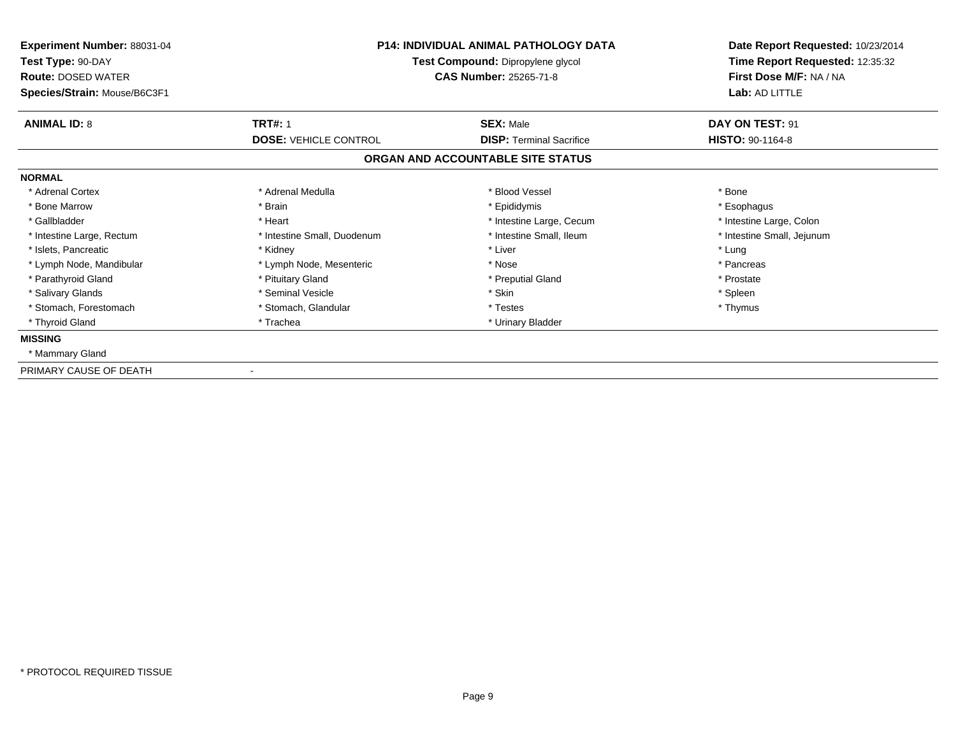| Experiment Number: 88031-04<br>Test Type: 90-DAY<br><b>Route: DOSED WATER</b><br>Species/Strain: Mouse/B6C3F1 | <b>P14: INDIVIDUAL ANIMAL PATHOLOGY DATA</b><br>Test Compound: Dipropylene glycol<br><b>CAS Number: 25265-71-8</b> |                                   | Date Report Requested: 10/23/2014<br>Time Report Requested: 12:35:32<br>First Dose M/F: NA / NA<br>Lab: AD LITTLE |
|---------------------------------------------------------------------------------------------------------------|--------------------------------------------------------------------------------------------------------------------|-----------------------------------|-------------------------------------------------------------------------------------------------------------------|
| <b>ANIMAL ID: 8</b>                                                                                           | <b>TRT#: 1</b>                                                                                                     | <b>SEX: Male</b>                  | DAY ON TEST: 91                                                                                                   |
|                                                                                                               | <b>DOSE: VEHICLE CONTROL</b>                                                                                       | <b>DISP: Terminal Sacrifice</b>   | HISTO: 90-1164-8                                                                                                  |
|                                                                                                               |                                                                                                                    | ORGAN AND ACCOUNTABLE SITE STATUS |                                                                                                                   |
| <b>NORMAL</b>                                                                                                 |                                                                                                                    |                                   |                                                                                                                   |
| * Adrenal Cortex                                                                                              | * Adrenal Medulla                                                                                                  | * Blood Vessel                    | * Bone                                                                                                            |
| * Bone Marrow                                                                                                 | * Brain                                                                                                            | * Epididymis                      | * Esophagus                                                                                                       |
| * Gallbladder                                                                                                 | * Heart                                                                                                            | * Intestine Large, Cecum          | * Intestine Large, Colon                                                                                          |
| * Intestine Large, Rectum                                                                                     | * Intestine Small, Duodenum                                                                                        | * Intestine Small, Ileum          | * Intestine Small, Jejunum                                                                                        |
| * Islets, Pancreatic                                                                                          | * Kidney                                                                                                           | * Liver                           | * Lung                                                                                                            |
| * Lymph Node, Mandibular                                                                                      | * Lymph Node, Mesenteric                                                                                           | * Nose                            | * Pancreas                                                                                                        |
| * Parathyroid Gland                                                                                           | * Pituitary Gland                                                                                                  | * Preputial Gland                 | * Prostate                                                                                                        |
| * Salivary Glands                                                                                             | * Seminal Vesicle                                                                                                  | * Skin                            | * Spleen                                                                                                          |
| * Stomach, Forestomach                                                                                        | * Stomach, Glandular                                                                                               | * Testes                          | * Thymus                                                                                                          |
| * Thyroid Gland                                                                                               | * Trachea                                                                                                          | * Urinary Bladder                 |                                                                                                                   |
| <b>MISSING</b>                                                                                                |                                                                                                                    |                                   |                                                                                                                   |
| * Mammary Gland                                                                                               |                                                                                                                    |                                   |                                                                                                                   |
| PRIMARY CAUSE OF DEATH                                                                                        |                                                                                                                    |                                   |                                                                                                                   |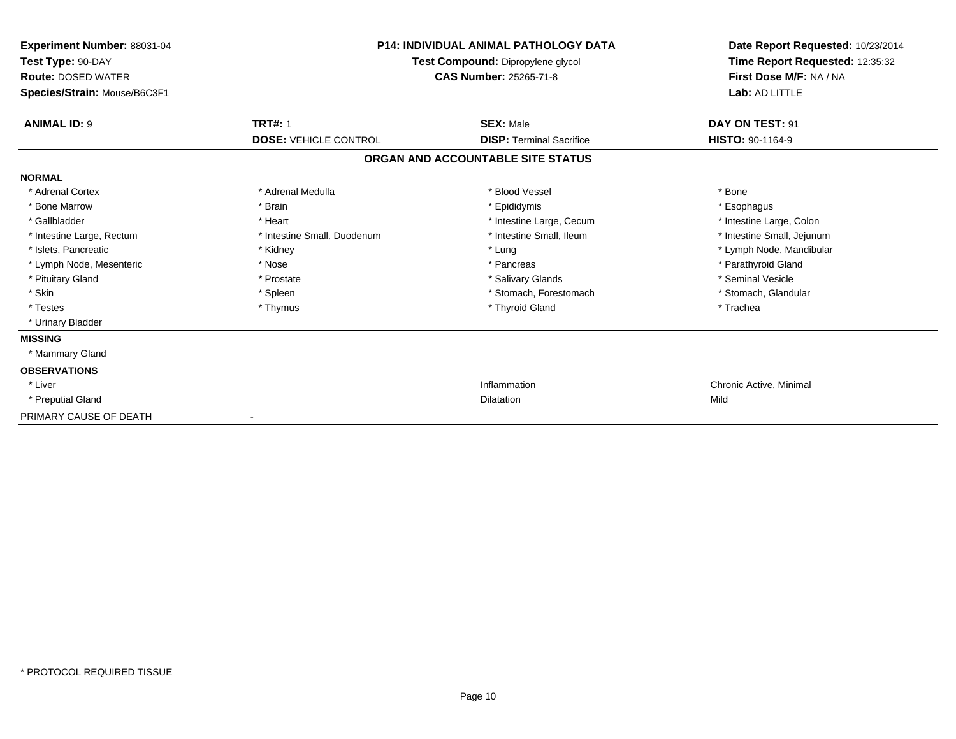| <b>Experiment Number: 88031-04</b><br>Test Type: 90-DAY<br><b>Route: DOSED WATER</b><br>Species/Strain: Mouse/B6C3F1 | <b>P14: INDIVIDUAL ANIMAL PATHOLOGY DATA</b><br>Test Compound: Dipropylene glycol<br><b>CAS Number: 25265-71-8</b> |                                   | Date Report Requested: 10/23/2014<br>Time Report Requested: 12:35:32<br>First Dose M/F: NA / NA<br>Lab: AD LITTLE |
|----------------------------------------------------------------------------------------------------------------------|--------------------------------------------------------------------------------------------------------------------|-----------------------------------|-------------------------------------------------------------------------------------------------------------------|
| <b>ANIMAL ID: 9</b>                                                                                                  | <b>TRT#: 1</b>                                                                                                     | <b>SEX: Male</b>                  | DAY ON TEST: 91                                                                                                   |
|                                                                                                                      | <b>DOSE: VEHICLE CONTROL</b>                                                                                       | <b>DISP:</b> Terminal Sacrifice   | HISTO: 90-1164-9                                                                                                  |
|                                                                                                                      |                                                                                                                    | ORGAN AND ACCOUNTABLE SITE STATUS |                                                                                                                   |
| <b>NORMAL</b>                                                                                                        |                                                                                                                    |                                   |                                                                                                                   |
| * Adrenal Cortex                                                                                                     | * Adrenal Medulla                                                                                                  | * Blood Vessel                    | * Bone                                                                                                            |
| * Bone Marrow                                                                                                        | * Brain                                                                                                            | * Epididymis                      | * Esophagus                                                                                                       |
| * Gallbladder                                                                                                        | * Heart                                                                                                            | * Intestine Large, Cecum          | * Intestine Large, Colon                                                                                          |
| * Intestine Large, Rectum                                                                                            | * Intestine Small, Duodenum                                                                                        | * Intestine Small. Ileum          | * Intestine Small, Jejunum                                                                                        |
| * Islets, Pancreatic                                                                                                 | * Kidney                                                                                                           | * Lung                            | * Lymph Node, Mandibular                                                                                          |
| * Lymph Node, Mesenteric                                                                                             | * Nose                                                                                                             | * Pancreas                        | * Parathyroid Gland                                                                                               |
| * Pituitary Gland                                                                                                    | * Prostate                                                                                                         | * Salivary Glands                 | * Seminal Vesicle                                                                                                 |
| * Skin                                                                                                               | * Spleen                                                                                                           | * Stomach, Forestomach            | * Stomach, Glandular                                                                                              |
| * Testes                                                                                                             | * Thymus                                                                                                           | * Thyroid Gland                   | * Trachea                                                                                                         |
| * Urinary Bladder                                                                                                    |                                                                                                                    |                                   |                                                                                                                   |
| <b>MISSING</b>                                                                                                       |                                                                                                                    |                                   |                                                                                                                   |
| * Mammary Gland                                                                                                      |                                                                                                                    |                                   |                                                                                                                   |
| <b>OBSERVATIONS</b>                                                                                                  |                                                                                                                    |                                   |                                                                                                                   |
| * Liver                                                                                                              |                                                                                                                    | Inflammation                      | Chronic Active, Minimal                                                                                           |
| * Preputial Gland                                                                                                    |                                                                                                                    | Dilatation                        | Mild                                                                                                              |
| PRIMARY CAUSE OF DEATH                                                                                               |                                                                                                                    |                                   |                                                                                                                   |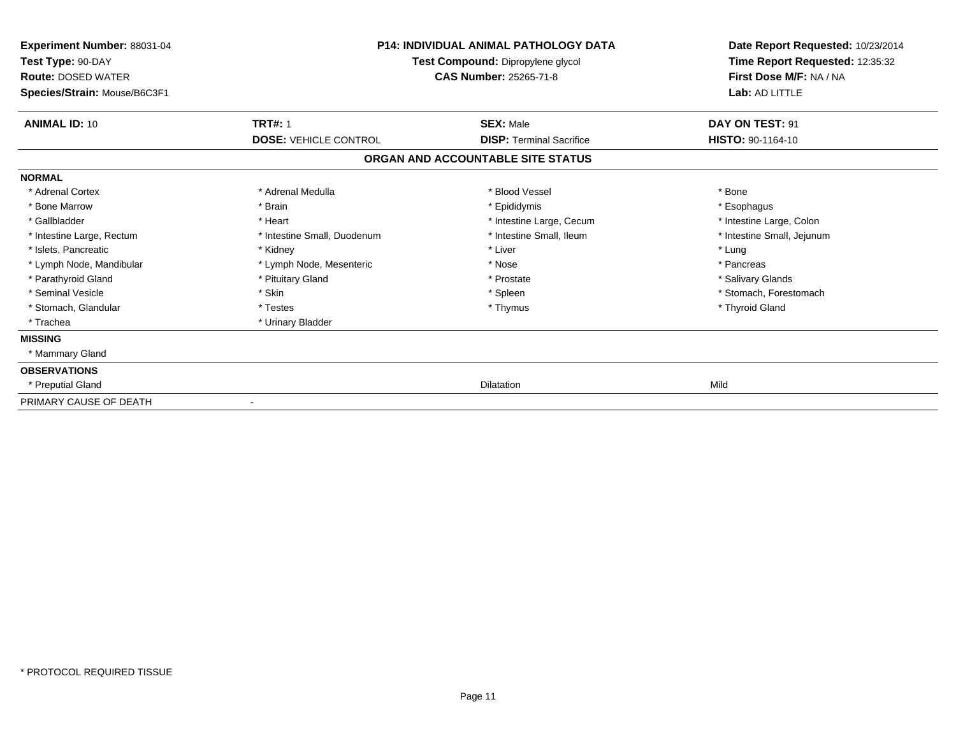| Experiment Number: 88031-04<br>Test Type: 90-DAY<br><b>Route: DOSED WATER</b><br>Species/Strain: Mouse/B6C3F1 | <b>P14: INDIVIDUAL ANIMAL PATHOLOGY DATA</b><br>Test Compound: Dipropylene glycol<br><b>CAS Number: 25265-71-8</b> |                                   | Date Report Requested: 10/23/2014<br>Time Report Requested: 12:35:32<br>First Dose M/F: NA / NA<br>Lab: AD LITTLE |
|---------------------------------------------------------------------------------------------------------------|--------------------------------------------------------------------------------------------------------------------|-----------------------------------|-------------------------------------------------------------------------------------------------------------------|
| <b>ANIMAL ID: 10</b>                                                                                          | <b>TRT#: 1</b>                                                                                                     | <b>SEX: Male</b>                  | DAY ON TEST: 91                                                                                                   |
|                                                                                                               | <b>DOSE: VEHICLE CONTROL</b>                                                                                       | <b>DISP: Terminal Sacrifice</b>   | HISTO: 90-1164-10                                                                                                 |
|                                                                                                               |                                                                                                                    | ORGAN AND ACCOUNTABLE SITE STATUS |                                                                                                                   |
| <b>NORMAL</b>                                                                                                 |                                                                                                                    |                                   |                                                                                                                   |
| * Adrenal Cortex                                                                                              | * Adrenal Medulla                                                                                                  | * Blood Vessel                    | * Bone                                                                                                            |
| * Bone Marrow                                                                                                 | * Brain                                                                                                            | * Epididymis                      | * Esophagus                                                                                                       |
| * Gallbladder                                                                                                 | * Heart                                                                                                            | * Intestine Large, Cecum          | * Intestine Large, Colon                                                                                          |
| * Intestine Large, Rectum                                                                                     | * Intestine Small, Duodenum                                                                                        | * Intestine Small, Ileum          | * Intestine Small, Jejunum                                                                                        |
| * Islets, Pancreatic                                                                                          | * Kidney                                                                                                           | * Liver                           | * Lung                                                                                                            |
| * Lymph Node, Mandibular                                                                                      | * Lymph Node, Mesenteric                                                                                           | * Nose                            | * Pancreas                                                                                                        |
| * Parathyroid Gland                                                                                           | * Pituitary Gland                                                                                                  | * Prostate                        | * Salivary Glands                                                                                                 |
| * Seminal Vesicle                                                                                             | * Skin                                                                                                             | * Spleen                          | * Stomach, Forestomach                                                                                            |
| * Stomach, Glandular                                                                                          | * Testes                                                                                                           | * Thymus                          | * Thyroid Gland                                                                                                   |
| * Trachea                                                                                                     | * Urinary Bladder                                                                                                  |                                   |                                                                                                                   |
| <b>MISSING</b>                                                                                                |                                                                                                                    |                                   |                                                                                                                   |
| * Mammary Gland                                                                                               |                                                                                                                    |                                   |                                                                                                                   |
| <b>OBSERVATIONS</b>                                                                                           |                                                                                                                    |                                   |                                                                                                                   |
| * Preputial Gland                                                                                             |                                                                                                                    | <b>Dilatation</b>                 | Mild                                                                                                              |
| PRIMARY CAUSE OF DEATH                                                                                        |                                                                                                                    |                                   |                                                                                                                   |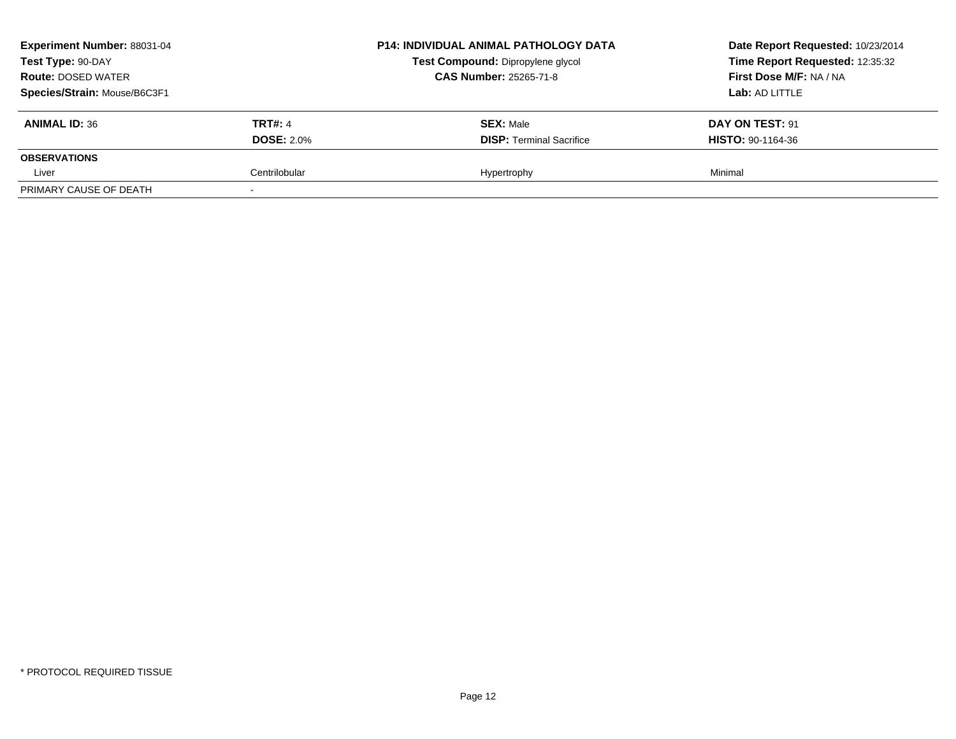| <b>Experiment Number: 88031-04</b><br>Test Type: 90-DAY |                   | <b>P14: INDIVIDUAL ANIMAL PATHOLOGY DATA</b> | Date Report Requested: 10/23/2014<br>Time Report Requested: 12:35:32<br>First Dose M/F: NA / NA |  |
|---------------------------------------------------------|-------------------|----------------------------------------------|-------------------------------------------------------------------------------------------------|--|
|                                                         |                   | Test Compound: Dipropylene glycol            |                                                                                                 |  |
| <b>Route: DOSED WATER</b>                               |                   | <b>CAS Number: 25265-71-8</b>                |                                                                                                 |  |
| Species/Strain: Mouse/B6C3F1                            |                   |                                              | Lab: AD LITTLE                                                                                  |  |
| <b>ANIMAL ID: 36</b>                                    | <b>TRT#: 4</b>    | <b>SEX: Male</b>                             | DAY ON TEST: 91                                                                                 |  |
|                                                         | <b>DOSE: 2.0%</b> | <b>DISP: Terminal Sacrifice</b>              | <b>HISTO: 90-1164-36</b>                                                                        |  |
| <b>OBSERVATIONS</b>                                     |                   |                                              |                                                                                                 |  |
| Liver                                                   | Centrilobular     | Hypertrophy                                  | Minimal                                                                                         |  |
| PRIMARY CAUSE OF DEATH                                  |                   |                                              |                                                                                                 |  |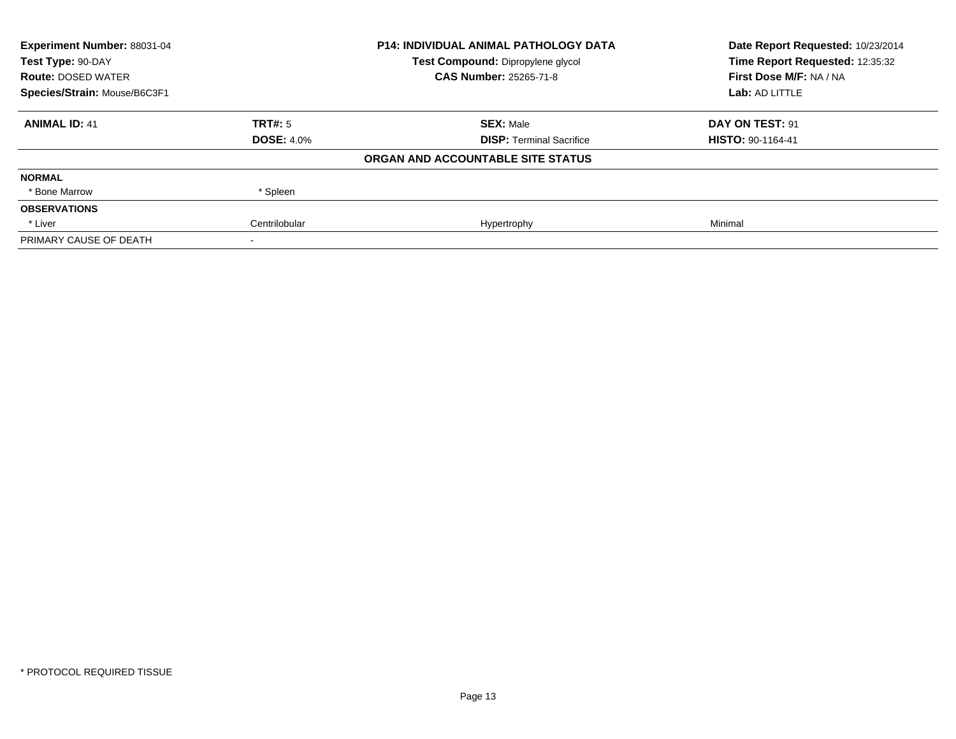| Experiment Number: 88031-04  |                   | <b>P14: INDIVIDUAL ANIMAL PATHOLOGY DATA</b> | Date Report Requested: 10/23/2014 |
|------------------------------|-------------------|----------------------------------------------|-----------------------------------|
| Test Type: 90-DAY            |                   | Test Compound: Dipropylene glycol            | Time Report Requested: 12:35:32   |
| <b>Route: DOSED WATER</b>    |                   | <b>CAS Number: 25265-71-8</b>                | First Dose M/F: NA / NA           |
| Species/Strain: Mouse/B6C3F1 |                   |                                              | Lab: AD LITTLE                    |
| <b>ANIMAL ID: 41</b>         | TRT#: 5           | <b>SEX: Male</b>                             | DAY ON TEST: 91                   |
|                              | <b>DOSE: 4.0%</b> | <b>DISP:</b> Terminal Sacrifice              | <b>HISTO: 90-1164-41</b>          |
|                              |                   | ORGAN AND ACCOUNTABLE SITE STATUS            |                                   |
| <b>NORMAL</b>                |                   |                                              |                                   |
| * Bone Marrow                | * Spleen          |                                              |                                   |
| <b>OBSERVATIONS</b>          |                   |                                              |                                   |
| * Liver                      | Centrilobular     | Hypertrophy                                  | Minimal                           |
| PRIMARY CAUSE OF DEATH       |                   |                                              |                                   |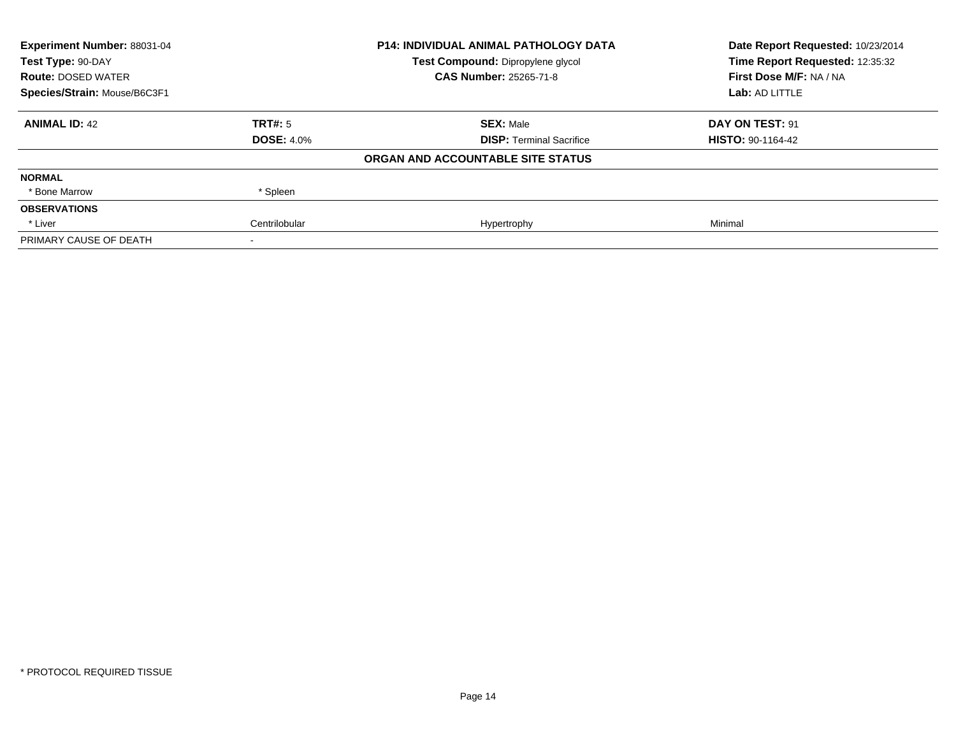| Experiment Number: 88031-04  |                   | <b>P14: INDIVIDUAL ANIMAL PATHOLOGY DATA</b> | Date Report Requested: 10/23/2014 |
|------------------------------|-------------------|----------------------------------------------|-----------------------------------|
| Test Type: 90-DAY            |                   | Test Compound: Dipropylene glycol            | Time Report Requested: 12:35:32   |
| <b>Route: DOSED WATER</b>    |                   | <b>CAS Number: 25265-71-8</b>                | First Dose M/F: NA / NA           |
| Species/Strain: Mouse/B6C3F1 |                   |                                              | Lab: AD LITTLE                    |
| <b>ANIMAL ID: 42</b>         | TRT#: 5           | <b>SEX: Male</b>                             | DAY ON TEST: 91                   |
|                              | <b>DOSE: 4.0%</b> | <b>DISP:</b> Terminal Sacrifice              | <b>HISTO: 90-1164-42</b>          |
|                              |                   | ORGAN AND ACCOUNTABLE SITE STATUS            |                                   |
| <b>NORMAL</b>                |                   |                                              |                                   |
| * Bone Marrow                | * Spleen          |                                              |                                   |
| <b>OBSERVATIONS</b>          |                   |                                              |                                   |
| * Liver                      | Centrilobular     | Hypertrophy                                  | Minimal                           |
| PRIMARY CAUSE OF DEATH       |                   |                                              |                                   |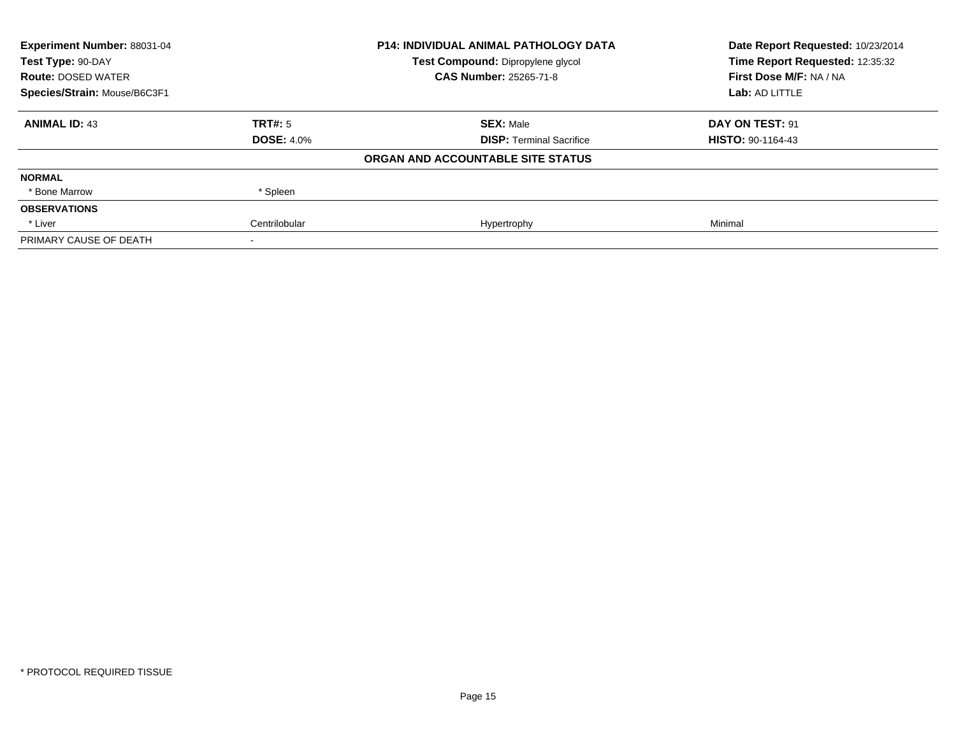| Experiment Number: 88031-04<br>Test Type: 90-DAY |                   | <b>P14: INDIVIDUAL ANIMAL PATHOLOGY DATA</b> | Date Report Requested: 10/23/2014<br>Time Report Requested: 12:35:32 |
|--------------------------------------------------|-------------------|----------------------------------------------|----------------------------------------------------------------------|
|                                                  |                   | Test Compound: Dipropylene glycol            |                                                                      |
| <b>Route: DOSED WATER</b>                        |                   | <b>CAS Number: 25265-71-8</b>                | First Dose M/F: NA / NA                                              |
| Species/Strain: Mouse/B6C3F1                     |                   |                                              | Lab: AD LITTLE                                                       |
| <b>ANIMAL ID: 43</b>                             | TRT#: 5           | <b>SEX: Male</b>                             | DAY ON TEST: 91                                                      |
|                                                  | <b>DOSE: 4.0%</b> | <b>DISP:</b> Terminal Sacrifice              | <b>HISTO: 90-1164-43</b>                                             |
|                                                  |                   | ORGAN AND ACCOUNTABLE SITE STATUS            |                                                                      |
| <b>NORMAL</b>                                    |                   |                                              |                                                                      |
| * Bone Marrow                                    | * Spleen          |                                              |                                                                      |
| <b>OBSERVATIONS</b>                              |                   |                                              |                                                                      |
| * Liver                                          | Centrilobular     | Hypertrophy                                  | Minimal                                                              |
| PRIMARY CAUSE OF DEATH                           |                   |                                              |                                                                      |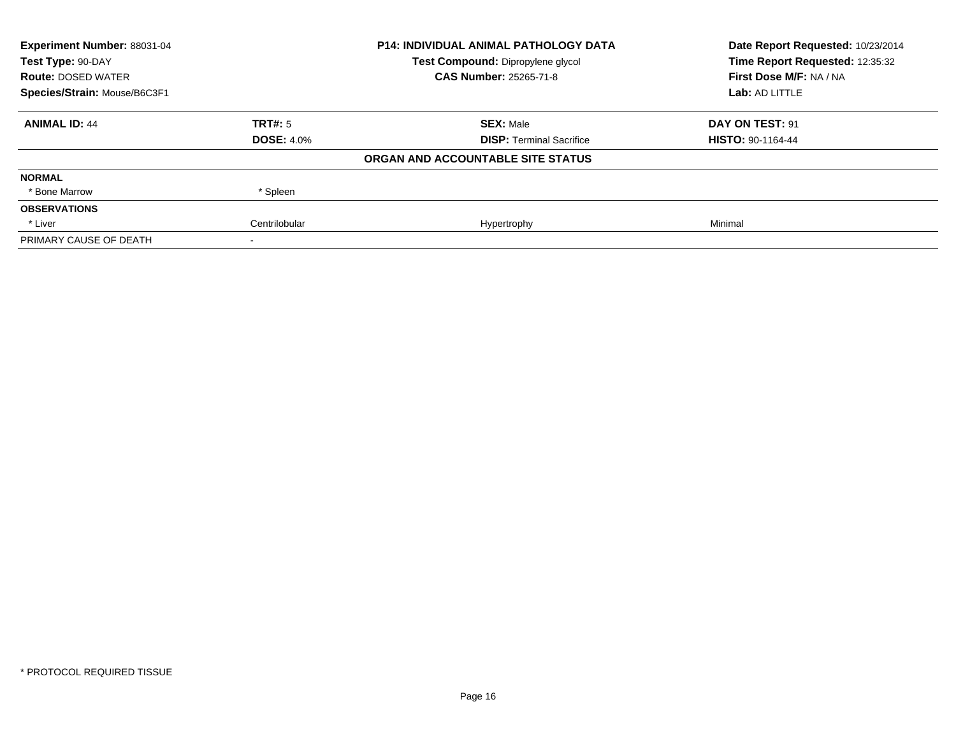| Experiment Number: 88031-04  |                   | <b>P14: INDIVIDUAL ANIMAL PATHOLOGY DATA</b> | Date Report Requested: 10/23/2014 |
|------------------------------|-------------------|----------------------------------------------|-----------------------------------|
| Test Type: 90-DAY            |                   | Test Compound: Dipropylene glycol            | Time Report Requested: 12:35:32   |
| <b>Route: DOSED WATER</b>    |                   | <b>CAS Number: 25265-71-8</b>                | First Dose M/F: NA / NA           |
| Species/Strain: Mouse/B6C3F1 |                   |                                              | Lab: AD LITTLE                    |
| <b>ANIMAL ID: 44</b>         | TRT#: 5           | <b>SEX: Male</b>                             | DAY ON TEST: 91                   |
|                              | <b>DOSE: 4.0%</b> | <b>DISP:</b> Terminal Sacrifice              | <b>HISTO: 90-1164-44</b>          |
|                              |                   | ORGAN AND ACCOUNTABLE SITE STATUS            |                                   |
| <b>NORMAL</b>                |                   |                                              |                                   |
| * Bone Marrow                | * Spleen          |                                              |                                   |
| <b>OBSERVATIONS</b>          |                   |                                              |                                   |
| * Liver                      | Centrilobular     | Hypertrophy                                  | Minimal                           |
| PRIMARY CAUSE OF DEATH       |                   |                                              |                                   |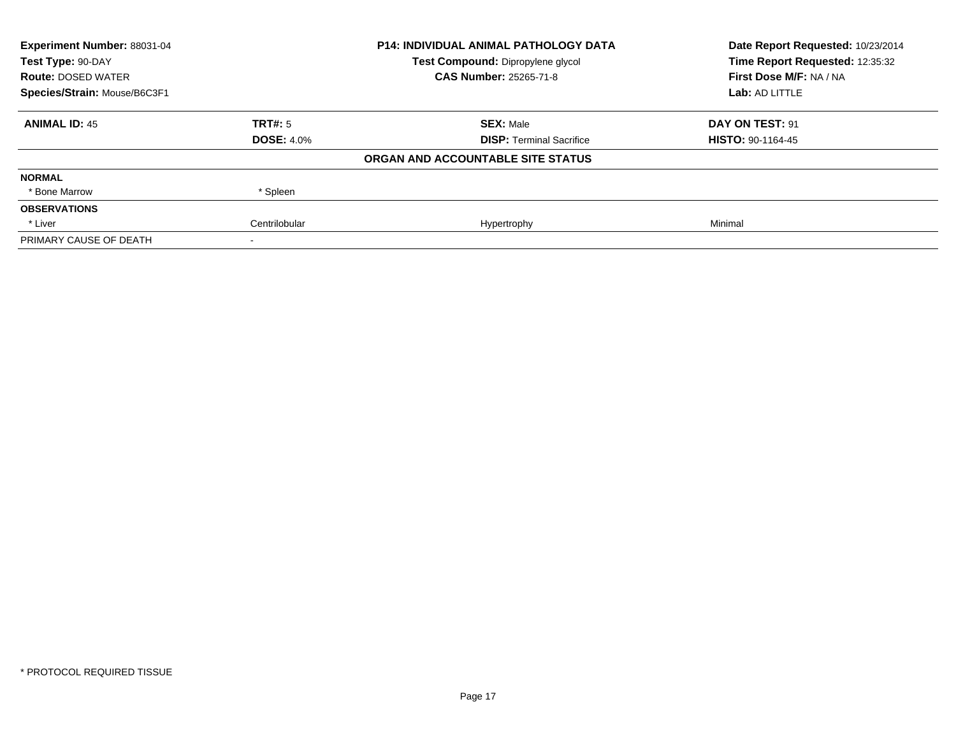| Experiment Number: 88031-04  |                   | <b>P14: INDIVIDUAL ANIMAL PATHOLOGY DATA</b> | Date Report Requested: 10/23/2014 |
|------------------------------|-------------------|----------------------------------------------|-----------------------------------|
| Test Type: 90-DAY            |                   | Test Compound: Dipropylene glycol            | Time Report Requested: 12:35:32   |
| <b>Route: DOSED WATER</b>    |                   | <b>CAS Number: 25265-71-8</b>                | First Dose M/F: NA / NA           |
| Species/Strain: Mouse/B6C3F1 |                   |                                              | Lab: AD LITTLE                    |
| <b>ANIMAL ID: 45</b>         | TRT#: 5           | <b>SEX: Male</b>                             | DAY ON TEST: 91                   |
|                              | <b>DOSE: 4.0%</b> | <b>DISP:</b> Terminal Sacrifice              | <b>HISTO: 90-1164-45</b>          |
|                              |                   | ORGAN AND ACCOUNTABLE SITE STATUS            |                                   |
| <b>NORMAL</b>                |                   |                                              |                                   |
| * Bone Marrow                | * Spleen          |                                              |                                   |
| <b>OBSERVATIONS</b>          |                   |                                              |                                   |
| * Liver                      | Centrilobular     | Hypertrophy                                  | Minimal                           |
| PRIMARY CAUSE OF DEATH       |                   |                                              |                                   |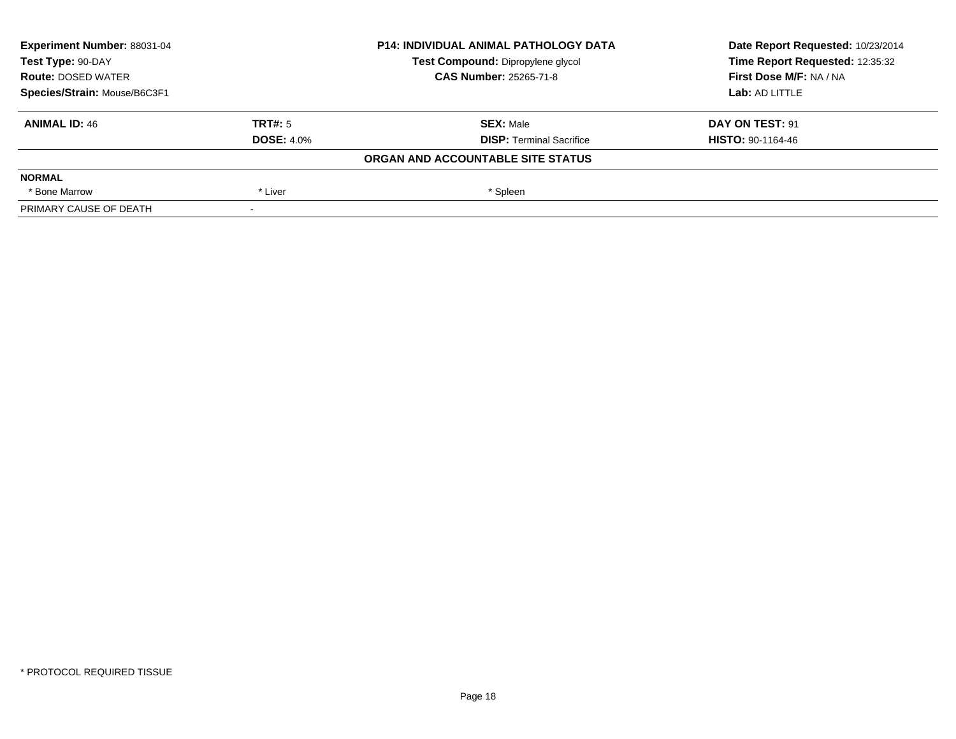| Experiment Number: 88031-04<br>Test Type: 90-DAY<br><b>Route: DOSED WATER</b> |                   | <b>P14: INDIVIDUAL ANIMAL PATHOLOGY DATA</b> | Date Report Requested: 10/23/2014 |
|-------------------------------------------------------------------------------|-------------------|----------------------------------------------|-----------------------------------|
|                                                                               |                   | Test Compound: Dipropylene glycol            | Time Report Requested: 12:35:32   |
|                                                                               |                   | <b>CAS Number: 25265-71-8</b>                | First Dose M/F: NA / NA           |
| Species/Strain: Mouse/B6C3F1                                                  |                   |                                              | Lab: AD LITTLE                    |
| <b>ANIMAL ID: 46</b>                                                          | TRT#: 5           | <b>SEX: Male</b>                             | DAY ON TEST: 91                   |
|                                                                               | <b>DOSE: 4.0%</b> | <b>DISP:</b> Terminal Sacrifice              | <b>HISTO: 90-1164-46</b>          |
|                                                                               |                   | ORGAN AND ACCOUNTABLE SITE STATUS            |                                   |
| <b>NORMAL</b>                                                                 |                   |                                              |                                   |
| * Bone Marrow                                                                 | * Liver           | * Spleen                                     |                                   |
| PRIMARY CAUSE OF DEATH                                                        |                   |                                              |                                   |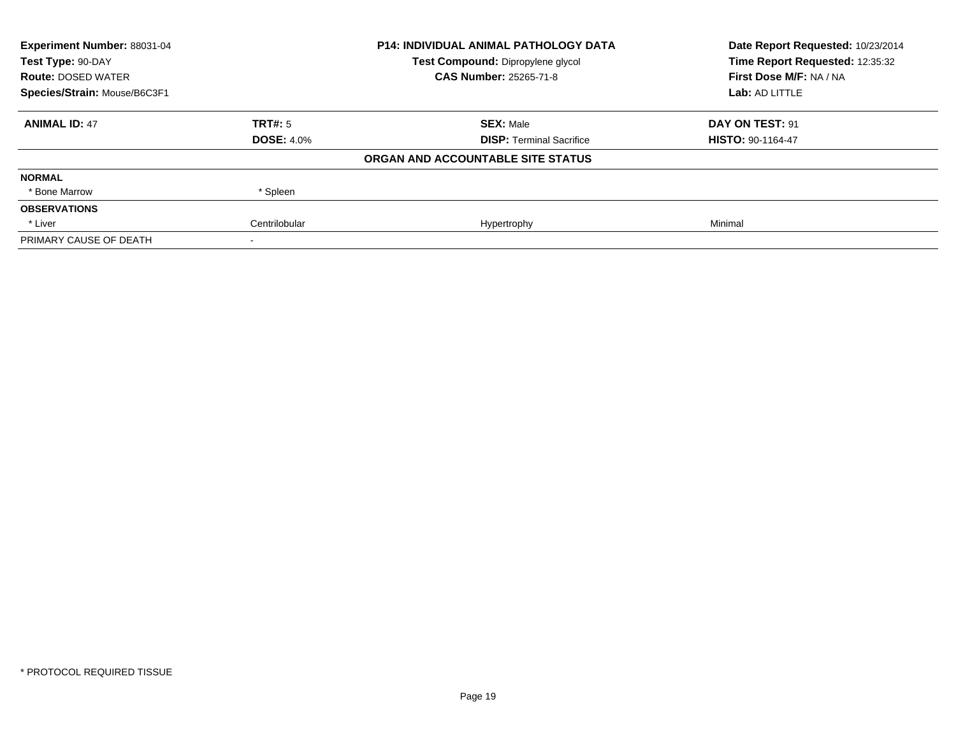| Experiment Number: 88031-04  |                   | <b>P14: INDIVIDUAL ANIMAL PATHOLOGY DATA</b> | Date Report Requested: 10/23/2014 |
|------------------------------|-------------------|----------------------------------------------|-----------------------------------|
| Test Type: 90-DAY            |                   | Test Compound: Dipropylene glycol            | Time Report Requested: 12:35:32   |
| <b>Route: DOSED WATER</b>    |                   | <b>CAS Number: 25265-71-8</b>                | First Dose M/F: NA / NA           |
| Species/Strain: Mouse/B6C3F1 |                   |                                              | Lab: AD LITTLE                    |
| <b>ANIMAL ID: 47</b>         | TRT#: 5           | <b>SEX: Male</b>                             | DAY ON TEST: 91                   |
|                              | <b>DOSE: 4.0%</b> | <b>DISP:</b> Terminal Sacrifice              | <b>HISTO: 90-1164-47</b>          |
|                              |                   | ORGAN AND ACCOUNTABLE SITE STATUS            |                                   |
| <b>NORMAL</b>                |                   |                                              |                                   |
| * Bone Marrow                | * Spleen          |                                              |                                   |
| <b>OBSERVATIONS</b>          |                   |                                              |                                   |
| * Liver                      | Centrilobular     | Hypertrophy                                  | Minimal                           |
| PRIMARY CAUSE OF DEATH       |                   |                                              |                                   |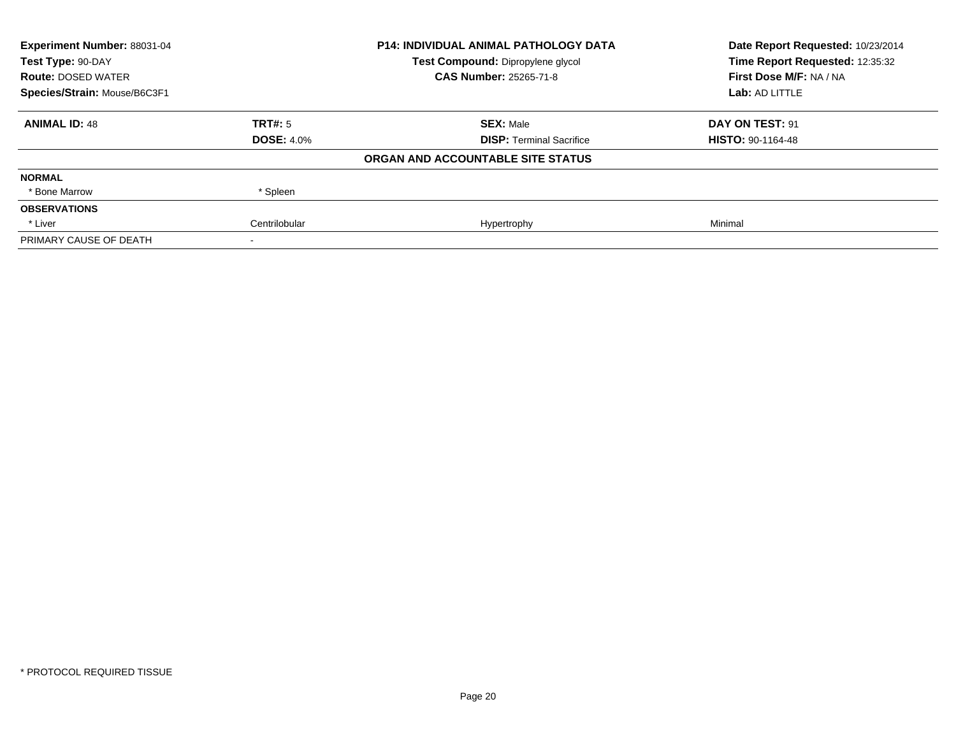| Experiment Number: 88031-04<br>Test Type: 90-DAY |                   | <b>P14: INDIVIDUAL ANIMAL PATHOLOGY DATA</b> | Date Report Requested: 10/23/2014<br>Time Report Requested: 12:35:32 |
|--------------------------------------------------|-------------------|----------------------------------------------|----------------------------------------------------------------------|
|                                                  |                   | Test Compound: Dipropylene glycol            |                                                                      |
| <b>Route: DOSED WATER</b>                        |                   | <b>CAS Number: 25265-71-8</b>                | First Dose M/F: NA / NA                                              |
| Species/Strain: Mouse/B6C3F1                     |                   |                                              | Lab: AD LITTLE                                                       |
| <b>ANIMAL ID: 48</b>                             | TRT#: 5           | <b>SEX: Male</b>                             | DAY ON TEST: 91                                                      |
|                                                  | <b>DOSE: 4.0%</b> | <b>DISP:</b> Terminal Sacrifice              | <b>HISTO: 90-1164-48</b>                                             |
|                                                  |                   | ORGAN AND ACCOUNTABLE SITE STATUS            |                                                                      |
| <b>NORMAL</b>                                    |                   |                                              |                                                                      |
| * Bone Marrow                                    | * Spleen          |                                              |                                                                      |
| <b>OBSERVATIONS</b>                              |                   |                                              |                                                                      |
| * Liver                                          | Centrilobular     | Hypertrophy                                  | Minimal                                                              |
| PRIMARY CAUSE OF DEATH                           |                   |                                              |                                                                      |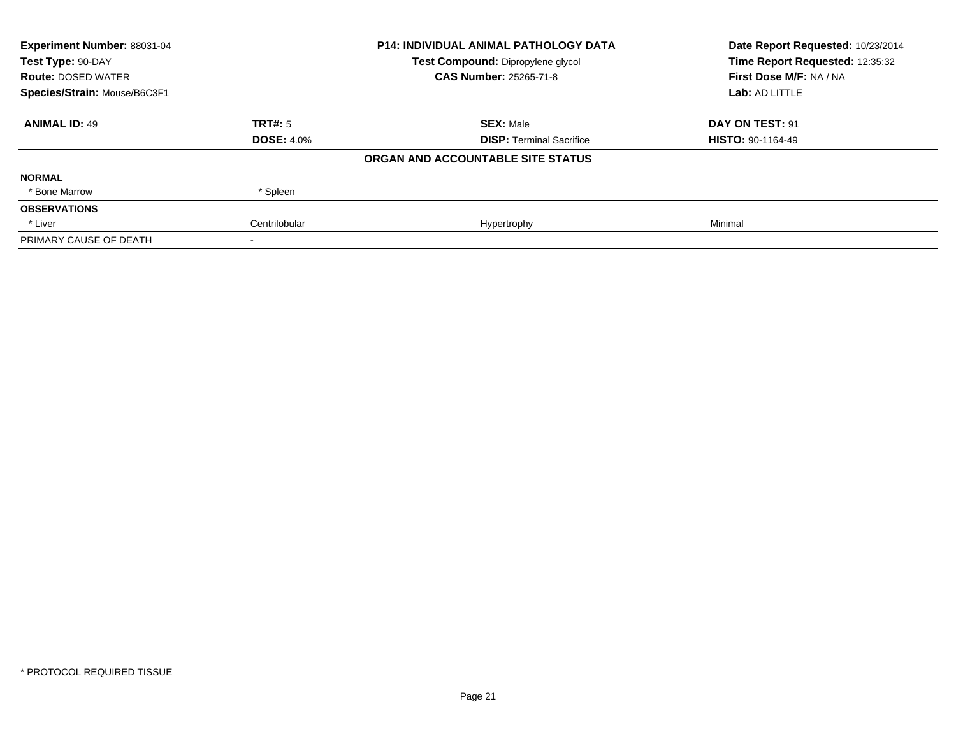| Experiment Number: 88031-04<br>Test Type: 90-DAY |                   | <b>P14: INDIVIDUAL ANIMAL PATHOLOGY DATA</b> | Date Report Requested: 10/23/2014<br>Time Report Requested: 12:35:32 |
|--------------------------------------------------|-------------------|----------------------------------------------|----------------------------------------------------------------------|
|                                                  |                   | Test Compound: Dipropylene glycol            |                                                                      |
| <b>Route: DOSED WATER</b>                        |                   | <b>CAS Number: 25265-71-8</b>                | First Dose M/F: NA / NA                                              |
| Species/Strain: Mouse/B6C3F1                     |                   |                                              | Lab: AD LITTLE                                                       |
| <b>ANIMAL ID: 49</b>                             | TRT#: 5           | <b>SEX: Male</b>                             | DAY ON TEST: 91                                                      |
|                                                  | <b>DOSE: 4.0%</b> | <b>DISP:</b> Terminal Sacrifice              | <b>HISTO: 90-1164-49</b>                                             |
|                                                  |                   | ORGAN AND ACCOUNTABLE SITE STATUS            |                                                                      |
| <b>NORMAL</b>                                    |                   |                                              |                                                                      |
| * Bone Marrow                                    | * Spleen          |                                              |                                                                      |
| <b>OBSERVATIONS</b>                              |                   |                                              |                                                                      |
| * Liver                                          | Centrilobular     | Hypertrophy                                  | Minimal                                                              |
| PRIMARY CAUSE OF DEATH                           |                   |                                              |                                                                      |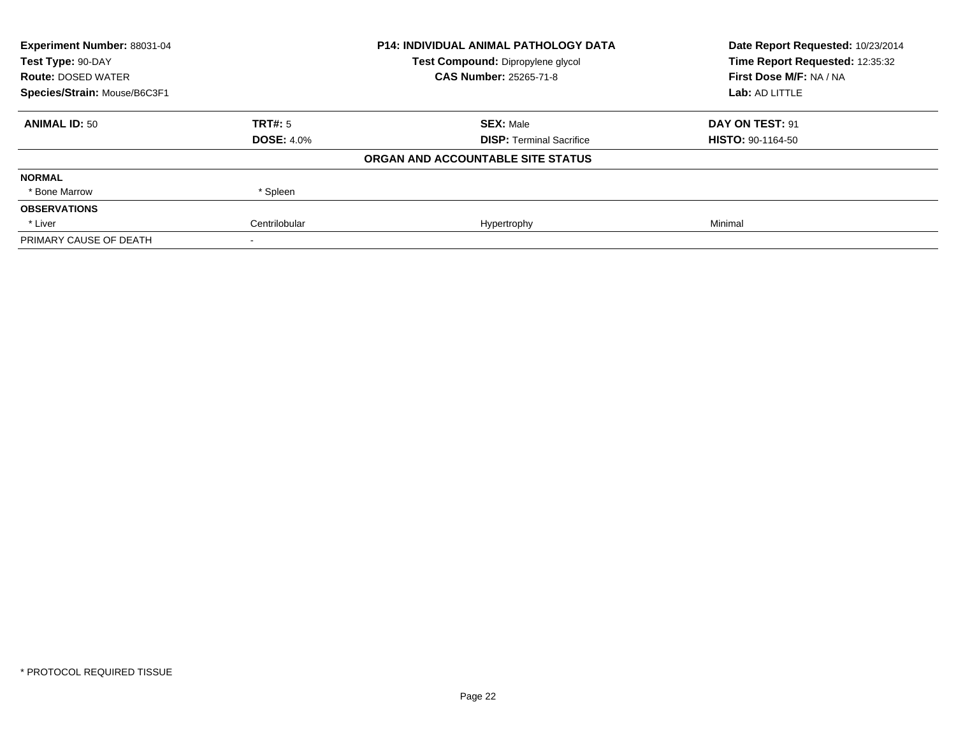| Experiment Number: 88031-04<br>Test Type: 90-DAY |                   | <b>P14: INDIVIDUAL ANIMAL PATHOLOGY DATA</b> | Date Report Requested: 10/23/2014<br>Time Report Requested: 12:35:32 |  |
|--------------------------------------------------|-------------------|----------------------------------------------|----------------------------------------------------------------------|--|
|                                                  |                   | Test Compound: Dipropylene glycol            |                                                                      |  |
| <b>Route: DOSED WATER</b>                        |                   | <b>CAS Number: 25265-71-8</b>                | First Dose M/F: NA / NA                                              |  |
| Species/Strain: Mouse/B6C3F1                     |                   |                                              | Lab: AD LITTLE                                                       |  |
| <b>ANIMAL ID: 50</b>                             | TRT#: 5           | <b>SEX: Male</b>                             | DAY ON TEST: 91                                                      |  |
|                                                  | <b>DOSE: 4.0%</b> | <b>DISP:</b> Terminal Sacrifice              | <b>HISTO: 90-1164-50</b>                                             |  |
|                                                  |                   | ORGAN AND ACCOUNTABLE SITE STATUS            |                                                                      |  |
| <b>NORMAL</b>                                    |                   |                                              |                                                                      |  |
| * Bone Marrow                                    | * Spleen          |                                              |                                                                      |  |
| <b>OBSERVATIONS</b>                              |                   |                                              |                                                                      |  |
| * Liver                                          | Centrilobular     | Hypertrophy                                  | Minimal                                                              |  |
| PRIMARY CAUSE OF DEATH                           |                   |                                              |                                                                      |  |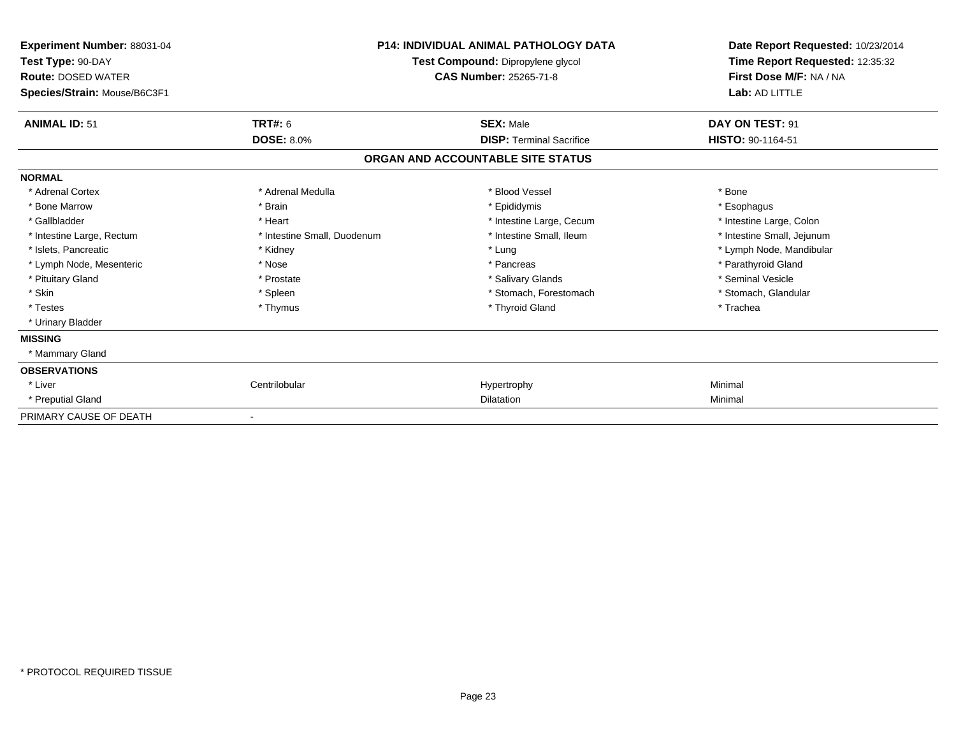| Experiment Number: 88031-04<br>Test Type: 90-DAY<br><b>Route: DOSED WATER</b><br>Species/Strain: Mouse/B6C3F1 |                              | <b>P14: INDIVIDUAL ANIMAL PATHOLOGY DATA</b><br>Test Compound: Dipropylene glycol<br>CAS Number: 25265-71-8 | Date Report Requested: 10/23/2014<br>Time Report Requested: 12:35:32<br>First Dose M/F: NA / NA<br>Lab: AD LITTLE |
|---------------------------------------------------------------------------------------------------------------|------------------------------|-------------------------------------------------------------------------------------------------------------|-------------------------------------------------------------------------------------------------------------------|
| <b>ANIMAL ID: 51</b>                                                                                          | <b>TRT#: 6</b>               | <b>SEX: Male</b>                                                                                            | DAY ON TEST: 91                                                                                                   |
|                                                                                                               | <b>DOSE: 8.0%</b>            | <b>DISP:</b> Terminal Sacrifice                                                                             | HISTO: 90-1164-51                                                                                                 |
|                                                                                                               |                              | ORGAN AND ACCOUNTABLE SITE STATUS                                                                           |                                                                                                                   |
| <b>NORMAL</b>                                                                                                 |                              |                                                                                                             |                                                                                                                   |
| * Adrenal Cortex                                                                                              | * Adrenal Medulla            | * Blood Vessel                                                                                              | * Bone                                                                                                            |
| * Bone Marrow                                                                                                 | * Brain                      | * Epididymis                                                                                                | * Esophagus                                                                                                       |
| * Gallbladder                                                                                                 | * Heart                      | * Intestine Large, Cecum                                                                                    | * Intestine Large, Colon                                                                                          |
| * Intestine Large, Rectum                                                                                     | * Intestine Small, Duodenum  | * Intestine Small, Ileum                                                                                    | * Intestine Small, Jejunum                                                                                        |
| * Islets, Pancreatic                                                                                          | * Kidney                     | * Lung                                                                                                      | * Lymph Node, Mandibular                                                                                          |
| * Lymph Node, Mesenteric                                                                                      | * Nose                       | * Pancreas                                                                                                  | * Parathyroid Gland                                                                                               |
| * Pituitary Gland                                                                                             | * Prostate                   | * Salivary Glands                                                                                           | * Seminal Vesicle                                                                                                 |
| * Skin                                                                                                        | * Spleen                     | * Stomach, Forestomach                                                                                      | * Stomach, Glandular                                                                                              |
| * Testes                                                                                                      | * Thymus                     | * Thyroid Gland                                                                                             | * Trachea                                                                                                         |
| * Urinary Bladder                                                                                             |                              |                                                                                                             |                                                                                                                   |
| <b>MISSING</b>                                                                                                |                              |                                                                                                             |                                                                                                                   |
| * Mammary Gland                                                                                               |                              |                                                                                                             |                                                                                                                   |
| <b>OBSERVATIONS</b>                                                                                           |                              |                                                                                                             |                                                                                                                   |
| * Liver                                                                                                       | Centrilobular                | Hypertrophy                                                                                                 | Minimal                                                                                                           |
| * Preputial Gland                                                                                             |                              | Dilatation                                                                                                  | Minimal                                                                                                           |
| PRIMARY CAUSE OF DEATH                                                                                        | $\qquad \qquad \blacksquare$ |                                                                                                             |                                                                                                                   |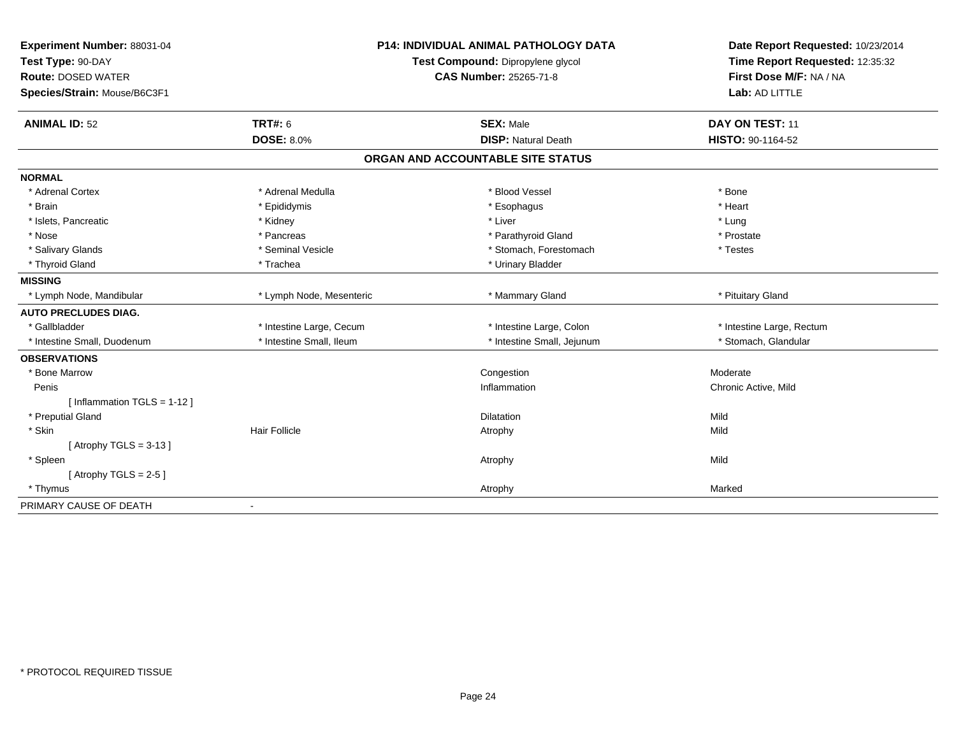| Experiment Number: 88031-04  | <b>P14: INDIVIDUAL ANIMAL PATHOLOGY DATA</b> |                                   | Date Report Requested: 10/23/2014                          |  |
|------------------------------|----------------------------------------------|-----------------------------------|------------------------------------------------------------|--|
| Test Type: 90-DAY            |                                              | Test Compound: Dipropylene glycol | Time Report Requested: 12:35:32<br>First Dose M/F: NA / NA |  |
| <b>Route: DOSED WATER</b>    |                                              | <b>CAS Number: 25265-71-8</b>     |                                                            |  |
| Species/Strain: Mouse/B6C3F1 |                                              |                                   | Lab: AD LITTLE                                             |  |
| <b>ANIMAL ID: 52</b>         | <b>TRT#: 6</b>                               | <b>SEX: Male</b>                  | DAY ON TEST: 11                                            |  |
|                              | <b>DOSE: 8.0%</b>                            | <b>DISP: Natural Death</b>        | HISTO: 90-1164-52                                          |  |
|                              |                                              | ORGAN AND ACCOUNTABLE SITE STATUS |                                                            |  |
| <b>NORMAL</b>                |                                              |                                   |                                                            |  |
| * Adrenal Cortex             | * Adrenal Medulla                            | * Blood Vessel                    | * Bone                                                     |  |
| * Brain                      | * Epididymis                                 | * Esophagus                       | * Heart                                                    |  |
| * Islets, Pancreatic         | * Kidney                                     | * Liver                           | * Lung                                                     |  |
| * Nose                       | * Pancreas                                   | * Parathyroid Gland               | * Prostate                                                 |  |
| * Salivary Glands            | * Seminal Vesicle                            | * Stomach, Forestomach            | * Testes                                                   |  |
| * Thyroid Gland              | * Trachea                                    | * Urinary Bladder                 |                                                            |  |
| <b>MISSING</b>               |                                              |                                   |                                                            |  |
| * Lymph Node, Mandibular     | * Lymph Node, Mesenteric                     | * Mammary Gland                   | * Pituitary Gland                                          |  |
| <b>AUTO PRECLUDES DIAG.</b>  |                                              |                                   |                                                            |  |
| * Gallbladder                | * Intestine Large, Cecum                     | * Intestine Large, Colon          | * Intestine Large, Rectum                                  |  |
| * Intestine Small, Duodenum  | * Intestine Small, Ileum                     | * Intestine Small, Jejunum        | * Stomach, Glandular                                       |  |
| <b>OBSERVATIONS</b>          |                                              |                                   |                                                            |  |
| * Bone Marrow                |                                              | Congestion                        | Moderate                                                   |  |
| Penis                        |                                              | Inflammation                      | Chronic Active, Mild                                       |  |
| [ Inflammation TGLS = 1-12 ] |                                              |                                   |                                                            |  |
| * Preputial Gland            |                                              | <b>Dilatation</b>                 | Mild                                                       |  |
| * Skin                       | <b>Hair Follicle</b>                         | Atrophy                           | Mild                                                       |  |
| [ Atrophy TGLS = $3-13$ ]    |                                              |                                   |                                                            |  |
| * Spleen                     |                                              | Atrophy                           | Mild                                                       |  |
| [Atrophy TGLS = $2-5$ ]      |                                              |                                   |                                                            |  |
| * Thymus                     |                                              | Atrophy                           | Marked                                                     |  |
| PRIMARY CAUSE OF DEATH       |                                              |                                   |                                                            |  |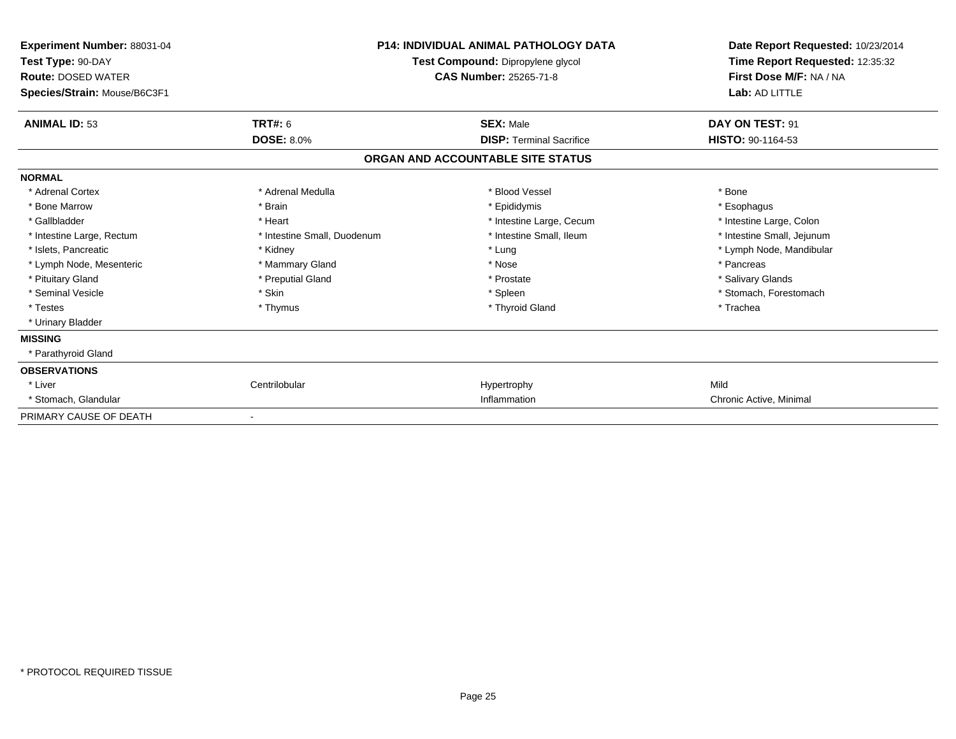| <b>Experiment Number: 88031-04</b><br>Test Type: 90-DAY<br><b>Route: DOSED WATER</b><br>Species/Strain: Mouse/B6C3F1 |                             | <b>P14: INDIVIDUAL ANIMAL PATHOLOGY DATA</b><br>Test Compound: Dipropylene glycol<br><b>CAS Number: 25265-71-8</b> |                            |
|----------------------------------------------------------------------------------------------------------------------|-----------------------------|--------------------------------------------------------------------------------------------------------------------|----------------------------|
| <b>ANIMAL ID: 53</b>                                                                                                 | <b>TRT#: 6</b>              | <b>SEX: Male</b>                                                                                                   | DAY ON TEST: 91            |
|                                                                                                                      | <b>DOSE: 8.0%</b>           | <b>DISP: Terminal Sacrifice</b>                                                                                    | <b>HISTO: 90-1164-53</b>   |
|                                                                                                                      |                             | ORGAN AND ACCOUNTABLE SITE STATUS                                                                                  |                            |
| <b>NORMAL</b>                                                                                                        |                             |                                                                                                                    |                            |
| * Adrenal Cortex                                                                                                     | * Adrenal Medulla           | * Blood Vessel                                                                                                     | * Bone                     |
| * Bone Marrow                                                                                                        | * Brain                     | * Epididymis                                                                                                       | * Esophagus                |
| * Gallbladder                                                                                                        | * Heart                     | * Intestine Large, Cecum                                                                                           | * Intestine Large, Colon   |
| * Intestine Large, Rectum                                                                                            | * Intestine Small, Duodenum | * Intestine Small, Ileum                                                                                           | * Intestine Small, Jejunum |
| * Islets, Pancreatic                                                                                                 | * Kidney                    | * Lung                                                                                                             | * Lymph Node, Mandibular   |
| * Lymph Node, Mesenteric                                                                                             | * Mammary Gland             | * Nose                                                                                                             | * Pancreas                 |
| * Pituitary Gland                                                                                                    | * Preputial Gland           | * Prostate                                                                                                         | * Salivary Glands          |
| * Seminal Vesicle                                                                                                    | * Skin                      | * Spleen                                                                                                           | * Stomach, Forestomach     |
| * Testes                                                                                                             | * Thymus                    | * Thyroid Gland                                                                                                    | * Trachea                  |
| * Urinary Bladder                                                                                                    |                             |                                                                                                                    |                            |
| <b>MISSING</b>                                                                                                       |                             |                                                                                                                    |                            |
| * Parathyroid Gland                                                                                                  |                             |                                                                                                                    |                            |
| <b>OBSERVATIONS</b>                                                                                                  |                             |                                                                                                                    |                            |
| * Liver                                                                                                              | Centrilobular               | Hypertrophy                                                                                                        | Mild                       |
| * Stomach, Glandular                                                                                                 |                             | Inflammation                                                                                                       | Chronic Active, Minimal    |
| PRIMARY CAUSE OF DEATH                                                                                               |                             |                                                                                                                    |                            |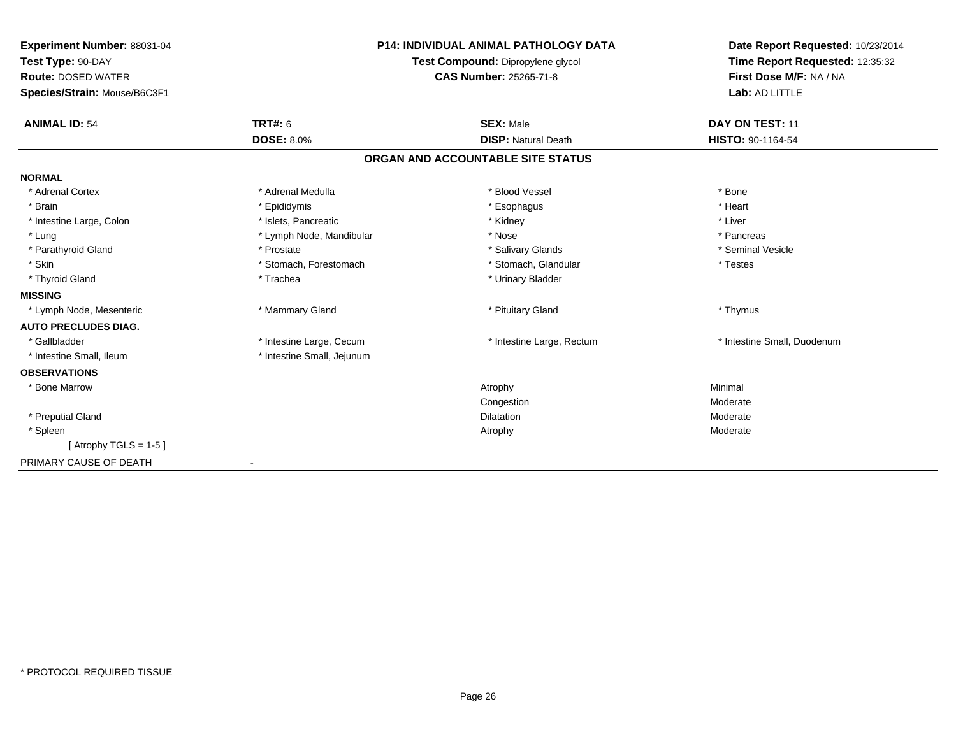| Experiment Number: 88031-04       |                               | <b>P14: INDIVIDUAL ANIMAL PATHOLOGY DATA</b> | Date Report Requested: 10/23/2014 |
|-----------------------------------|-------------------------------|----------------------------------------------|-----------------------------------|
| Test Type: 90-DAY                 |                               | Test Compound: Dipropylene glycol            | Time Report Requested: 12:35:32   |
| <b>Route: DOSED WATER</b>         | <b>CAS Number: 25265-71-8</b> |                                              | First Dose M/F: NA / NA           |
| Species/Strain: Mouse/B6C3F1      |                               |                                              | Lab: AD LITTLE                    |
| TRT#: 6<br><b>ANIMAL ID: 54</b>   |                               | <b>SEX: Male</b>                             | DAY ON TEST: 11                   |
| <b>DOSE: 8.0%</b>                 |                               | <b>DISP: Natural Death</b>                   | HISTO: 90-1164-54                 |
|                                   |                               | ORGAN AND ACCOUNTABLE SITE STATUS            |                                   |
| <b>NORMAL</b>                     |                               |                                              |                                   |
| * Adrenal Cortex                  | * Adrenal Medulla             | * Blood Vessel                               | * Bone                            |
| * Brain<br>* Epididymis           |                               | * Esophagus                                  | * Heart                           |
| * Intestine Large, Colon          | * Islets, Pancreatic          | * Kidney                                     | * Liver                           |
| * Lung                            | * Lymph Node, Mandibular      | * Nose                                       | * Pancreas                        |
| * Parathyroid Gland<br>* Prostate |                               | * Salivary Glands                            | * Seminal Vesicle                 |
| * Skin                            | * Stomach, Forestomach        | * Stomach, Glandular                         | * Testes                          |
| * Thyroid Gland<br>* Trachea      |                               | * Urinary Bladder                            |                                   |
| <b>MISSING</b>                    |                               |                                              |                                   |
| * Lymph Node, Mesenteric          | * Mammary Gland               | * Pituitary Gland                            | * Thymus                          |
| <b>AUTO PRECLUDES DIAG.</b>       |                               |                                              |                                   |
| * Gallbladder                     | * Intestine Large, Cecum      | * Intestine Large, Rectum                    | * Intestine Small, Duodenum       |
| * Intestine Small, Ileum          | * Intestine Small, Jejunum    |                                              |                                   |
| <b>OBSERVATIONS</b>               |                               |                                              |                                   |
| * Bone Marrow                     |                               | Atrophy                                      | Minimal                           |
|                                   |                               | Congestion                                   | Moderate                          |
| * Preputial Gland                 |                               | <b>Dilatation</b>                            | Moderate                          |
| * Spleen                          |                               | Atrophy                                      | Moderate                          |
| [Atrophy TGLS = $1-5$ ]           |                               |                                              |                                   |
| PRIMARY CAUSE OF DEATH            |                               |                                              |                                   |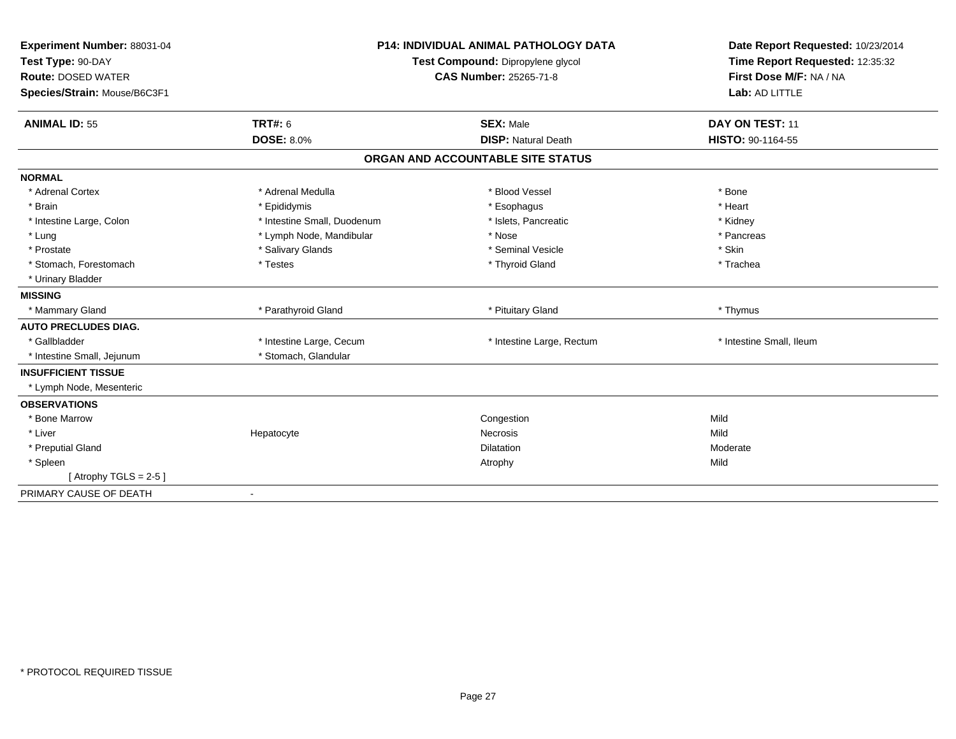| Experiment Number: 88031-04  | <b>P14: INDIVIDUAL ANIMAL PATHOLOGY DATA</b> |                                   | Date Report Requested: 10/23/2014 |  |
|------------------------------|----------------------------------------------|-----------------------------------|-----------------------------------|--|
| Test Type: 90-DAY            |                                              | Test Compound: Dipropylene glycol | Time Report Requested: 12:35:32   |  |
| <b>Route: DOSED WATER</b>    |                                              | <b>CAS Number: 25265-71-8</b>     | First Dose M/F: NA / NA           |  |
| Species/Strain: Mouse/B6C3F1 |                                              |                                   | Lab: AD LITTLE                    |  |
| <b>ANIMAL ID: 55</b>         | <b>TRT#: 6</b>                               | <b>SEX: Male</b>                  | DAY ON TEST: 11                   |  |
|                              | <b>DOSE: 8.0%</b>                            | <b>DISP: Natural Death</b>        | HISTO: 90-1164-55                 |  |
|                              |                                              | ORGAN AND ACCOUNTABLE SITE STATUS |                                   |  |
| <b>NORMAL</b>                |                                              |                                   |                                   |  |
| * Adrenal Cortex             | * Adrenal Medulla                            | * Blood Vessel                    | * Bone                            |  |
| * Brain                      | * Epididymis                                 | * Esophagus                       | * Heart                           |  |
| * Intestine Large, Colon     | * Intestine Small, Duodenum                  | * Islets, Pancreatic              | * Kidney                          |  |
| * Lung                       | * Lymph Node, Mandibular                     | * Nose                            | * Pancreas                        |  |
| * Prostate                   | * Salivary Glands                            | * Seminal Vesicle                 | * Skin                            |  |
| * Stomach. Forestomach       | * Testes                                     | * Thyroid Gland                   | * Trachea                         |  |
| * Urinary Bladder            |                                              |                                   |                                   |  |
| <b>MISSING</b>               |                                              |                                   |                                   |  |
| * Mammary Gland              | * Parathyroid Gland                          | * Pituitary Gland                 | * Thymus                          |  |
| <b>AUTO PRECLUDES DIAG.</b>  |                                              |                                   |                                   |  |
| * Gallbladder                | * Intestine Large, Cecum                     | * Intestine Large, Rectum         | * Intestine Small, Ileum          |  |
| * Intestine Small, Jejunum   | * Stomach, Glandular                         |                                   |                                   |  |
| <b>INSUFFICIENT TISSUE</b>   |                                              |                                   |                                   |  |
| * Lymph Node, Mesenteric     |                                              |                                   |                                   |  |
| <b>OBSERVATIONS</b>          |                                              |                                   |                                   |  |
| * Bone Marrow                |                                              | Congestion                        | Mild                              |  |
| * Liver                      | Hepatocyte                                   | Necrosis                          | Mild                              |  |
| * Preputial Gland            |                                              | <b>Dilatation</b>                 | Moderate                          |  |
| * Spleen                     |                                              | Atrophy                           | Mild                              |  |
| [Atrophy TGLS = $2-5$ ]      |                                              |                                   |                                   |  |
| PRIMARY CAUSE OF DEATH       | $\blacksquare$                               |                                   |                                   |  |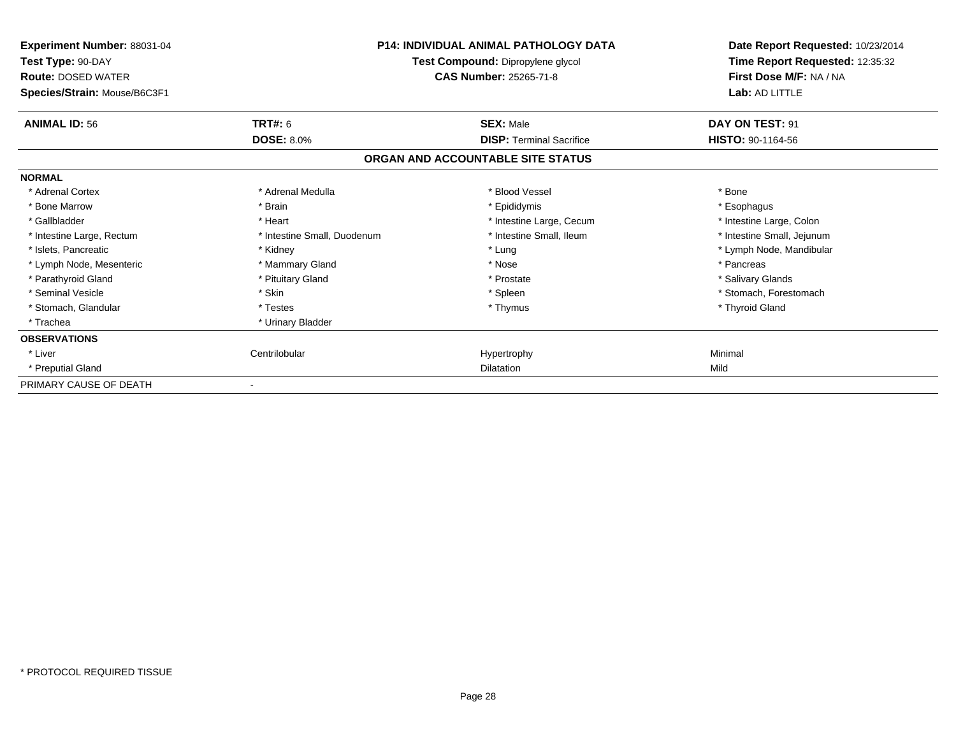| Experiment Number: 88031-04<br>Test Type: 90-DAY<br><b>Route: DOSED WATER</b><br>Species/Strain: Mouse/B6C3F1 | <b>P14: INDIVIDUAL ANIMAL PATHOLOGY DATA</b><br>Test Compound: Dipropylene glycol<br><b>CAS Number: 25265-71-8</b> |                                   | Date Report Requested: 10/23/2014<br>Time Report Requested: 12:35:32<br>First Dose M/F: NA / NA<br>Lab: AD LITTLE |
|---------------------------------------------------------------------------------------------------------------|--------------------------------------------------------------------------------------------------------------------|-----------------------------------|-------------------------------------------------------------------------------------------------------------------|
| <b>ANIMAL ID: 56</b>                                                                                          | <b>TRT#: 6</b>                                                                                                     | <b>SEX: Male</b>                  | DAY ON TEST: 91                                                                                                   |
|                                                                                                               | <b>DOSE: 8.0%</b>                                                                                                  | <b>DISP: Terminal Sacrifice</b>   | <b>HISTO: 90-1164-56</b>                                                                                          |
|                                                                                                               |                                                                                                                    | ORGAN AND ACCOUNTABLE SITE STATUS |                                                                                                                   |
| <b>NORMAL</b>                                                                                                 |                                                                                                                    |                                   |                                                                                                                   |
| * Adrenal Cortex                                                                                              | * Adrenal Medulla                                                                                                  | * Blood Vessel                    | * Bone                                                                                                            |
| * Bone Marrow                                                                                                 | * Brain                                                                                                            | * Epididymis                      | * Esophagus                                                                                                       |
| * Gallbladder                                                                                                 | * Heart                                                                                                            | * Intestine Large, Cecum          | * Intestine Large, Colon                                                                                          |
| * Intestine Large, Rectum                                                                                     | * Intestine Small, Duodenum                                                                                        | * Intestine Small, Ileum          | * Intestine Small, Jejunum                                                                                        |
| * Islets, Pancreatic                                                                                          | * Kidney                                                                                                           | * Lung                            | * Lymph Node, Mandibular                                                                                          |
| * Lymph Node, Mesenteric                                                                                      | * Mammary Gland                                                                                                    | * Nose                            | * Pancreas                                                                                                        |
| * Parathyroid Gland                                                                                           | * Pituitary Gland                                                                                                  | * Prostate                        | * Salivary Glands                                                                                                 |
| * Seminal Vesicle                                                                                             | * Skin                                                                                                             | * Spleen                          | * Stomach, Forestomach                                                                                            |
| * Stomach, Glandular                                                                                          | * Testes                                                                                                           | * Thymus                          | * Thyroid Gland                                                                                                   |
| * Trachea                                                                                                     | * Urinary Bladder                                                                                                  |                                   |                                                                                                                   |
| <b>OBSERVATIONS</b>                                                                                           |                                                                                                                    |                                   |                                                                                                                   |
| * Liver                                                                                                       | Centrilobular                                                                                                      | Hypertrophy                       | Minimal                                                                                                           |
| * Preputial Gland                                                                                             |                                                                                                                    | <b>Dilatation</b>                 | Mild                                                                                                              |
| PRIMARY CAUSE OF DEATH                                                                                        |                                                                                                                    |                                   |                                                                                                                   |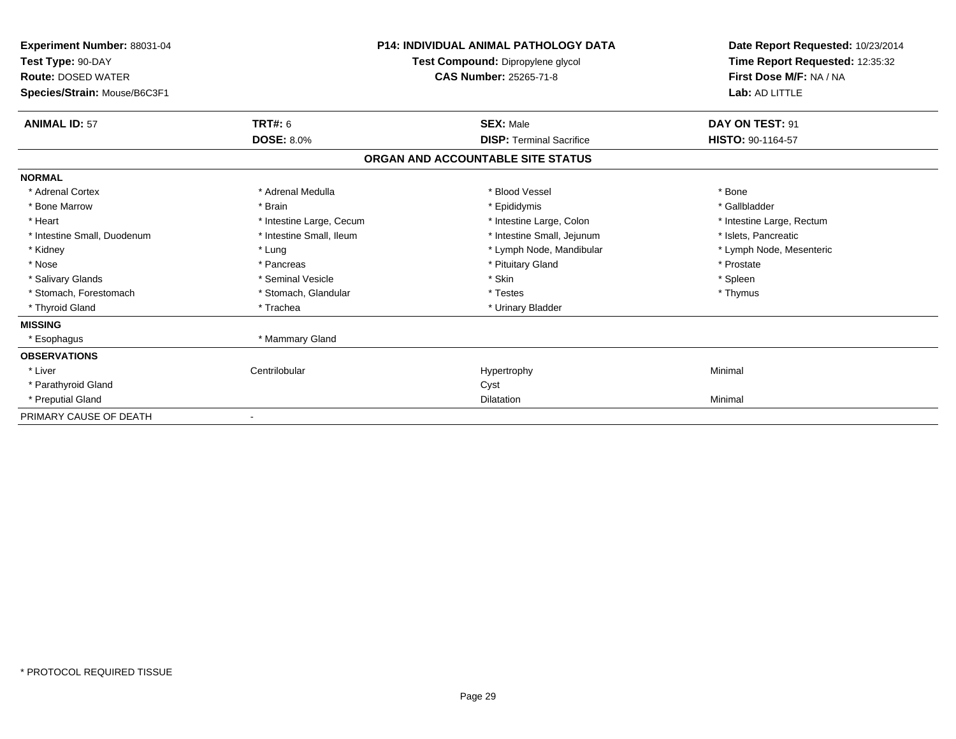| Experiment Number: 88031-04<br>Test Type: 90-DAY<br><b>Route: DOSED WATER</b><br>Species/Strain: Mouse/B6C3F1 |                          | <b>P14: INDIVIDUAL ANIMAL PATHOLOGY DATA</b><br>Test Compound: Dipropylene glycol<br><b>CAS Number: 25265-71-8</b> | Date Report Requested: 10/23/2014<br>Time Report Requested: 12:35:32<br>First Dose M/F: NA / NA<br>Lab: AD LITTLE |
|---------------------------------------------------------------------------------------------------------------|--------------------------|--------------------------------------------------------------------------------------------------------------------|-------------------------------------------------------------------------------------------------------------------|
|                                                                                                               |                          |                                                                                                                    |                                                                                                                   |
| <b>ANIMAL ID: 57</b>                                                                                          | <b>TRT#: 6</b>           | <b>SEX: Male</b>                                                                                                   | DAY ON TEST: 91                                                                                                   |
|                                                                                                               | <b>DOSE: 8.0%</b>        | <b>DISP: Terminal Sacrifice</b>                                                                                    | HISTO: 90-1164-57                                                                                                 |
|                                                                                                               |                          | ORGAN AND ACCOUNTABLE SITE STATUS                                                                                  |                                                                                                                   |
| <b>NORMAL</b>                                                                                                 |                          |                                                                                                                    |                                                                                                                   |
| * Adrenal Cortex                                                                                              | * Adrenal Medulla        | * Blood Vessel                                                                                                     | * Bone                                                                                                            |
| * Bone Marrow                                                                                                 | * Brain                  | * Epididymis                                                                                                       | * Gallbladder                                                                                                     |
| * Heart                                                                                                       | * Intestine Large, Cecum | * Intestine Large, Colon                                                                                           | * Intestine Large, Rectum                                                                                         |
| * Intestine Small, Duodenum                                                                                   | * Intestine Small, Ileum | * Intestine Small, Jejunum                                                                                         | * Islets, Pancreatic                                                                                              |
| * Kidney                                                                                                      | * Lung                   | * Lymph Node, Mandibular                                                                                           | * Lymph Node, Mesenteric                                                                                          |
| * Nose                                                                                                        | * Pancreas               | * Pituitary Gland                                                                                                  | * Prostate                                                                                                        |
| * Salivary Glands                                                                                             | * Seminal Vesicle        | * Skin                                                                                                             | * Spleen                                                                                                          |
| * Stomach, Forestomach                                                                                        | * Stomach, Glandular     | * Testes                                                                                                           | * Thymus                                                                                                          |
| * Thyroid Gland                                                                                               | * Trachea                | * Urinary Bladder                                                                                                  |                                                                                                                   |
| <b>MISSING</b>                                                                                                |                          |                                                                                                                    |                                                                                                                   |
| * Esophagus                                                                                                   | * Mammary Gland          |                                                                                                                    |                                                                                                                   |
| <b>OBSERVATIONS</b>                                                                                           |                          |                                                                                                                    |                                                                                                                   |
| * Liver                                                                                                       | Centrilobular            | Hypertrophy                                                                                                        | Minimal                                                                                                           |
| * Parathyroid Gland                                                                                           |                          | Cyst                                                                                                               |                                                                                                                   |
| * Preputial Gland                                                                                             |                          | Dilatation                                                                                                         | Minimal                                                                                                           |
| PRIMARY CAUSE OF DEATH                                                                                        |                          |                                                                                                                    |                                                                                                                   |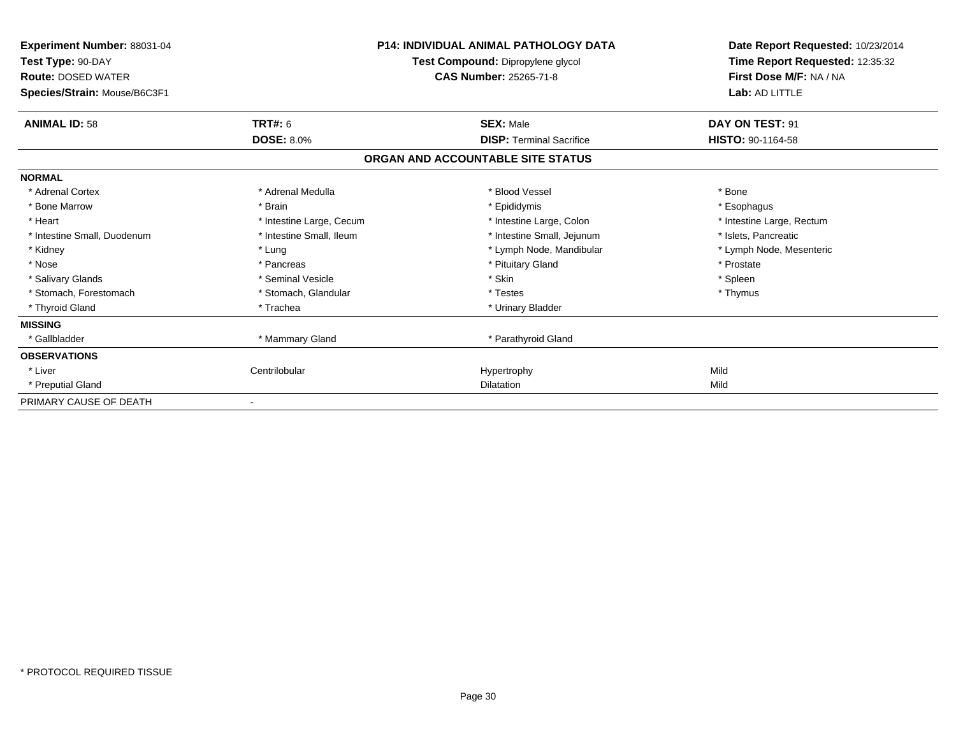| Experiment Number: 88031-04<br>Test Type: 90-DAY<br><b>Route: DOSED WATER</b><br>Species/Strain: Mouse/B6C3F1 |                          | <b>P14: INDIVIDUAL ANIMAL PATHOLOGY DATA</b><br>Test Compound: Dipropylene glycol<br><b>CAS Number: 25265-71-8</b> | Date Report Requested: 10/23/2014<br>Time Report Requested: 12:35:32<br>First Dose M/F: NA / NA<br>Lab: AD LITTLE |  |
|---------------------------------------------------------------------------------------------------------------|--------------------------|--------------------------------------------------------------------------------------------------------------------|-------------------------------------------------------------------------------------------------------------------|--|
| <b>ANIMAL ID: 58</b>                                                                                          | <b>TRT#: 6</b>           | <b>SEX: Male</b>                                                                                                   | DAY ON TEST: 91                                                                                                   |  |
|                                                                                                               | <b>DOSE: 8.0%</b>        | <b>DISP:</b> Terminal Sacrifice                                                                                    | HISTO: 90-1164-58                                                                                                 |  |
|                                                                                                               |                          | ORGAN AND ACCOUNTABLE SITE STATUS                                                                                  |                                                                                                                   |  |
| <b>NORMAL</b>                                                                                                 |                          |                                                                                                                    |                                                                                                                   |  |
| * Adrenal Cortex                                                                                              | * Adrenal Medulla        | * Blood Vessel                                                                                                     | * Bone                                                                                                            |  |
| * Bone Marrow                                                                                                 | * Brain                  | * Epididymis                                                                                                       | * Esophagus                                                                                                       |  |
| * Heart                                                                                                       | * Intestine Large, Cecum | * Intestine Large, Colon                                                                                           | * Intestine Large, Rectum                                                                                         |  |
| * Intestine Small, Duodenum                                                                                   | * Intestine Small, Ileum | * Intestine Small, Jejunum                                                                                         | * Islets, Pancreatic                                                                                              |  |
| * Kidney                                                                                                      | * Lung                   | * Lymph Node, Mandibular                                                                                           | * Lymph Node, Mesenteric                                                                                          |  |
| * Nose                                                                                                        | * Pancreas               | * Pituitary Gland                                                                                                  | * Prostate                                                                                                        |  |
| * Salivary Glands                                                                                             | * Seminal Vesicle        | * Skin                                                                                                             | * Spleen                                                                                                          |  |
| * Stomach, Forestomach                                                                                        | * Stomach, Glandular     | * Testes                                                                                                           | * Thymus                                                                                                          |  |
| * Thyroid Gland                                                                                               | * Trachea                | * Urinary Bladder                                                                                                  |                                                                                                                   |  |
| <b>MISSING</b>                                                                                                |                          |                                                                                                                    |                                                                                                                   |  |
| * Gallbladder                                                                                                 | * Mammary Gland          | * Parathyroid Gland                                                                                                |                                                                                                                   |  |
| <b>OBSERVATIONS</b>                                                                                           |                          |                                                                                                                    |                                                                                                                   |  |
| * Liver                                                                                                       | Centrilobular            | Hypertrophy                                                                                                        | Mild                                                                                                              |  |
| * Preputial Gland                                                                                             |                          | <b>Dilatation</b>                                                                                                  | Mild                                                                                                              |  |
| PRIMARY CAUSE OF DEATH                                                                                        |                          |                                                                                                                    |                                                                                                                   |  |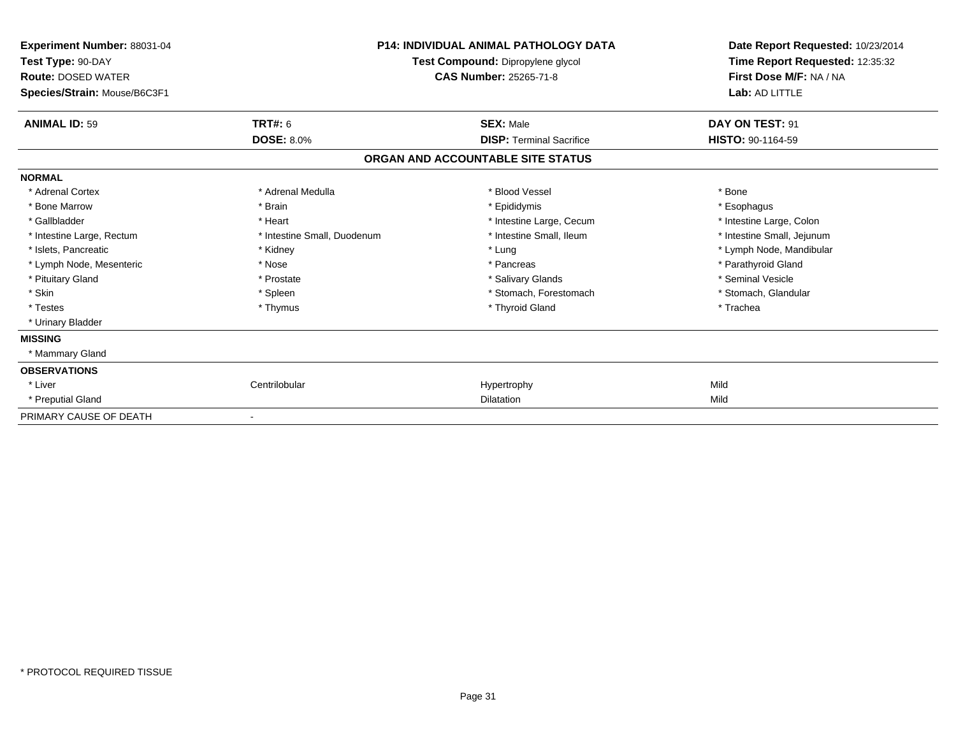| Experiment Number: 88031-04<br>Test Type: 90-DAY<br><b>Route: DOSED WATER</b><br>Species/Strain: Mouse/B6C3F1 |                             | <b>P14: INDIVIDUAL ANIMAL PATHOLOGY DATA</b><br>Test Compound: Dipropylene glycol<br><b>CAS Number: 25265-71-8</b> | Date Report Requested: 10/23/2014<br>Time Report Requested: 12:35:32<br>First Dose M/F: NA / NA<br>Lab: AD LITTLE |
|---------------------------------------------------------------------------------------------------------------|-----------------------------|--------------------------------------------------------------------------------------------------------------------|-------------------------------------------------------------------------------------------------------------------|
| <b>ANIMAL ID: 59</b>                                                                                          | <b>TRT#: 6</b>              | <b>SEX: Male</b>                                                                                                   | DAY ON TEST: 91                                                                                                   |
|                                                                                                               | <b>DOSE: 8.0%</b>           | <b>DISP: Terminal Sacrifice</b>                                                                                    | HISTO: 90-1164-59                                                                                                 |
|                                                                                                               |                             | ORGAN AND ACCOUNTABLE SITE STATUS                                                                                  |                                                                                                                   |
| <b>NORMAL</b>                                                                                                 |                             |                                                                                                                    |                                                                                                                   |
| * Adrenal Cortex                                                                                              | * Adrenal Medulla           | * Blood Vessel                                                                                                     | * Bone                                                                                                            |
| * Bone Marrow                                                                                                 | * Brain                     | * Epididymis                                                                                                       | * Esophagus                                                                                                       |
| * Gallbladder                                                                                                 | * Heart                     | * Intestine Large, Cecum                                                                                           | * Intestine Large, Colon                                                                                          |
| * Intestine Large, Rectum                                                                                     | * Intestine Small, Duodenum | * Intestine Small, Ileum                                                                                           | * Intestine Small, Jejunum                                                                                        |
| * Islets, Pancreatic                                                                                          | * Kidney                    | * Lung                                                                                                             | * Lymph Node, Mandibular                                                                                          |
| * Lymph Node, Mesenteric                                                                                      | * Nose                      | * Pancreas                                                                                                         | * Parathyroid Gland                                                                                               |
| * Pituitary Gland                                                                                             | * Prostate                  | * Salivary Glands                                                                                                  | * Seminal Vesicle                                                                                                 |
| * Skin                                                                                                        | * Spleen                    | * Stomach, Forestomach                                                                                             | * Stomach, Glandular                                                                                              |
| * Testes                                                                                                      | * Thymus                    | * Thyroid Gland                                                                                                    | * Trachea                                                                                                         |
| * Urinary Bladder                                                                                             |                             |                                                                                                                    |                                                                                                                   |
| <b>MISSING</b>                                                                                                |                             |                                                                                                                    |                                                                                                                   |
| * Mammary Gland                                                                                               |                             |                                                                                                                    |                                                                                                                   |
| <b>OBSERVATIONS</b>                                                                                           |                             |                                                                                                                    |                                                                                                                   |
| * Liver                                                                                                       | Centrilobular               | Hypertrophy                                                                                                        | Mild                                                                                                              |
| * Preputial Gland                                                                                             |                             | Dilatation                                                                                                         | Mild                                                                                                              |
| PRIMARY CAUSE OF DEATH                                                                                        |                             |                                                                                                                    |                                                                                                                   |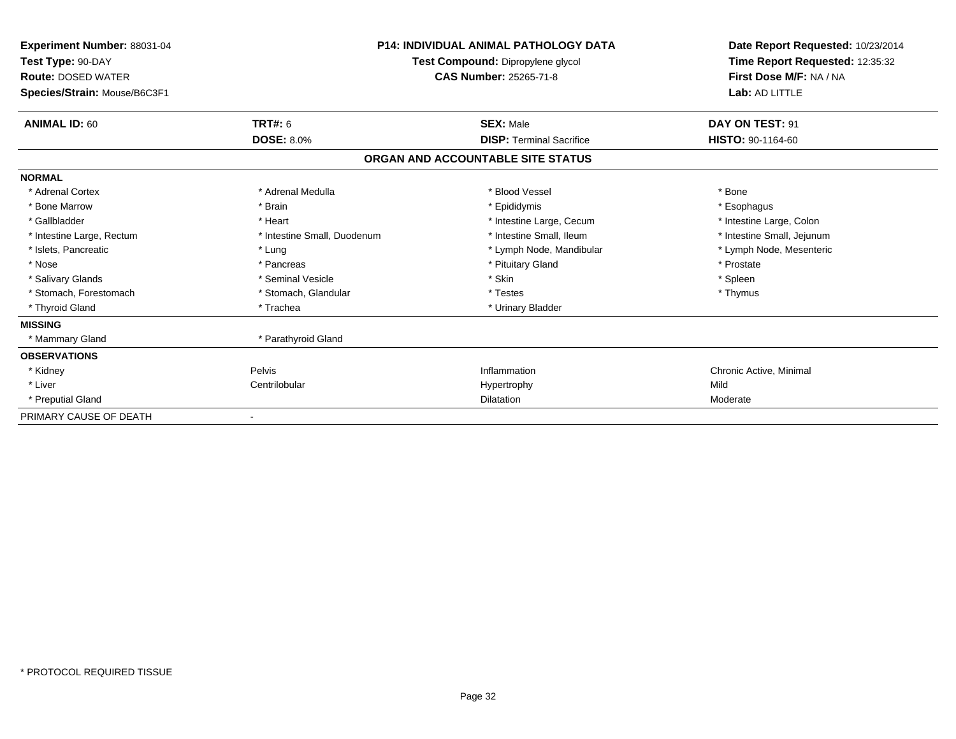| Experiment Number: 88031-04<br>Test Type: 90-DAY<br><b>Route: DOSED WATER</b><br>Species/Strain: Mouse/B6C3F1 | <b>P14: INDIVIDUAL ANIMAL PATHOLOGY DATA</b><br>Test Compound: Dipropylene glycol<br><b>CAS Number: 25265-71-8</b> |                                   | Date Report Requested: 10/23/2014<br>Time Report Requested: 12:35:32<br>First Dose M/F: NA / NA<br>Lab: AD LITTLE |
|---------------------------------------------------------------------------------------------------------------|--------------------------------------------------------------------------------------------------------------------|-----------------------------------|-------------------------------------------------------------------------------------------------------------------|
| <b>ANIMAL ID: 60</b>                                                                                          | <b>TRT#: 6</b>                                                                                                     | <b>SEX: Male</b>                  | DAY ON TEST: 91                                                                                                   |
|                                                                                                               | <b>DOSE: 8.0%</b>                                                                                                  | <b>DISP:</b> Terminal Sacrifice   | HISTO: 90-1164-60                                                                                                 |
|                                                                                                               |                                                                                                                    | ORGAN AND ACCOUNTABLE SITE STATUS |                                                                                                                   |
| <b>NORMAL</b>                                                                                                 |                                                                                                                    |                                   |                                                                                                                   |
| * Adrenal Cortex                                                                                              | * Adrenal Medulla                                                                                                  | * Blood Vessel                    | * Bone                                                                                                            |
| * Bone Marrow                                                                                                 | * Brain                                                                                                            | * Epididymis                      | * Esophagus                                                                                                       |
| * Gallbladder                                                                                                 | * Heart                                                                                                            | * Intestine Large, Cecum          | * Intestine Large, Colon                                                                                          |
| * Intestine Large, Rectum                                                                                     | * Intestine Small, Duodenum                                                                                        | * Intestine Small, Ileum          | * Intestine Small, Jejunum                                                                                        |
| * Islets, Pancreatic                                                                                          | * Lung                                                                                                             | * Lymph Node, Mandibular          | * Lymph Node, Mesenteric                                                                                          |
| * Nose                                                                                                        | * Pancreas                                                                                                         | * Pituitary Gland                 | * Prostate                                                                                                        |
| * Salivary Glands                                                                                             | * Seminal Vesicle                                                                                                  | * Skin                            | * Spleen                                                                                                          |
| * Stomach, Forestomach                                                                                        | * Stomach, Glandular                                                                                               | * Testes                          | * Thymus                                                                                                          |
| * Thyroid Gland                                                                                               | * Trachea                                                                                                          | * Urinary Bladder                 |                                                                                                                   |
| <b>MISSING</b>                                                                                                |                                                                                                                    |                                   |                                                                                                                   |
| * Mammary Gland                                                                                               | * Parathyroid Gland                                                                                                |                                   |                                                                                                                   |
| <b>OBSERVATIONS</b>                                                                                           |                                                                                                                    |                                   |                                                                                                                   |
| * Kidney                                                                                                      | Pelvis                                                                                                             | Inflammation                      | Chronic Active, Minimal                                                                                           |
| * Liver                                                                                                       | Centrilobular                                                                                                      | Hypertrophy                       | Mild                                                                                                              |
| * Preputial Gland                                                                                             |                                                                                                                    | Dilatation                        | Moderate                                                                                                          |
| PRIMARY CAUSE OF DEATH                                                                                        |                                                                                                                    |                                   |                                                                                                                   |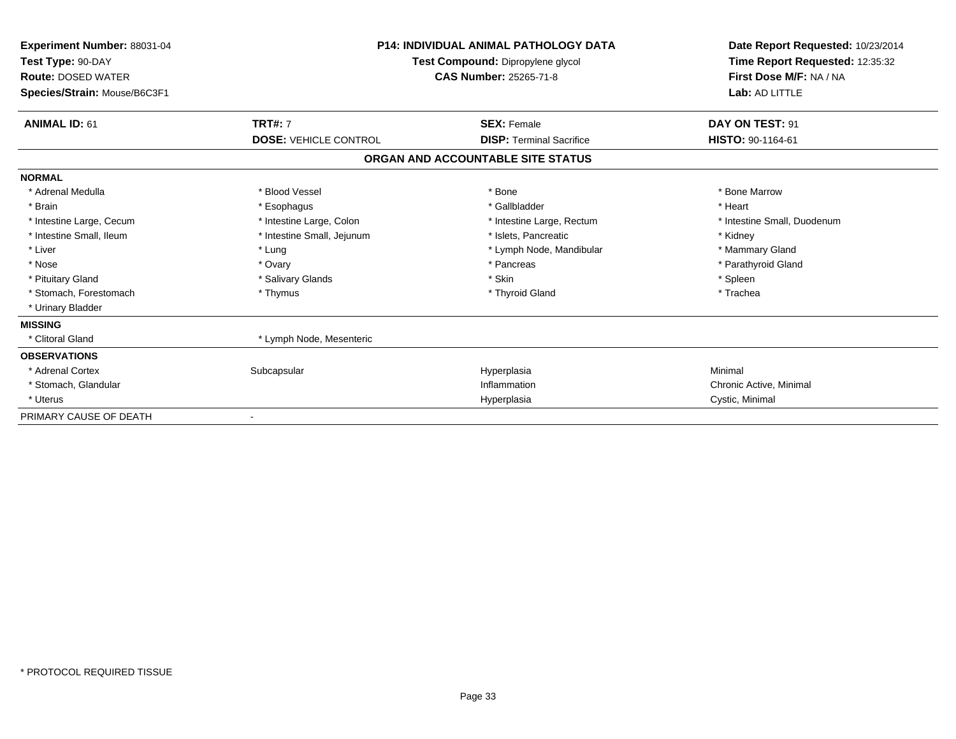| Experiment Number: 88031-04<br>Test Type: 90-DAY<br><b>Route: DOSED WATER</b><br>Species/Strain: Mouse/B6C3F1 | <b>P14: INDIVIDUAL ANIMAL PATHOLOGY DATA</b><br>Test Compound: Dipropylene glycol<br>CAS Number: 25265-71-8 |                                   |                             |  | Date Report Requested: 10/23/2014<br>Time Report Requested: 12:35:32<br>First Dose M/F: NA / NA<br>Lab: AD LITTLE |
|---------------------------------------------------------------------------------------------------------------|-------------------------------------------------------------------------------------------------------------|-----------------------------------|-----------------------------|--|-------------------------------------------------------------------------------------------------------------------|
| <b>ANIMAL ID: 61</b>                                                                                          | <b>TRT#: 7</b>                                                                                              | <b>SEX: Female</b>                | DAY ON TEST: 91             |  |                                                                                                                   |
|                                                                                                               | <b>DOSE: VEHICLE CONTROL</b>                                                                                | <b>DISP: Terminal Sacrifice</b>   | HISTO: 90-1164-61           |  |                                                                                                                   |
|                                                                                                               |                                                                                                             | ORGAN AND ACCOUNTABLE SITE STATUS |                             |  |                                                                                                                   |
| <b>NORMAL</b>                                                                                                 |                                                                                                             |                                   |                             |  |                                                                                                                   |
| * Adrenal Medulla                                                                                             | * Blood Vessel                                                                                              | * Bone                            | * Bone Marrow               |  |                                                                                                                   |
| * Brain                                                                                                       | * Esophagus                                                                                                 | * Gallbladder                     | * Heart                     |  |                                                                                                                   |
| * Intestine Large, Cecum                                                                                      | * Intestine Large, Colon                                                                                    | * Intestine Large, Rectum         | * Intestine Small, Duodenum |  |                                                                                                                   |
| * Intestine Small, Ileum                                                                                      | * Intestine Small, Jejunum                                                                                  | * Islets, Pancreatic              | * Kidney                    |  |                                                                                                                   |
| * Liver                                                                                                       | * Lung                                                                                                      | * Lymph Node, Mandibular          | * Mammary Gland             |  |                                                                                                                   |
| * Nose                                                                                                        | * Ovary                                                                                                     | * Pancreas                        | * Parathyroid Gland         |  |                                                                                                                   |
| * Pituitary Gland                                                                                             | * Salivary Glands                                                                                           | * Skin                            | * Spleen                    |  |                                                                                                                   |
| * Stomach, Forestomach                                                                                        | * Thymus                                                                                                    | * Thyroid Gland                   | * Trachea                   |  |                                                                                                                   |
| * Urinary Bladder                                                                                             |                                                                                                             |                                   |                             |  |                                                                                                                   |
| <b>MISSING</b>                                                                                                |                                                                                                             |                                   |                             |  |                                                                                                                   |
| * Clitoral Gland                                                                                              | * Lymph Node, Mesenteric                                                                                    |                                   |                             |  |                                                                                                                   |
| <b>OBSERVATIONS</b>                                                                                           |                                                                                                             |                                   |                             |  |                                                                                                                   |
| * Adrenal Cortex                                                                                              | Subcapsular                                                                                                 | Hyperplasia                       | Minimal                     |  |                                                                                                                   |
| * Stomach, Glandular                                                                                          |                                                                                                             | Inflammation                      | Chronic Active, Minimal     |  |                                                                                                                   |
| * Uterus                                                                                                      |                                                                                                             | Hyperplasia                       | Cystic, Minimal             |  |                                                                                                                   |
| PRIMARY CAUSE OF DEATH                                                                                        |                                                                                                             |                                   |                             |  |                                                                                                                   |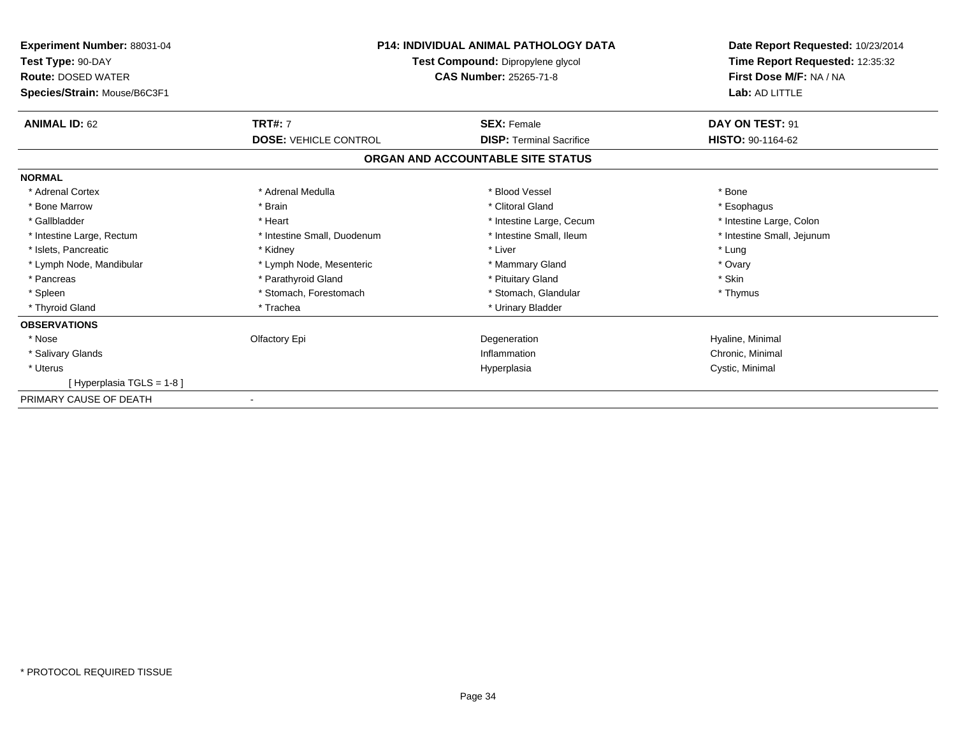| Experiment Number: 88031-04<br>Test Type: 90-DAY          | <b>P14: INDIVIDUAL ANIMAL PATHOLOGY DATA</b><br>Test Compound: Dipropylene glycol<br><b>CAS Number: 25265-71-8</b> |                                   | Date Report Requested: 10/23/2014<br>Time Report Requested: 12:35:32<br>First Dose M/F: NA / NA<br>Lab: AD LITTLE |
|-----------------------------------------------------------|--------------------------------------------------------------------------------------------------------------------|-----------------------------------|-------------------------------------------------------------------------------------------------------------------|
| <b>Route: DOSED WATER</b><br>Species/Strain: Mouse/B6C3F1 |                                                                                                                    |                                   |                                                                                                                   |
| <b>ANIMAL ID: 62</b>                                      | <b>TRT#: 7</b>                                                                                                     | <b>SEX: Female</b>                | DAY ON TEST: 91                                                                                                   |
|                                                           | <b>DOSE: VEHICLE CONTROL</b>                                                                                       | <b>DISP: Terminal Sacrifice</b>   | HISTO: 90-1164-62                                                                                                 |
|                                                           |                                                                                                                    | ORGAN AND ACCOUNTABLE SITE STATUS |                                                                                                                   |
| <b>NORMAL</b>                                             |                                                                                                                    |                                   |                                                                                                                   |
| * Adrenal Cortex                                          | * Adrenal Medulla                                                                                                  | * Blood Vessel                    | * Bone                                                                                                            |
| * Bone Marrow                                             | * Brain                                                                                                            | * Clitoral Gland                  | * Esophagus                                                                                                       |
| * Gallbladder                                             | * Heart                                                                                                            | * Intestine Large, Cecum          | * Intestine Large, Colon                                                                                          |
| * Intestine Large, Rectum                                 | * Intestine Small, Duodenum                                                                                        | * Intestine Small, Ileum          | * Intestine Small, Jejunum                                                                                        |
| * Islets, Pancreatic                                      | * Kidney                                                                                                           | * Liver                           | * Lung                                                                                                            |
| * Lymph Node, Mandibular                                  | * Lymph Node, Mesenteric                                                                                           | * Mammary Gland                   | * Ovary                                                                                                           |
| * Pancreas                                                | * Parathyroid Gland                                                                                                | * Pituitary Gland                 | * Skin                                                                                                            |
| * Spleen                                                  | * Stomach, Forestomach                                                                                             | * Stomach, Glandular              | * Thymus                                                                                                          |
| * Thyroid Gland                                           | * Trachea                                                                                                          | * Urinary Bladder                 |                                                                                                                   |
| <b>OBSERVATIONS</b>                                       |                                                                                                                    |                                   |                                                                                                                   |
| * Nose                                                    | Olfactory Epi                                                                                                      | Degeneration                      | Hyaline, Minimal                                                                                                  |
| * Salivary Glands                                         |                                                                                                                    | Inflammation                      | Chronic, Minimal                                                                                                  |
| * Uterus                                                  |                                                                                                                    | Hyperplasia                       | Cystic, Minimal                                                                                                   |
| [Hyperplasia TGLS = 1-8]                                  |                                                                                                                    |                                   |                                                                                                                   |
| PRIMARY CAUSE OF DEATH                                    |                                                                                                                    |                                   |                                                                                                                   |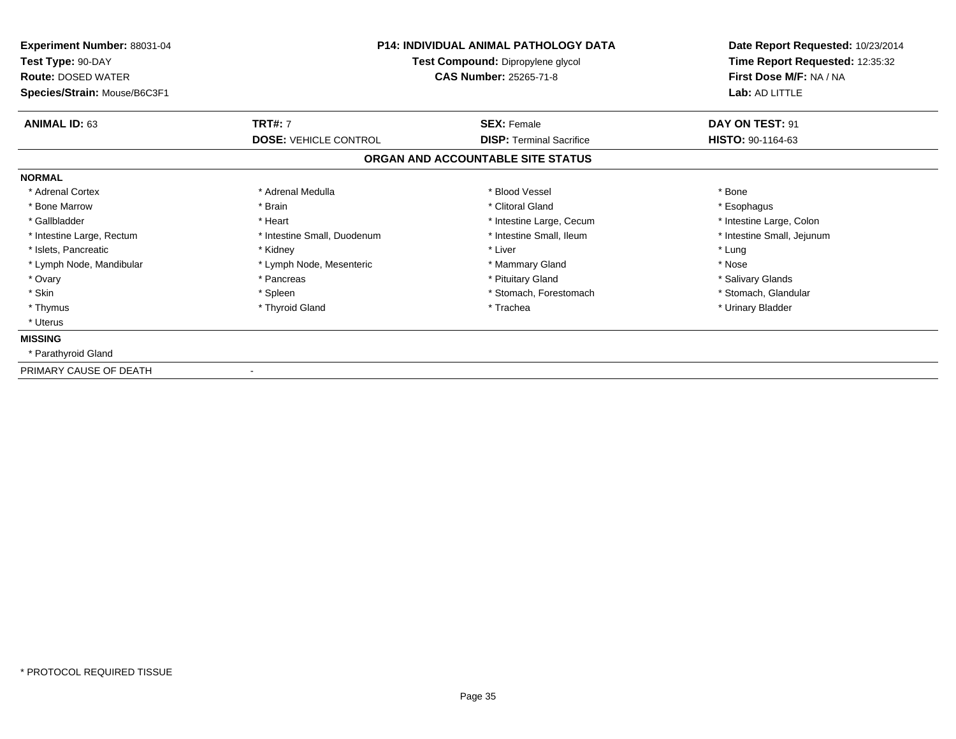| Experiment Number: 88031-04<br>Test Type: 90-DAY<br><b>Route: DOSED WATER</b><br>Species/Strain: Mouse/B6C3F1 | <b>P14: INDIVIDUAL ANIMAL PATHOLOGY DATA</b><br>Test Compound: Dipropylene glycol<br><b>CAS Number: 25265-71-8</b> |                                                       | Date Report Requested: 10/23/2014<br>Time Report Requested: 12:35:32<br>First Dose M/F: NA / NA<br>Lab: AD LITTLE |
|---------------------------------------------------------------------------------------------------------------|--------------------------------------------------------------------------------------------------------------------|-------------------------------------------------------|-------------------------------------------------------------------------------------------------------------------|
| <b>ANIMAL ID: 63</b>                                                                                          | <b>TRT#: 7</b><br><b>DOSE: VEHICLE CONTROL</b>                                                                     | <b>SEX: Female</b><br><b>DISP: Terminal Sacrifice</b> | DAY ON TEST: 91<br>HISTO: 90-1164-63                                                                              |
|                                                                                                               |                                                                                                                    | ORGAN AND ACCOUNTABLE SITE STATUS                     |                                                                                                                   |
| <b>NORMAL</b>                                                                                                 |                                                                                                                    |                                                       |                                                                                                                   |
| * Adrenal Cortex                                                                                              | * Adrenal Medulla                                                                                                  | * Blood Vessel                                        | * Bone                                                                                                            |
| * Bone Marrow                                                                                                 | * Brain                                                                                                            | * Clitoral Gland                                      | * Esophagus                                                                                                       |
| * Gallbladder                                                                                                 | * Heart                                                                                                            | * Intestine Large, Cecum                              | * Intestine Large, Colon                                                                                          |
| * Intestine Large, Rectum                                                                                     | * Intestine Small, Duodenum                                                                                        | * Intestine Small, Ileum                              | * Intestine Small, Jejunum                                                                                        |
| * Islets, Pancreatic                                                                                          | * Kidney                                                                                                           | * Liver                                               | * Lung                                                                                                            |
| * Lymph Node, Mandibular                                                                                      | * Lymph Node, Mesenteric                                                                                           | * Mammary Gland                                       | * Nose                                                                                                            |
| * Ovary                                                                                                       | * Pancreas                                                                                                         | * Pituitary Gland                                     | * Salivary Glands                                                                                                 |
| * Skin                                                                                                        | * Spleen                                                                                                           | * Stomach, Forestomach                                | * Stomach, Glandular                                                                                              |
| * Thymus                                                                                                      | * Thyroid Gland                                                                                                    | * Trachea                                             | * Urinary Bladder                                                                                                 |
| * Uterus                                                                                                      |                                                                                                                    |                                                       |                                                                                                                   |
| <b>MISSING</b>                                                                                                |                                                                                                                    |                                                       |                                                                                                                   |
| * Parathyroid Gland                                                                                           |                                                                                                                    |                                                       |                                                                                                                   |
| PRIMARY CAUSE OF DEATH                                                                                        |                                                                                                                    |                                                       |                                                                                                                   |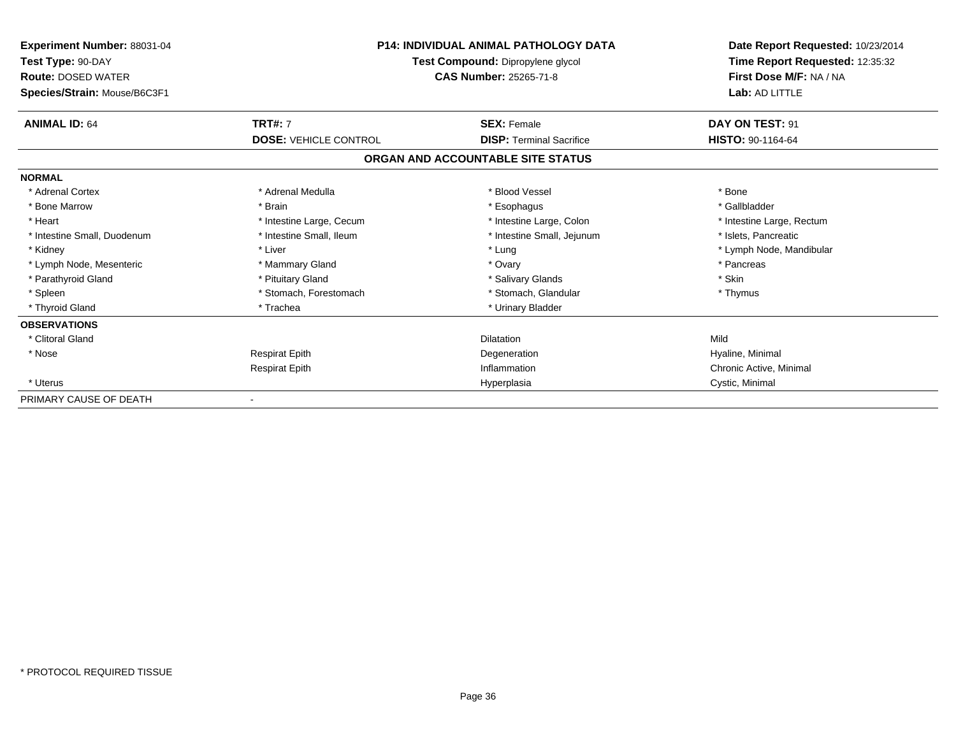| Experiment Number: 88031-04<br>Test Type: 90-DAY          |                              | <b>P14: INDIVIDUAL ANIMAL PATHOLOGY DATA</b><br>Test Compound: Dipropylene glycol<br>CAS Number: 25265-71-8 |                           |
|-----------------------------------------------------------|------------------------------|-------------------------------------------------------------------------------------------------------------|---------------------------|
| <b>Route: DOSED WATER</b><br>Species/Strain: Mouse/B6C3F1 |                              |                                                                                                             |                           |
| <b>ANIMAL ID: 64</b>                                      | <b>TRT#: 7</b>               | <b>SEX: Female</b>                                                                                          | DAY ON TEST: 91           |
|                                                           | <b>DOSE: VEHICLE CONTROL</b> | <b>DISP:</b> Terminal Sacrifice                                                                             | HISTO: 90-1164-64         |
|                                                           |                              | ORGAN AND ACCOUNTABLE SITE STATUS                                                                           |                           |
| <b>NORMAL</b>                                             |                              |                                                                                                             |                           |
| * Adrenal Cortex                                          | * Adrenal Medulla            | * Blood Vessel                                                                                              | * Bone                    |
| * Bone Marrow                                             | * Brain                      | * Esophagus                                                                                                 | * Gallbladder             |
| * Heart                                                   | * Intestine Large, Cecum     | * Intestine Large, Colon                                                                                    | * Intestine Large, Rectum |
| * Intestine Small, Duodenum                               | * Intestine Small, Ileum     | * Intestine Small, Jejunum                                                                                  | * Islets. Pancreatic      |
| * Kidney                                                  | * Liver                      | * Lung                                                                                                      | * Lymph Node, Mandibular  |
| * Lymph Node, Mesenteric                                  | * Mammary Gland              | * Ovary                                                                                                     | * Pancreas                |
| * Parathyroid Gland                                       | * Pituitary Gland            | * Salivary Glands                                                                                           | * Skin                    |
| * Spleen                                                  | * Stomach, Forestomach       | * Stomach, Glandular                                                                                        | * Thymus                  |
| * Thyroid Gland                                           | * Trachea                    | * Urinary Bladder                                                                                           |                           |
| <b>OBSERVATIONS</b>                                       |                              |                                                                                                             |                           |
| * Clitoral Gland                                          |                              | <b>Dilatation</b>                                                                                           | Mild                      |
| * Nose                                                    | <b>Respirat Epith</b>        | Degeneration                                                                                                | Hyaline, Minimal          |
|                                                           | <b>Respirat Epith</b>        | Inflammation                                                                                                | Chronic Active, Minimal   |
| * Uterus                                                  |                              | Hyperplasia                                                                                                 | Cystic, Minimal           |
| PRIMARY CAUSE OF DEATH                                    |                              |                                                                                                             |                           |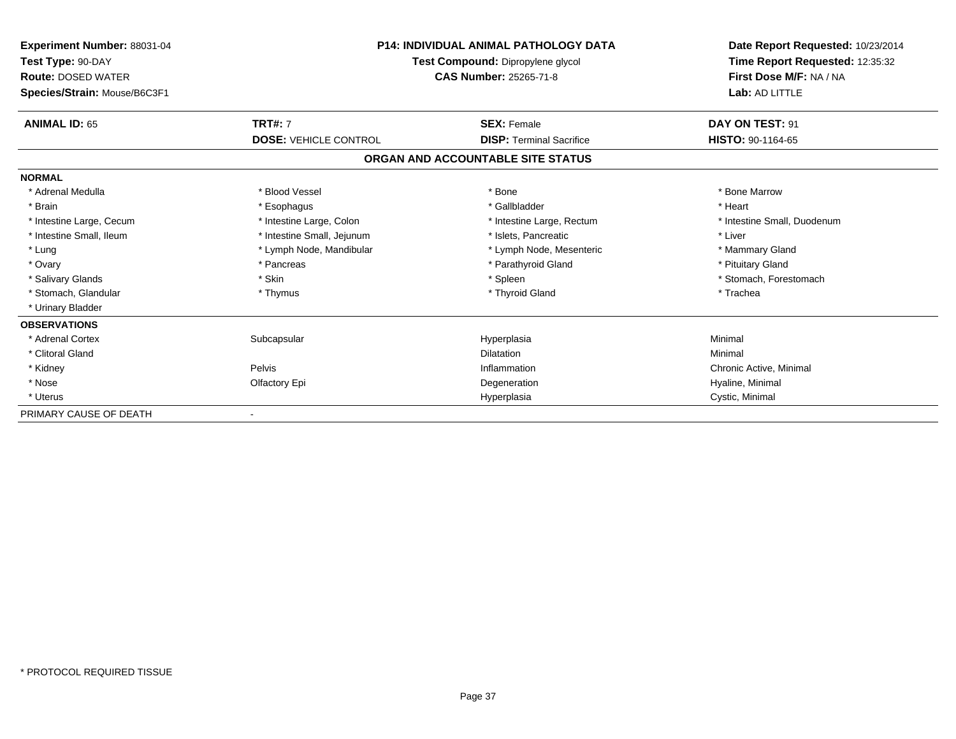| <b>P14: INDIVIDUAL ANIMAL PATHOLOGY DATA</b><br><b>Experiment Number: 88031-04</b><br>Test Type: 90-DAY<br>Test Compound: Dipropylene glycol<br><b>Route: DOSED WATER</b><br><b>CAS Number: 25265-71-8</b><br>Species/Strain: Mouse/B6C3F1 |                              | Date Report Requested: 10/23/2014<br>Time Report Requested: 12:35:32<br>First Dose M/F: NA / NA<br>Lab: AD LITTLE |                             |
|--------------------------------------------------------------------------------------------------------------------------------------------------------------------------------------------------------------------------------------------|------------------------------|-------------------------------------------------------------------------------------------------------------------|-----------------------------|
|                                                                                                                                                                                                                                            |                              |                                                                                                                   |                             |
| <b>ANIMAL ID: 65</b>                                                                                                                                                                                                                       | <b>TRT#: 7</b>               | <b>SEX: Female</b>                                                                                                | DAY ON TEST: 91             |
|                                                                                                                                                                                                                                            | <b>DOSE: VEHICLE CONTROL</b> | <b>DISP: Terminal Sacrifice</b>                                                                                   | HISTO: 90-1164-65           |
|                                                                                                                                                                                                                                            |                              | ORGAN AND ACCOUNTABLE SITE STATUS                                                                                 |                             |
| <b>NORMAL</b>                                                                                                                                                                                                                              |                              |                                                                                                                   |                             |
| * Adrenal Medulla                                                                                                                                                                                                                          | * Blood Vessel               | * Bone                                                                                                            | * Bone Marrow               |
| * Brain                                                                                                                                                                                                                                    | * Esophagus                  | * Gallbladder                                                                                                     | * Heart                     |
| * Intestine Large, Cecum                                                                                                                                                                                                                   | * Intestine Large, Colon     | * Intestine Large, Rectum                                                                                         | * Intestine Small, Duodenum |
| * Intestine Small, Ileum                                                                                                                                                                                                                   | * Intestine Small, Jejunum   | * Islets, Pancreatic                                                                                              | * Liver                     |
| * Lung                                                                                                                                                                                                                                     | * Lymph Node, Mandibular     | * Lymph Node, Mesenteric                                                                                          | * Mammary Gland             |
| * Ovary                                                                                                                                                                                                                                    | * Pancreas                   | * Parathyroid Gland                                                                                               | * Pituitary Gland           |
| * Salivary Glands                                                                                                                                                                                                                          | * Skin                       | * Spleen                                                                                                          | * Stomach, Forestomach      |
| * Stomach, Glandular                                                                                                                                                                                                                       | * Thymus                     | * Thyroid Gland                                                                                                   | * Trachea                   |
| * Urinary Bladder                                                                                                                                                                                                                          |                              |                                                                                                                   |                             |
| <b>OBSERVATIONS</b>                                                                                                                                                                                                                        |                              |                                                                                                                   |                             |
| * Adrenal Cortex                                                                                                                                                                                                                           | Subcapsular                  | Hyperplasia                                                                                                       | Minimal                     |
| * Clitoral Gland                                                                                                                                                                                                                           |                              | <b>Dilatation</b>                                                                                                 | Minimal                     |
| * Kidney                                                                                                                                                                                                                                   | Pelvis                       | Inflammation                                                                                                      | Chronic Active, Minimal     |
| * Nose                                                                                                                                                                                                                                     | Olfactory Epi                | Degeneration                                                                                                      | Hyaline, Minimal            |
| * Uterus                                                                                                                                                                                                                                   |                              | Hyperplasia                                                                                                       | Cystic, Minimal             |
| PRIMARY CAUSE OF DEATH                                                                                                                                                                                                                     |                              |                                                                                                                   |                             |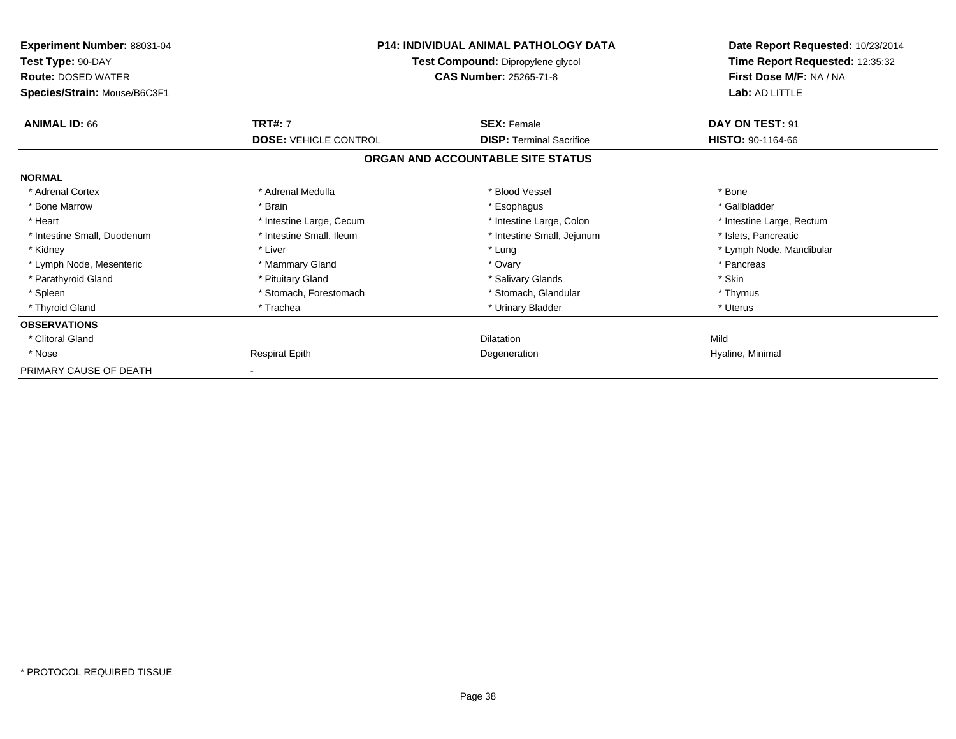| Experiment Number: 88031-04<br>Test Type: 90-DAY<br><b>Route: DOSED WATER</b><br>Species/Strain: Mouse/B6C3F1 | <b>P14: INDIVIDUAL ANIMAL PATHOLOGY DATA</b><br>Test Compound: Dipropylene glycol<br><b>CAS Number: 25265-71-8</b> |                                                       | Date Report Requested: 10/23/2014<br>Time Report Requested: 12:35:32<br>First Dose M/F: NA / NA<br>Lab: AD LITTLE |
|---------------------------------------------------------------------------------------------------------------|--------------------------------------------------------------------------------------------------------------------|-------------------------------------------------------|-------------------------------------------------------------------------------------------------------------------|
| <b>ANIMAL ID: 66</b>                                                                                          | <b>TRT#: 7</b><br><b>DOSE: VEHICLE CONTROL</b>                                                                     | <b>SEX: Female</b><br><b>DISP: Terminal Sacrifice</b> | DAY ON TEST: 91<br>HISTO: 90-1164-66                                                                              |
|                                                                                                               |                                                                                                                    | ORGAN AND ACCOUNTABLE SITE STATUS                     |                                                                                                                   |
| <b>NORMAL</b>                                                                                                 |                                                                                                                    |                                                       |                                                                                                                   |
| * Adrenal Cortex                                                                                              | * Adrenal Medulla                                                                                                  | * Blood Vessel                                        | * Bone                                                                                                            |
| * Bone Marrow                                                                                                 | * Brain                                                                                                            | * Esophagus                                           | * Gallbladder                                                                                                     |
| * Heart                                                                                                       | * Intestine Large, Cecum                                                                                           | * Intestine Large, Colon                              | * Intestine Large, Rectum                                                                                         |
| * Intestine Small, Duodenum                                                                                   | * Intestine Small, Ileum                                                                                           | * Intestine Small, Jejunum                            | * Islets, Pancreatic                                                                                              |
| * Kidney                                                                                                      | * Liver                                                                                                            | * Lung                                                | * Lymph Node, Mandibular                                                                                          |
| * Lymph Node, Mesenteric                                                                                      | * Mammary Gland                                                                                                    | * Ovary                                               | * Pancreas                                                                                                        |
| * Parathyroid Gland                                                                                           | * Pituitary Gland                                                                                                  | * Salivary Glands                                     | * Skin                                                                                                            |
| * Spleen                                                                                                      | * Stomach, Forestomach                                                                                             | * Stomach, Glandular                                  | * Thymus                                                                                                          |
| * Thyroid Gland                                                                                               | * Trachea                                                                                                          | * Urinary Bladder                                     | * Uterus                                                                                                          |
| <b>OBSERVATIONS</b>                                                                                           |                                                                                                                    |                                                       |                                                                                                                   |
| * Clitoral Gland                                                                                              |                                                                                                                    | <b>Dilatation</b>                                     | Mild                                                                                                              |
| * Nose                                                                                                        | <b>Respirat Epith</b>                                                                                              | Degeneration                                          | Hyaline, Minimal                                                                                                  |
| PRIMARY CAUSE OF DEATH                                                                                        |                                                                                                                    |                                                       |                                                                                                                   |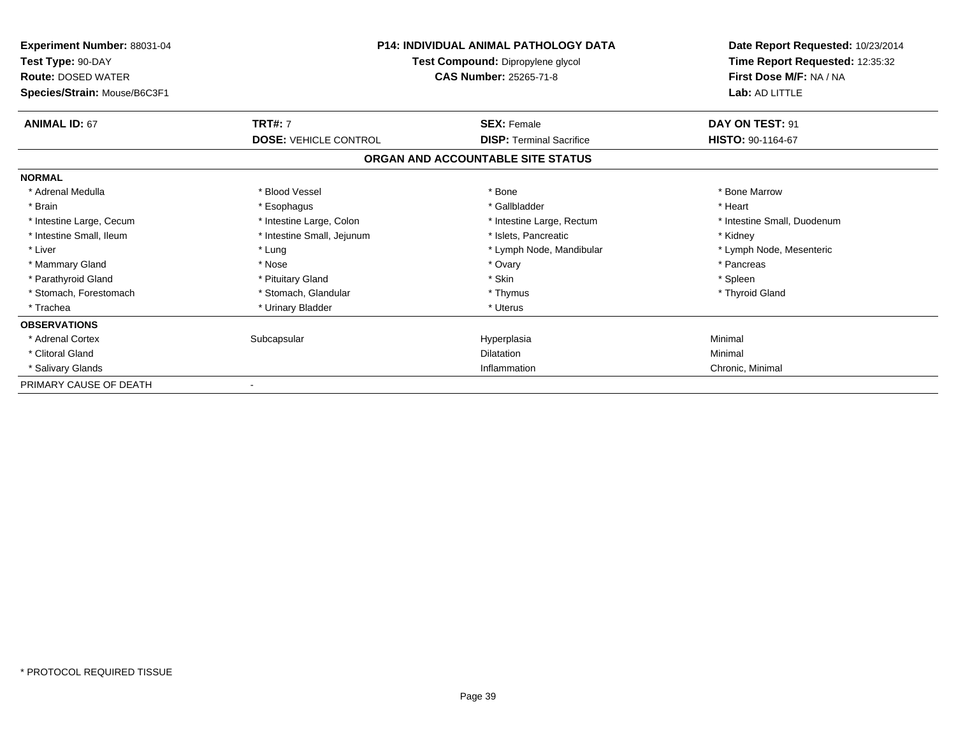| <b>Experiment Number: 88031-04</b><br>Test Type: 90-DAY<br><b>Route: DOSED WATER</b><br>Species/Strain: Mouse/B6C3F1 | <b>P14: INDIVIDUAL ANIMAL PATHOLOGY DATA</b><br>Test Compound: Dipropylene glycol<br><b>CAS Number: 25265-71-8</b> |                                   | Date Report Requested: 10/23/2014<br>Time Report Requested: 12:35:32<br>First Dose M/F: NA / NA<br>Lab: AD LITTLE |
|----------------------------------------------------------------------------------------------------------------------|--------------------------------------------------------------------------------------------------------------------|-----------------------------------|-------------------------------------------------------------------------------------------------------------------|
| <b>ANIMAL ID: 67</b>                                                                                                 | <b>TRT#: 7</b>                                                                                                     | <b>SEX: Female</b>                | DAY ON TEST: 91                                                                                                   |
|                                                                                                                      | <b>DOSE: VEHICLE CONTROL</b>                                                                                       | <b>DISP: Terminal Sacrifice</b>   | HISTO: 90-1164-67                                                                                                 |
|                                                                                                                      |                                                                                                                    | ORGAN AND ACCOUNTABLE SITE STATUS |                                                                                                                   |
| <b>NORMAL</b>                                                                                                        |                                                                                                                    |                                   |                                                                                                                   |
| * Adrenal Medulla                                                                                                    | * Blood Vessel                                                                                                     | * Bone                            | * Bone Marrow                                                                                                     |
| * Brain                                                                                                              | * Esophagus                                                                                                        | * Gallbladder                     | * Heart                                                                                                           |
| * Intestine Large, Cecum                                                                                             | * Intestine Large, Colon                                                                                           | * Intestine Large, Rectum         | * Intestine Small, Duodenum                                                                                       |
| * Intestine Small, Ileum                                                                                             | * Intestine Small, Jejunum                                                                                         | * Islets, Pancreatic              | * Kidney                                                                                                          |
| * Liver                                                                                                              | * Lung                                                                                                             | * Lymph Node, Mandibular          | * Lymph Node, Mesenteric                                                                                          |
| * Mammary Gland                                                                                                      | * Nose                                                                                                             | * Ovary                           | * Pancreas                                                                                                        |
| * Parathyroid Gland                                                                                                  | * Pituitary Gland                                                                                                  | * Skin                            | * Spleen                                                                                                          |
| * Stomach, Forestomach                                                                                               | * Stomach, Glandular                                                                                               | * Thymus                          | * Thyroid Gland                                                                                                   |
| * Trachea                                                                                                            | * Urinary Bladder                                                                                                  | * Uterus                          |                                                                                                                   |
| <b>OBSERVATIONS</b>                                                                                                  |                                                                                                                    |                                   |                                                                                                                   |
| * Adrenal Cortex                                                                                                     | Subcapsular                                                                                                        | Hyperplasia                       | Minimal                                                                                                           |
| * Clitoral Gland                                                                                                     |                                                                                                                    | <b>Dilatation</b>                 | Minimal                                                                                                           |
| * Salivary Glands                                                                                                    |                                                                                                                    | Inflammation                      | Chronic, Minimal                                                                                                  |
| PRIMARY CAUSE OF DEATH                                                                                               |                                                                                                                    |                                   |                                                                                                                   |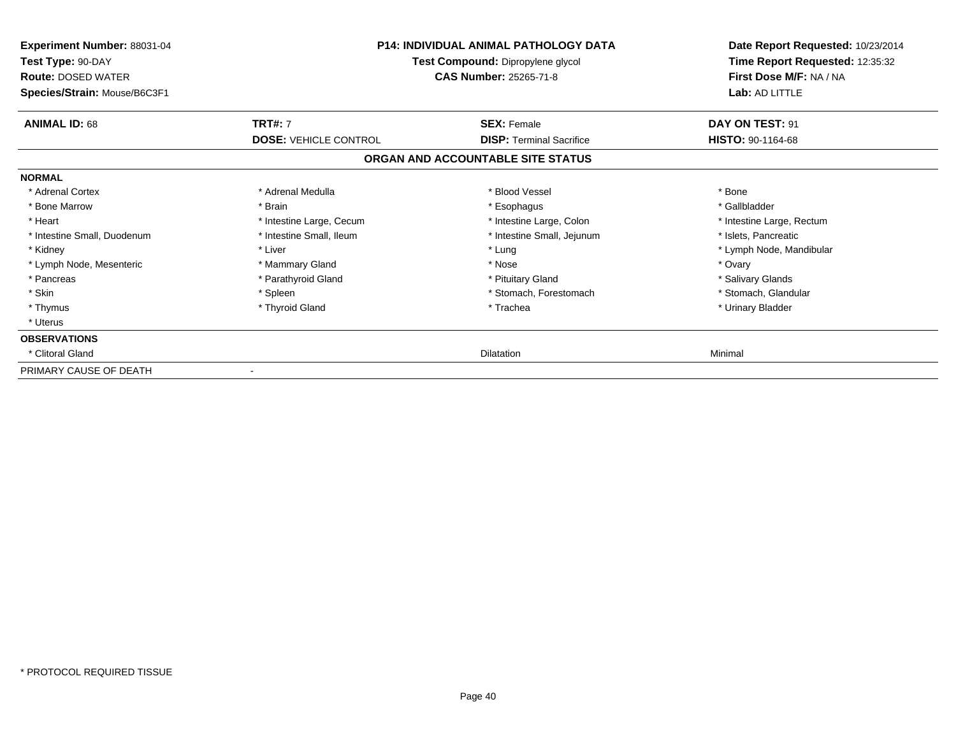| Experiment Number: 88031-04<br>Test Type: 90-DAY<br><b>Route: DOSED WATER</b><br>Species/Strain: Mouse/B6C3F1 | <b>P14: INDIVIDUAL ANIMAL PATHOLOGY DATA</b><br>Test Compound: Dipropylene glycol<br><b>CAS Number: 25265-71-8</b> |                                                       | Date Report Requested: 10/23/2014<br>Time Report Requested: 12:35:32<br>First Dose M/F: NA / NA<br>Lab: AD LITTLE |
|---------------------------------------------------------------------------------------------------------------|--------------------------------------------------------------------------------------------------------------------|-------------------------------------------------------|-------------------------------------------------------------------------------------------------------------------|
| <b>ANIMAL ID: 68</b>                                                                                          | <b>TRT#: 7</b><br><b>DOSE: VEHICLE CONTROL</b>                                                                     | <b>SEX: Female</b><br><b>DISP: Terminal Sacrifice</b> | DAY ON TEST: 91<br>HISTO: 90-1164-68                                                                              |
|                                                                                                               |                                                                                                                    | ORGAN AND ACCOUNTABLE SITE STATUS                     |                                                                                                                   |
| <b>NORMAL</b>                                                                                                 |                                                                                                                    |                                                       |                                                                                                                   |
| * Adrenal Cortex                                                                                              | * Adrenal Medulla                                                                                                  | * Blood Vessel                                        | * Bone                                                                                                            |
| * Bone Marrow                                                                                                 | * Brain                                                                                                            | * Esophagus                                           | * Gallbladder                                                                                                     |
| * Heart                                                                                                       | * Intestine Large, Cecum                                                                                           | * Intestine Large, Colon                              | * Intestine Large, Rectum                                                                                         |
| * Intestine Small, Duodenum                                                                                   | * Intestine Small, Ileum                                                                                           | * Intestine Small, Jejunum                            | * Islets, Pancreatic                                                                                              |
| * Kidney                                                                                                      | * Liver                                                                                                            | * Lung                                                | * Lymph Node, Mandibular                                                                                          |
| * Lymph Node, Mesenteric                                                                                      | * Mammary Gland                                                                                                    | * Nose                                                | * Ovary                                                                                                           |
| * Pancreas                                                                                                    | * Parathyroid Gland                                                                                                | * Pituitary Gland                                     | * Salivary Glands                                                                                                 |
| * Skin                                                                                                        | * Spleen                                                                                                           | * Stomach, Forestomach                                | * Stomach, Glandular                                                                                              |
| * Thymus                                                                                                      | * Thyroid Gland                                                                                                    | * Trachea                                             | * Urinary Bladder                                                                                                 |
| * Uterus                                                                                                      |                                                                                                                    |                                                       |                                                                                                                   |
| <b>OBSERVATIONS</b>                                                                                           |                                                                                                                    |                                                       |                                                                                                                   |
| * Clitoral Gland                                                                                              |                                                                                                                    | Dilatation                                            | Minimal                                                                                                           |
| PRIMARY CAUSE OF DEATH                                                                                        |                                                                                                                    |                                                       |                                                                                                                   |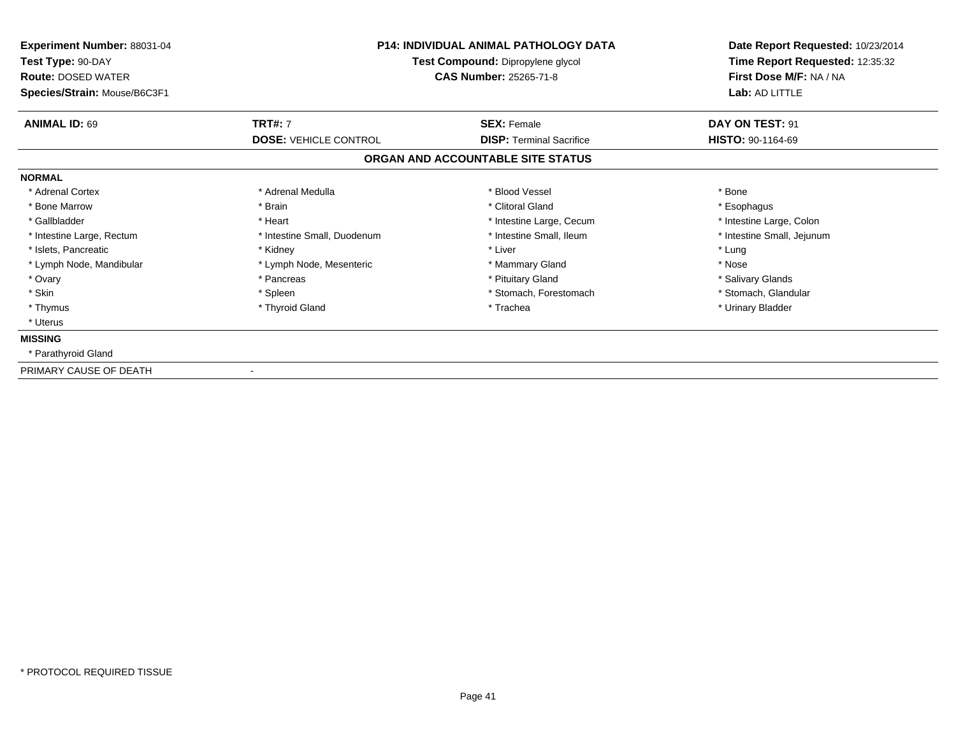| Experiment Number: 88031-04<br>Test Type: 90-DAY<br><b>Route: DOSED WATER</b> | <b>P14: INDIVIDUAL ANIMAL PATHOLOGY DATA</b><br>Test Compound: Dipropylene glycol<br><b>CAS Number: 25265-71-8</b> |                                   | Date Report Requested: 10/23/2014<br>Time Report Requested: 12:35:32<br>First Dose M/F: NA / NA |  |
|-------------------------------------------------------------------------------|--------------------------------------------------------------------------------------------------------------------|-----------------------------------|-------------------------------------------------------------------------------------------------|--|
| Species/Strain: Mouse/B6C3F1                                                  |                                                                                                                    |                                   | Lab: AD LITTLE                                                                                  |  |
| <b>ANIMAL ID: 69</b>                                                          | <b>TRT#: 7</b>                                                                                                     | <b>SEX: Female</b>                | DAY ON TEST: 91                                                                                 |  |
|                                                                               | <b>DOSE: VEHICLE CONTROL</b>                                                                                       | <b>DISP: Terminal Sacrifice</b>   | HISTO: 90-1164-69                                                                               |  |
|                                                                               |                                                                                                                    | ORGAN AND ACCOUNTABLE SITE STATUS |                                                                                                 |  |
| <b>NORMAL</b>                                                                 |                                                                                                                    |                                   |                                                                                                 |  |
| * Adrenal Cortex                                                              | * Adrenal Medulla                                                                                                  | * Blood Vessel                    | * Bone                                                                                          |  |
| * Bone Marrow                                                                 | * Brain                                                                                                            | * Clitoral Gland                  | * Esophagus                                                                                     |  |
| * Gallbladder                                                                 | * Heart                                                                                                            | * Intestine Large, Cecum          | * Intestine Large, Colon                                                                        |  |
| * Intestine Large, Rectum                                                     | * Intestine Small, Duodenum                                                                                        | * Intestine Small, Ileum          | * Intestine Small, Jejunum                                                                      |  |
| * Islets, Pancreatic                                                          | * Kidney                                                                                                           | * Liver                           | * Lung                                                                                          |  |
| * Lymph Node, Mandibular                                                      | * Lymph Node, Mesenteric                                                                                           | * Mammary Gland                   | * Nose                                                                                          |  |
| * Ovary                                                                       | * Pancreas                                                                                                         | * Pituitary Gland                 | * Salivary Glands                                                                               |  |
| * Skin                                                                        | * Spleen                                                                                                           | * Stomach, Forestomach            | * Stomach, Glandular                                                                            |  |
| * Thymus                                                                      | * Thyroid Gland                                                                                                    | * Trachea                         | * Urinary Bladder                                                                               |  |
| * Uterus                                                                      |                                                                                                                    |                                   |                                                                                                 |  |
| <b>MISSING</b>                                                                |                                                                                                                    |                                   |                                                                                                 |  |
| * Parathyroid Gland                                                           |                                                                                                                    |                                   |                                                                                                 |  |
| PRIMARY CAUSE OF DEATH                                                        |                                                                                                                    |                                   |                                                                                                 |  |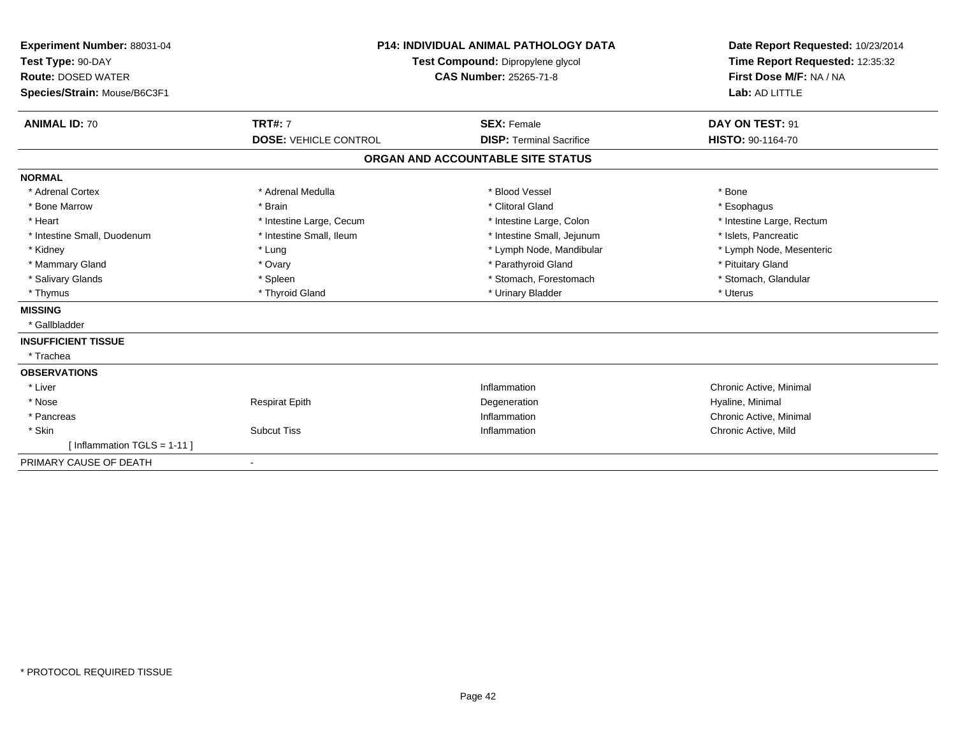| Experiment Number: 88031-04<br>Test Type: 90-DAY<br><b>Route: DOSED WATER</b><br>Species/Strain: Mouse/B6C3F1 |                              | <b>P14: INDIVIDUAL ANIMAL PATHOLOGY DATA</b><br>Test Compound: Dipropylene glycol<br><b>CAS Number: 25265-71-8</b> | Date Report Requested: 10/23/2014<br>Time Report Requested: 12:35:32<br>First Dose M/F: NA / NA<br>Lab: AD LITTLE |
|---------------------------------------------------------------------------------------------------------------|------------------------------|--------------------------------------------------------------------------------------------------------------------|-------------------------------------------------------------------------------------------------------------------|
| <b>ANIMAL ID: 70</b>                                                                                          | <b>TRT#: 7</b>               | <b>SEX: Female</b>                                                                                                 | DAY ON TEST: 91                                                                                                   |
|                                                                                                               | <b>DOSE: VEHICLE CONTROL</b> | <b>DISP: Terminal Sacrifice</b>                                                                                    | HISTO: 90-1164-70                                                                                                 |
|                                                                                                               |                              | ORGAN AND ACCOUNTABLE SITE STATUS                                                                                  |                                                                                                                   |
| <b>NORMAL</b>                                                                                                 |                              |                                                                                                                    |                                                                                                                   |
| * Adrenal Cortex                                                                                              | * Adrenal Medulla            | * Blood Vessel                                                                                                     | * Bone                                                                                                            |
| * Bone Marrow                                                                                                 | * Brain                      | * Clitoral Gland                                                                                                   | * Esophagus                                                                                                       |
| * Heart                                                                                                       | * Intestine Large, Cecum     | * Intestine Large, Colon                                                                                           | * Intestine Large, Rectum                                                                                         |
| * Intestine Small, Duodenum                                                                                   | * Intestine Small, Ileum     | * Intestine Small, Jejunum                                                                                         | * Islets, Pancreatic                                                                                              |
| * Kidney                                                                                                      | * Lung                       | * Lymph Node, Mandibular                                                                                           | * Lymph Node, Mesenteric                                                                                          |
| * Mammary Gland                                                                                               | * Ovary                      | * Parathyroid Gland                                                                                                | * Pituitary Gland                                                                                                 |
| * Salivary Glands                                                                                             | * Spleen                     | * Stomach, Forestomach                                                                                             | * Stomach, Glandular                                                                                              |
| * Thymus                                                                                                      | * Thyroid Gland              | * Urinary Bladder                                                                                                  | * Uterus                                                                                                          |
| <b>MISSING</b>                                                                                                |                              |                                                                                                                    |                                                                                                                   |
| * Gallbladder                                                                                                 |                              |                                                                                                                    |                                                                                                                   |
| <b>INSUFFICIENT TISSUE</b>                                                                                    |                              |                                                                                                                    |                                                                                                                   |
| * Trachea                                                                                                     |                              |                                                                                                                    |                                                                                                                   |
| <b>OBSERVATIONS</b>                                                                                           |                              |                                                                                                                    |                                                                                                                   |
| * Liver                                                                                                       |                              | Inflammation                                                                                                       | Chronic Active, Minimal                                                                                           |
| * Nose                                                                                                        | <b>Respirat Epith</b>        | Degeneration                                                                                                       | Hyaline, Minimal                                                                                                  |
| * Pancreas                                                                                                    |                              | Inflammation                                                                                                       | Chronic Active, Minimal                                                                                           |
| * Skin                                                                                                        | <b>Subcut Tiss</b>           | Inflammation                                                                                                       | Chronic Active, Mild                                                                                              |
| [Inflammation TGLS = $1-11$ ]                                                                                 |                              |                                                                                                                    |                                                                                                                   |
| PRIMARY CAUSE OF DEATH                                                                                        | ٠                            |                                                                                                                    |                                                                                                                   |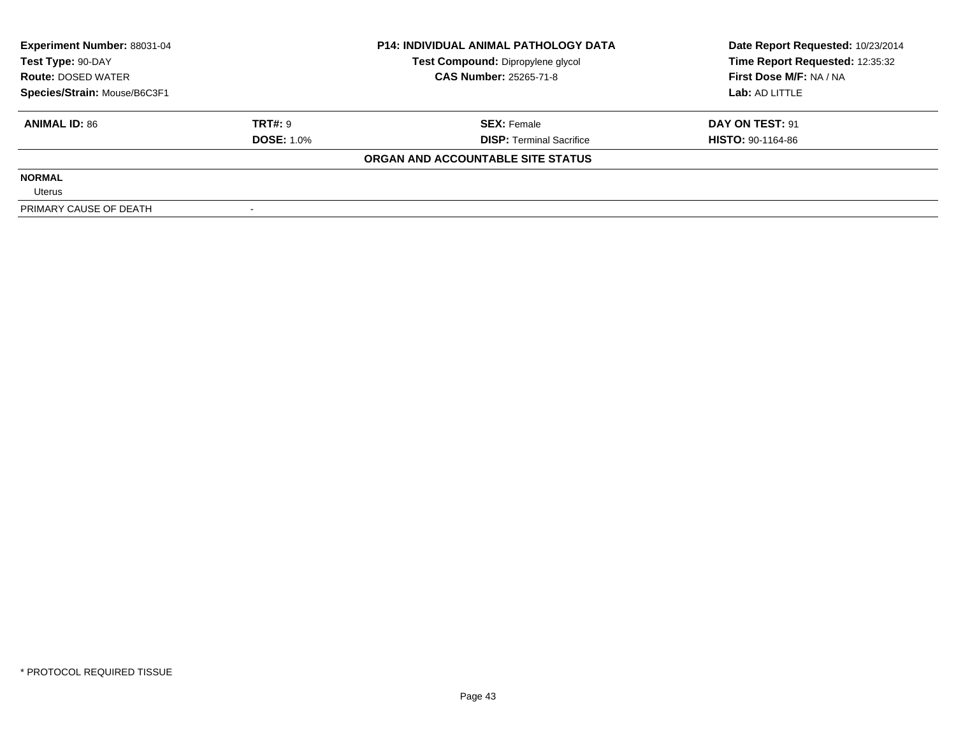| <b>Experiment Number: 88031-04</b><br>Test Type: 90-DAY<br><b>Route: DOSED WATER</b><br>Species/Strain: Mouse/B6C3F1 |                   | <b>P14: INDIVIDUAL ANIMAL PATHOLOGY DATA</b> | Date Report Requested: 10/23/2014 |
|----------------------------------------------------------------------------------------------------------------------|-------------------|----------------------------------------------|-----------------------------------|
|                                                                                                                      |                   | Test Compound: Dipropylene glycol            | Time Report Requested: 12:35:32   |
|                                                                                                                      |                   | <b>CAS Number: 25265-71-8</b>                | First Dose M/F: NA / NA           |
|                                                                                                                      |                   |                                              | Lab: AD LITTLE                    |
| <b>ANIMAL ID: 86</b>                                                                                                 | TRT#: 9           | <b>SEX: Female</b>                           | DAY ON TEST: 91                   |
|                                                                                                                      | <b>DOSE: 1.0%</b> | <b>DISP:</b> Terminal Sacrifice              | <b>HISTO: 90-1164-86</b>          |
|                                                                                                                      |                   | ORGAN AND ACCOUNTABLE SITE STATUS            |                                   |
| <b>NORMAL</b>                                                                                                        |                   |                                              |                                   |
| Uterus                                                                                                               |                   |                                              |                                   |
| PRIMARY CAUSE OF DEATH                                                                                               |                   |                                              |                                   |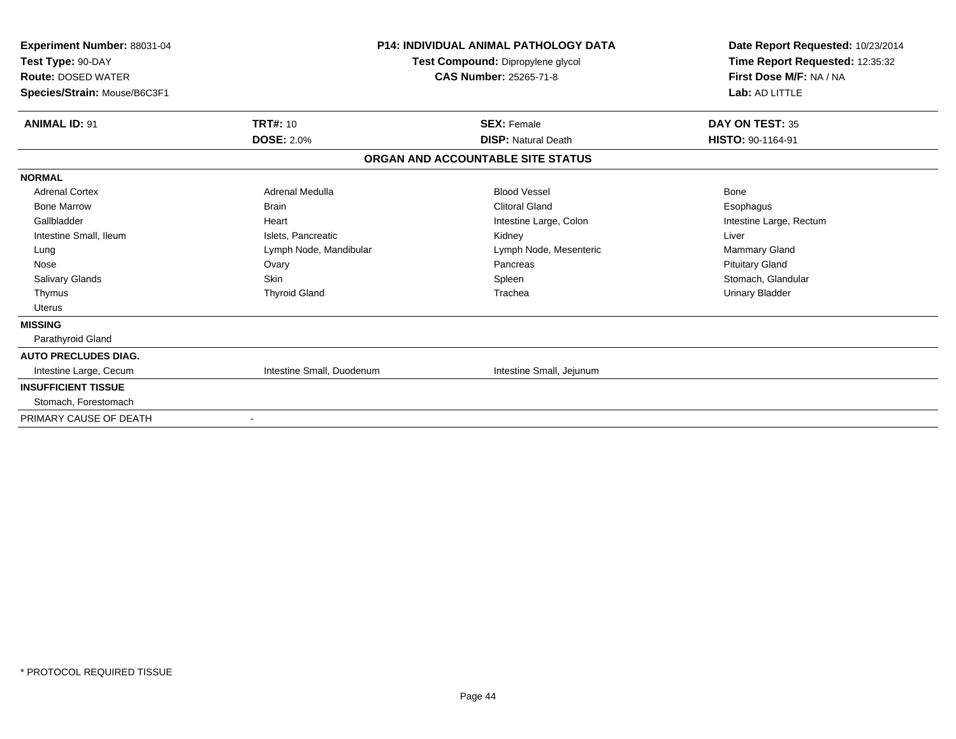| Experiment Number: 88031-04<br>Test Type: 90-DAY<br><b>Route: DOSED WATER</b><br>Species/Strain: Mouse/B6C3F1 | <b>P14: INDIVIDUAL ANIMAL PATHOLOGY DATA</b><br>Test Compound: Dipropylene glycol<br><b>CAS Number: 25265-71-8</b> |                                   | Date Report Requested: 10/23/2014<br>Time Report Requested: 12:35:32<br>First Dose M/F: NA / NA<br>Lab: AD LITTLE |
|---------------------------------------------------------------------------------------------------------------|--------------------------------------------------------------------------------------------------------------------|-----------------------------------|-------------------------------------------------------------------------------------------------------------------|
| <b>ANIMAL ID: 91</b>                                                                                          | <b>TRT#: 10</b>                                                                                                    | <b>SEX: Female</b>                | DAY ON TEST: 35                                                                                                   |
|                                                                                                               | <b>DOSE: 2.0%</b>                                                                                                  | <b>DISP: Natural Death</b>        | <b>HISTO: 90-1164-91</b>                                                                                          |
|                                                                                                               |                                                                                                                    | ORGAN AND ACCOUNTABLE SITE STATUS |                                                                                                                   |
| <b>NORMAL</b>                                                                                                 |                                                                                                                    |                                   |                                                                                                                   |
| <b>Adrenal Cortex</b>                                                                                         | Adrenal Medulla                                                                                                    | <b>Blood Vessel</b>               | <b>Bone</b>                                                                                                       |
| <b>Bone Marrow</b>                                                                                            | <b>Brain</b>                                                                                                       | <b>Clitoral Gland</b>             | Esophagus                                                                                                         |
| Gallbladder                                                                                                   | Heart                                                                                                              | Intestine Large, Colon            | Intestine Large, Rectum                                                                                           |
| Intestine Small, Ileum                                                                                        | Islets. Pancreatic                                                                                                 | Kidney                            | Liver                                                                                                             |
| Lung                                                                                                          | Lymph Node, Mandibular                                                                                             | Lymph Node, Mesenteric            | <b>Mammary Gland</b>                                                                                              |
| Nose                                                                                                          | Ovary                                                                                                              | Pancreas                          | <b>Pituitary Gland</b>                                                                                            |
| <b>Salivary Glands</b>                                                                                        | Skin                                                                                                               | Spleen                            | Stomach, Glandular                                                                                                |
| Thymus                                                                                                        | <b>Thyroid Gland</b>                                                                                               | Trachea                           | <b>Urinary Bladder</b>                                                                                            |
| <b>Uterus</b>                                                                                                 |                                                                                                                    |                                   |                                                                                                                   |
| <b>MISSING</b>                                                                                                |                                                                                                                    |                                   |                                                                                                                   |
| Parathyroid Gland                                                                                             |                                                                                                                    |                                   |                                                                                                                   |
| <b>AUTO PRECLUDES DIAG.</b>                                                                                   |                                                                                                                    |                                   |                                                                                                                   |
| Intestine Large, Cecum                                                                                        | Intestine Small, Duodenum                                                                                          | Intestine Small, Jejunum          |                                                                                                                   |
| <b>INSUFFICIENT TISSUE</b>                                                                                    |                                                                                                                    |                                   |                                                                                                                   |
| Stomach, Forestomach                                                                                          |                                                                                                                    |                                   |                                                                                                                   |
| PRIMARY CAUSE OF DEATH                                                                                        | $\blacksquare$                                                                                                     |                                   |                                                                                                                   |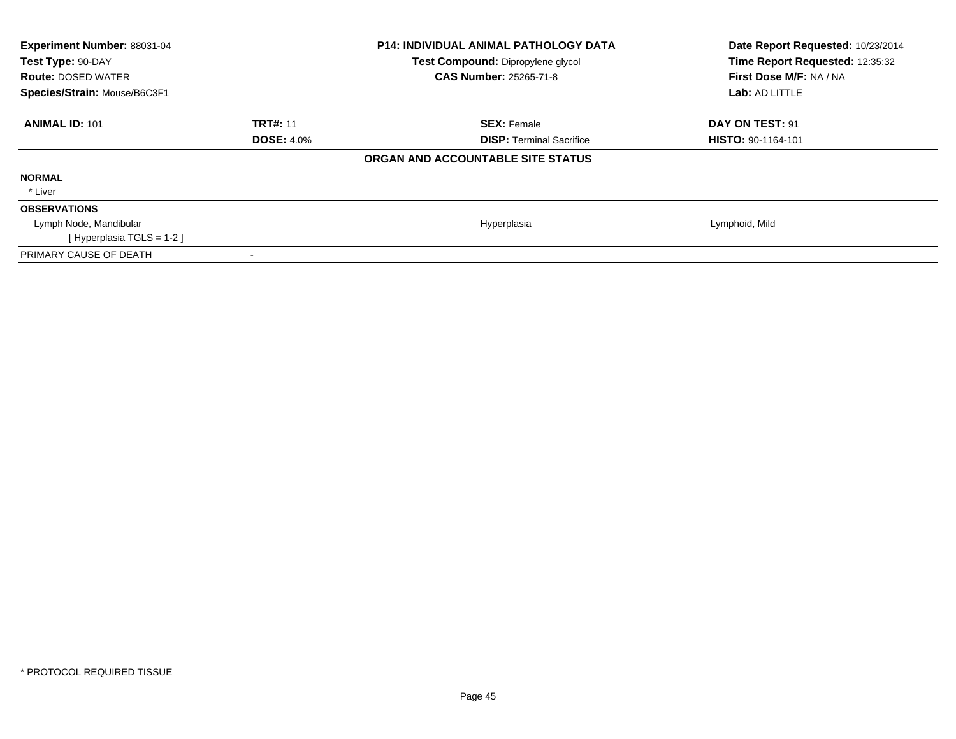| Experiment Number: 88031-04<br>Test Type: 90-DAY<br><b>Route: DOSED WATER</b><br>Species/Strain: Mouse/B6C3F1 |                   | <b>P14: INDIVIDUAL ANIMAL PATHOLOGY DATA</b><br>Test Compound: Dipropylene glycol<br><b>CAS Number: 25265-71-8</b> | Date Report Requested: 10/23/2014<br>Time Report Requested: 12:35:32<br>First Dose M/F: NA / NA<br>Lab: AD LITTLE |
|---------------------------------------------------------------------------------------------------------------|-------------------|--------------------------------------------------------------------------------------------------------------------|-------------------------------------------------------------------------------------------------------------------|
| <b>ANIMAL ID: 101</b>                                                                                         | <b>TRT#: 11</b>   | <b>SEX: Female</b>                                                                                                 | DAY ON TEST: 91                                                                                                   |
|                                                                                                               | <b>DOSE: 4.0%</b> | <b>DISP:</b> Terminal Sacrifice                                                                                    | <b>HISTO: 90-1164-101</b>                                                                                         |
|                                                                                                               |                   | ORGAN AND ACCOUNTABLE SITE STATUS                                                                                  |                                                                                                                   |
| <b>NORMAL</b>                                                                                                 |                   |                                                                                                                    |                                                                                                                   |
| * Liver                                                                                                       |                   |                                                                                                                    |                                                                                                                   |
| <b>OBSERVATIONS</b>                                                                                           |                   |                                                                                                                    |                                                                                                                   |
| Lymph Node, Mandibular                                                                                        |                   | Hyperplasia                                                                                                        | Lymphoid, Mild                                                                                                    |
| [Hyperplasia TGLS = $1-2$ ]                                                                                   |                   |                                                                                                                    |                                                                                                                   |
| PRIMARY CAUSE OF DEATH                                                                                        |                   |                                                                                                                    |                                                                                                                   |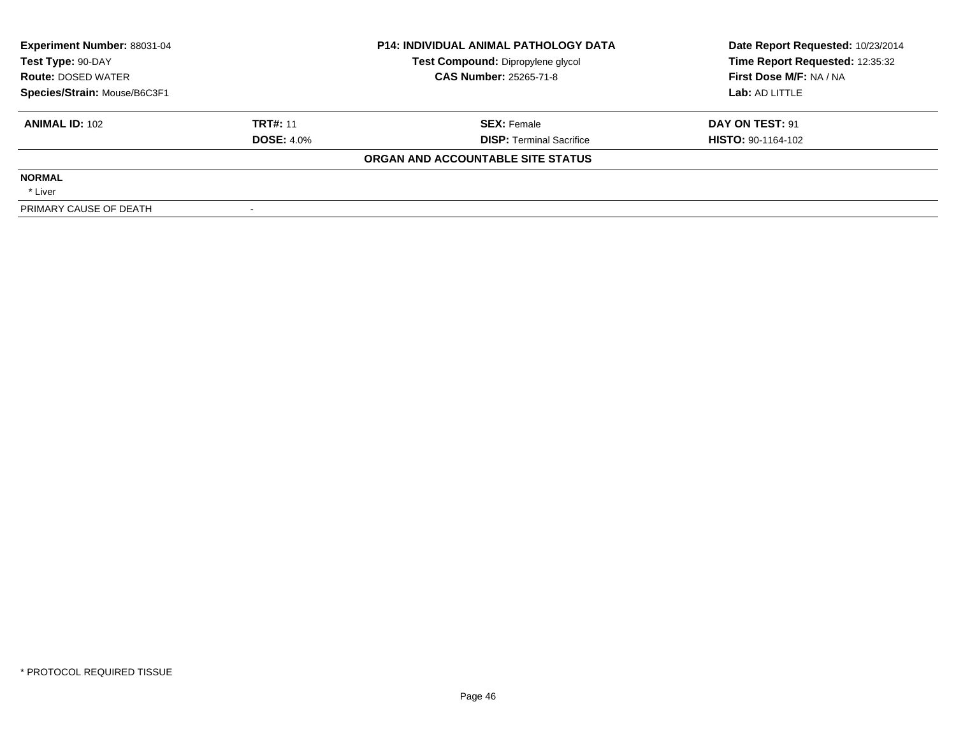| <b>Experiment Number: 88031-04</b><br>Test Type: 90-DAY<br><b>Route: DOSED WATER</b><br>Species/Strain: Mouse/B6C3F1 |                   | <b>P14: INDIVIDUAL ANIMAL PATHOLOGY DATA</b> | Date Report Requested: 10/23/2014 |
|----------------------------------------------------------------------------------------------------------------------|-------------------|----------------------------------------------|-----------------------------------|
|                                                                                                                      |                   | Test Compound: Dipropylene glycol            | Time Report Requested: 12:35:32   |
|                                                                                                                      |                   | <b>CAS Number: 25265-71-8</b>                | First Dose M/F: NA / NA           |
|                                                                                                                      |                   |                                              | Lab: AD LITTLE                    |
| <b>ANIMAL ID: 102</b>                                                                                                | <b>TRT#: 11</b>   | <b>SEX:</b> Female                           | DAY ON TEST: 91                   |
|                                                                                                                      | <b>DOSE: 4.0%</b> | <b>DISP:</b> Terminal Sacrifice              | <b>HISTO: 90-1164-102</b>         |
|                                                                                                                      |                   | ORGAN AND ACCOUNTABLE SITE STATUS            |                                   |
| <b>NORMAL</b>                                                                                                        |                   |                                              |                                   |
| * Liver                                                                                                              |                   |                                              |                                   |
| PRIMARY CAUSE OF DEATH                                                                                               |                   |                                              |                                   |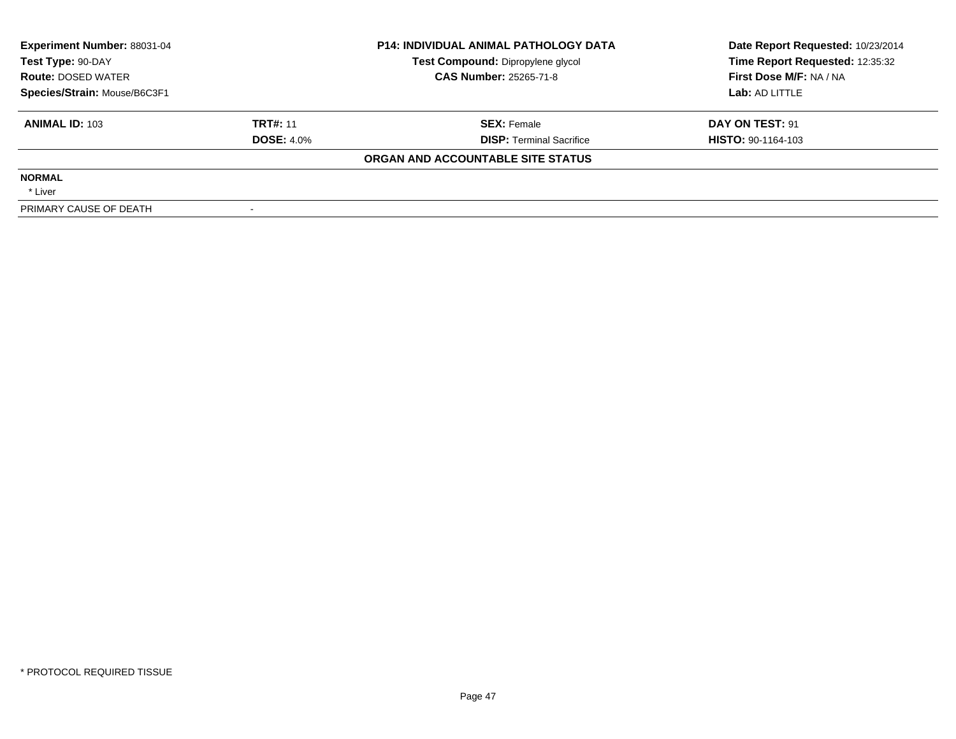| <b>Experiment Number: 88031-04</b><br>Test Type: 90-DAY<br><b>Route: DOSED WATER</b><br>Species/Strain: Mouse/B6C3F1 |                   | <b>P14: INDIVIDUAL ANIMAL PATHOLOGY DATA</b> | Date Report Requested: 10/23/2014 |
|----------------------------------------------------------------------------------------------------------------------|-------------------|----------------------------------------------|-----------------------------------|
|                                                                                                                      |                   | Test Compound: Dipropylene glycol            | Time Report Requested: 12:35:32   |
|                                                                                                                      |                   | <b>CAS Number: 25265-71-8</b>                | First Dose M/F: NA / NA           |
|                                                                                                                      |                   |                                              | Lab: AD LITTLE                    |
| <b>ANIMAL ID: 103</b>                                                                                                | <b>TRT#: 11</b>   | <b>SEX:</b> Female                           | DAY ON TEST: 91                   |
|                                                                                                                      | <b>DOSE: 4.0%</b> | <b>DISP:</b> Terminal Sacrifice              | <b>HISTO: 90-1164-103</b>         |
|                                                                                                                      |                   | ORGAN AND ACCOUNTABLE SITE STATUS            |                                   |
| <b>NORMAL</b>                                                                                                        |                   |                                              |                                   |
| * Liver                                                                                                              |                   |                                              |                                   |
| PRIMARY CAUSE OF DEATH                                                                                               |                   |                                              |                                   |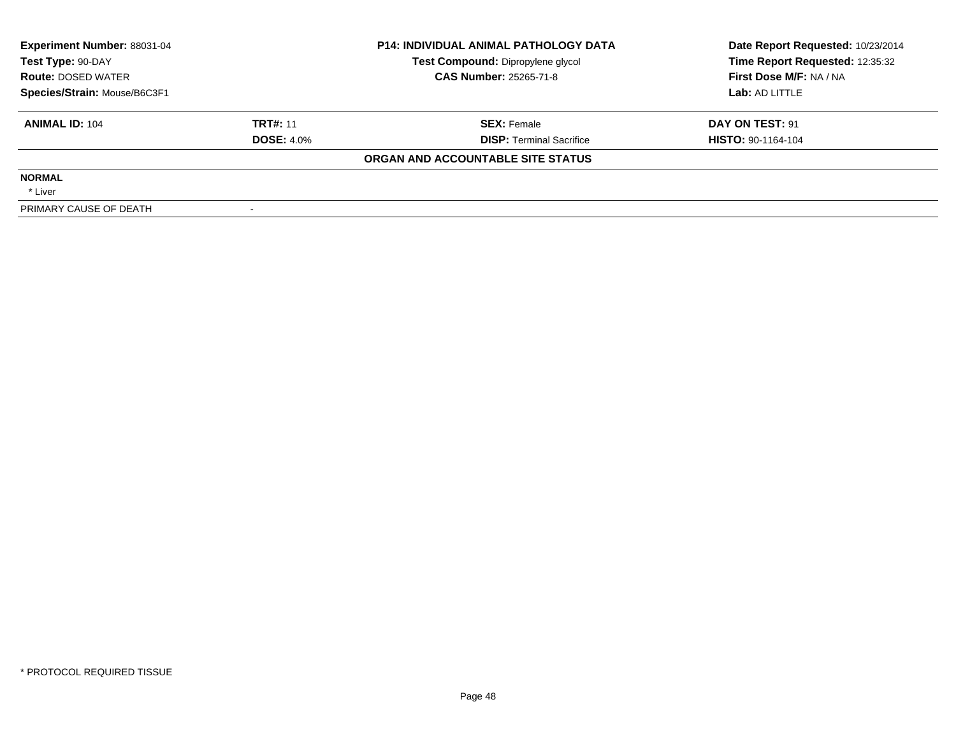| <b>Experiment Number: 88031-04</b><br>Test Type: 90-DAY<br><b>Route: DOSED WATER</b><br>Species/Strain: Mouse/B6C3F1 |                   | <b>P14: INDIVIDUAL ANIMAL PATHOLOGY DATA</b> | Date Report Requested: 10/23/2014 |  |
|----------------------------------------------------------------------------------------------------------------------|-------------------|----------------------------------------------|-----------------------------------|--|
|                                                                                                                      |                   | Test Compound: Dipropylene glycol            | Time Report Requested: 12:35:32   |  |
|                                                                                                                      |                   | <b>CAS Number: 25265-71-8</b>                | First Dose M/F: NA / NA           |  |
|                                                                                                                      |                   |                                              | Lab: AD LITTLE                    |  |
| <b>ANIMAL ID: 104</b>                                                                                                | <b>TRT#: 11</b>   | <b>SEX:</b> Female                           | DAY ON TEST: 91                   |  |
|                                                                                                                      | <b>DOSE: 4.0%</b> | <b>DISP:</b> Terminal Sacrifice              | HISTO: 90-1164-104                |  |
|                                                                                                                      |                   | ORGAN AND ACCOUNTABLE SITE STATUS            |                                   |  |
| <b>NORMAL</b>                                                                                                        |                   |                                              |                                   |  |
| * Liver                                                                                                              |                   |                                              |                                   |  |
| PRIMARY CAUSE OF DEATH                                                                                               |                   |                                              |                                   |  |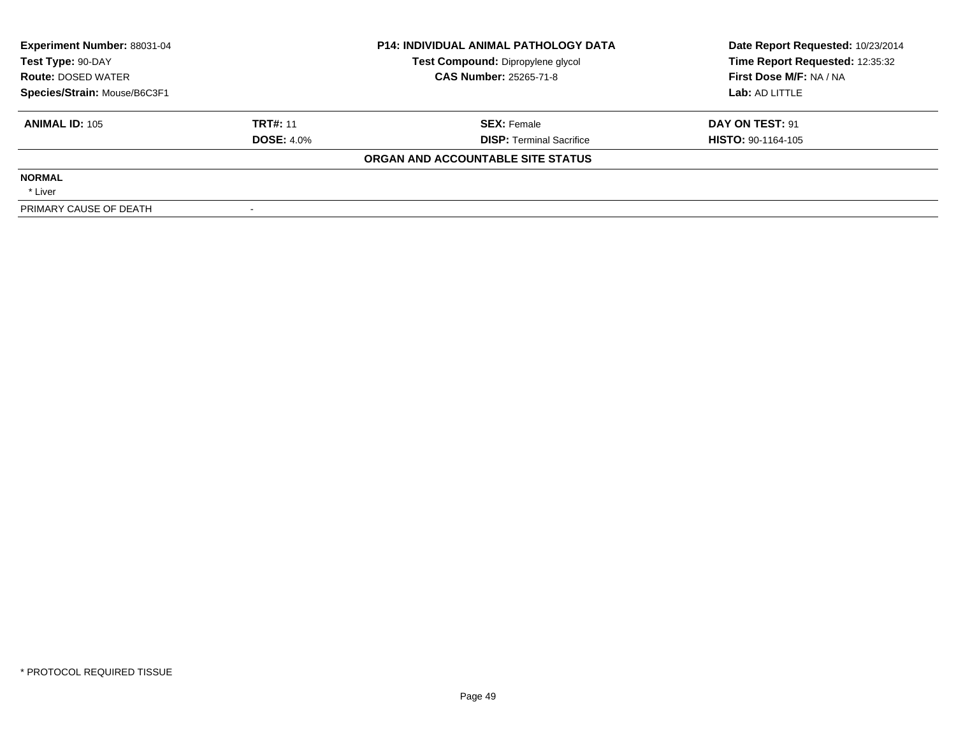| Experiment Number: 88031-04<br>Test Type: 90-DAY<br><b>Route: DOSED WATER</b><br>Species/Strain: Mouse/B6C3F1 |                   | <b>P14: INDIVIDUAL ANIMAL PATHOLOGY DATA</b> | Date Report Requested: 10/23/2014 |  |
|---------------------------------------------------------------------------------------------------------------|-------------------|----------------------------------------------|-----------------------------------|--|
|                                                                                                               |                   | Test Compound: Dipropylene glycol            | Time Report Requested: 12:35:32   |  |
|                                                                                                               |                   | <b>CAS Number: 25265-71-8</b>                | First Dose M/F: NA / NA           |  |
|                                                                                                               |                   |                                              | Lab: AD LITTLE                    |  |
| <b>ANIMAL ID: 105</b>                                                                                         | <b>TRT#: 11</b>   | <b>SEX: Female</b>                           | DAY ON TEST: 91                   |  |
|                                                                                                               | <b>DOSE: 4.0%</b> | <b>DISP: Terminal Sacrifice</b>              | <b>HISTO: 90-1164-105</b>         |  |
|                                                                                                               |                   | ORGAN AND ACCOUNTABLE SITE STATUS            |                                   |  |
| <b>NORMAL</b>                                                                                                 |                   |                                              |                                   |  |
| * Liver                                                                                                       |                   |                                              |                                   |  |
| PRIMARY CAUSE OF DEATH                                                                                        |                   |                                              |                                   |  |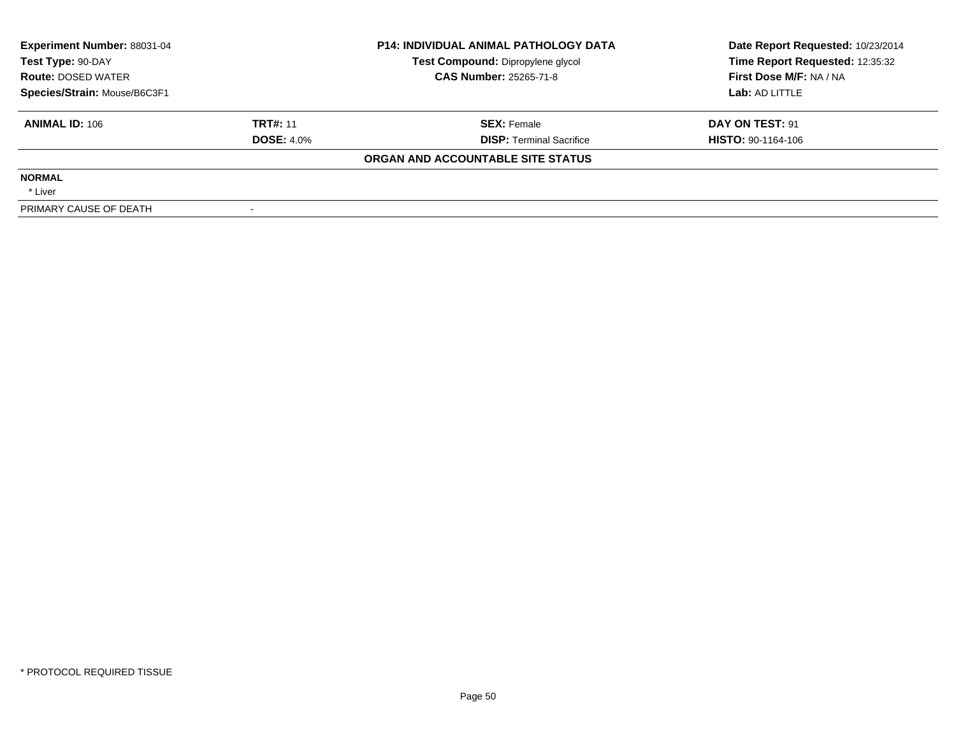| <b>Experiment Number: 88031-04</b><br>Test Type: 90-DAY<br><b>Route: DOSED WATER</b> |                   | <b>P14: INDIVIDUAL ANIMAL PATHOLOGY DATA</b> | Date Report Requested: 10/23/2014 |  |
|--------------------------------------------------------------------------------------|-------------------|----------------------------------------------|-----------------------------------|--|
|                                                                                      |                   | Test Compound: Dipropylene glycol            | Time Report Requested: 12:35:32   |  |
|                                                                                      |                   | <b>CAS Number: 25265-71-8</b>                | First Dose M/F: NA / NA           |  |
| Species/Strain: Mouse/B6C3F1                                                         |                   |                                              | Lab: AD LITTLE                    |  |
| <b>ANIMAL ID: 106</b>                                                                | <b>TRT#: 11</b>   | <b>SEX:</b> Female                           | DAY ON TEST: 91                   |  |
|                                                                                      | <b>DOSE: 4.0%</b> | <b>DISP:</b> Terminal Sacrifice              | <b>HISTO: 90-1164-106</b>         |  |
|                                                                                      |                   | ORGAN AND ACCOUNTABLE SITE STATUS            |                                   |  |
| <b>NORMAL</b>                                                                        |                   |                                              |                                   |  |
| * Liver                                                                              |                   |                                              |                                   |  |
| PRIMARY CAUSE OF DEATH                                                               |                   |                                              |                                   |  |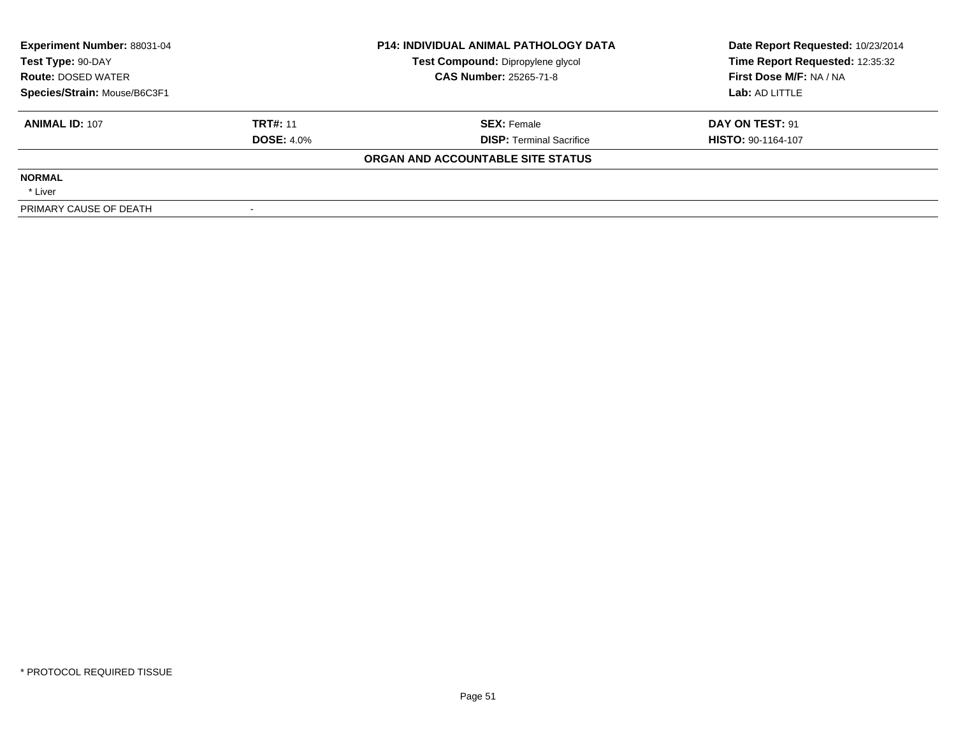| Experiment Number: 88031-04<br>Test Type: 90-DAY<br><b>Route: DOSED WATER</b><br>Species/Strain: Mouse/B6C3F1 |                   | <b>P14: INDIVIDUAL ANIMAL PATHOLOGY DATA</b> | Date Report Requested: 10/23/2014 |  |
|---------------------------------------------------------------------------------------------------------------|-------------------|----------------------------------------------|-----------------------------------|--|
|                                                                                                               |                   | Test Compound: Dipropylene glycol            | Time Report Requested: 12:35:32   |  |
|                                                                                                               |                   | <b>CAS Number: 25265-71-8</b>                | First Dose M/F: NA / NA           |  |
|                                                                                                               |                   |                                              | Lab: AD LITTLE                    |  |
| <b>ANIMAL ID: 107</b>                                                                                         | <b>TRT#: 11</b>   | <b>SEX: Female</b>                           | DAY ON TEST: 91                   |  |
|                                                                                                               | <b>DOSE: 4.0%</b> | <b>DISP: Terminal Sacrifice</b>              | <b>HISTO: 90-1164-107</b>         |  |
|                                                                                                               |                   | ORGAN AND ACCOUNTABLE SITE STATUS            |                                   |  |
| <b>NORMAL</b>                                                                                                 |                   |                                              |                                   |  |
| * Liver                                                                                                       |                   |                                              |                                   |  |
| PRIMARY CAUSE OF DEATH                                                                                        |                   |                                              |                                   |  |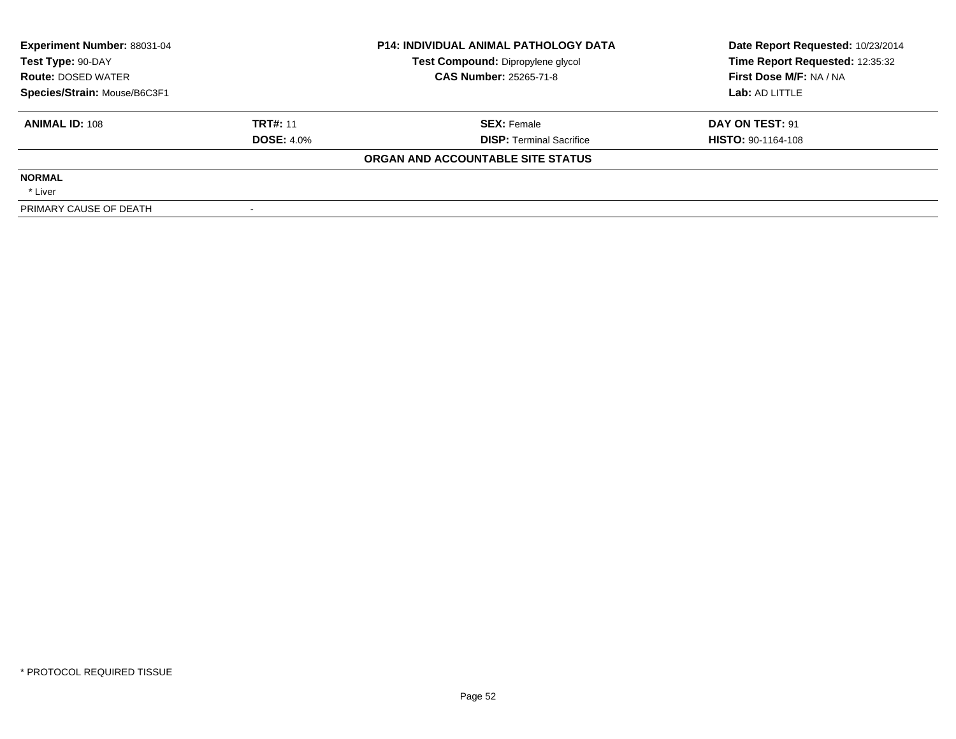| <b>Experiment Number: 88031-04</b><br>Test Type: 90-DAY<br><b>Route: DOSED WATER</b> |                   | <b>P14: INDIVIDUAL ANIMAL PATHOLOGY DATA</b> | Date Report Requested: 10/23/2014 |  |
|--------------------------------------------------------------------------------------|-------------------|----------------------------------------------|-----------------------------------|--|
|                                                                                      |                   | Test Compound: Dipropylene glycol            | Time Report Requested: 12:35:32   |  |
|                                                                                      |                   | <b>CAS Number: 25265-71-8</b>                | First Dose M/F: NA / NA           |  |
| Species/Strain: Mouse/B6C3F1                                                         |                   |                                              | Lab: AD LITTLE                    |  |
| <b>ANIMAL ID: 108</b>                                                                | <b>TRT#: 11</b>   | <b>SEX:</b> Female                           | DAY ON TEST: 91                   |  |
|                                                                                      | <b>DOSE: 4.0%</b> | <b>DISP:</b> Terminal Sacrifice              | <b>HISTO: 90-1164-108</b>         |  |
|                                                                                      |                   | ORGAN AND ACCOUNTABLE SITE STATUS            |                                   |  |
| <b>NORMAL</b>                                                                        |                   |                                              |                                   |  |
| * Liver                                                                              |                   |                                              |                                   |  |
| PRIMARY CAUSE OF DEATH                                                               |                   |                                              |                                   |  |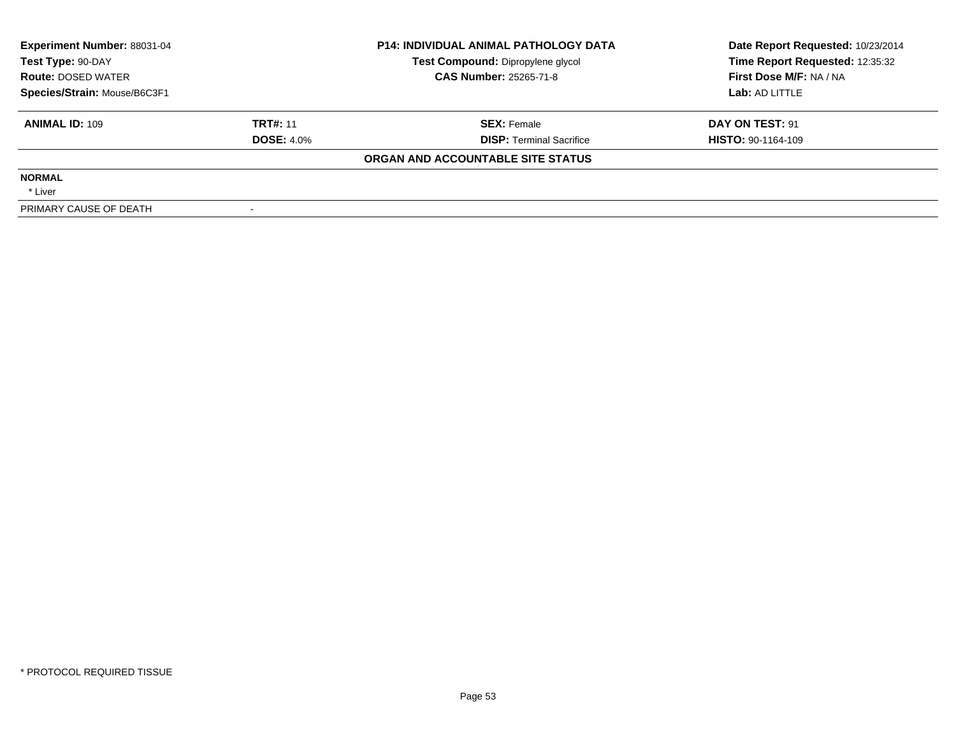| <b>Experiment Number: 88031-04</b><br>Test Type: 90-DAY<br><b>Route: DOSED WATER</b> |                   | <b>P14: INDIVIDUAL ANIMAL PATHOLOGY DATA</b> | Date Report Requested: 10/23/2014 |  |
|--------------------------------------------------------------------------------------|-------------------|----------------------------------------------|-----------------------------------|--|
|                                                                                      |                   | Test Compound: Dipropylene glycol            | Time Report Requested: 12:35:32   |  |
|                                                                                      |                   | <b>CAS Number: 25265-71-8</b>                | First Dose M/F: NA / NA           |  |
| Species/Strain: Mouse/B6C3F1                                                         |                   |                                              | Lab: AD LITTLE                    |  |
| <b>ANIMAL ID: 109</b>                                                                | <b>TRT#: 11</b>   | <b>SEX:</b> Female                           | DAY ON TEST: 91                   |  |
|                                                                                      | <b>DOSE: 4.0%</b> | <b>DISP:</b> Terminal Sacrifice              | <b>HISTO: 90-1164-109</b>         |  |
|                                                                                      |                   | ORGAN AND ACCOUNTABLE SITE STATUS            |                                   |  |
| <b>NORMAL</b>                                                                        |                   |                                              |                                   |  |
| * Liver                                                                              |                   |                                              |                                   |  |
| PRIMARY CAUSE OF DEATH                                                               |                   |                                              |                                   |  |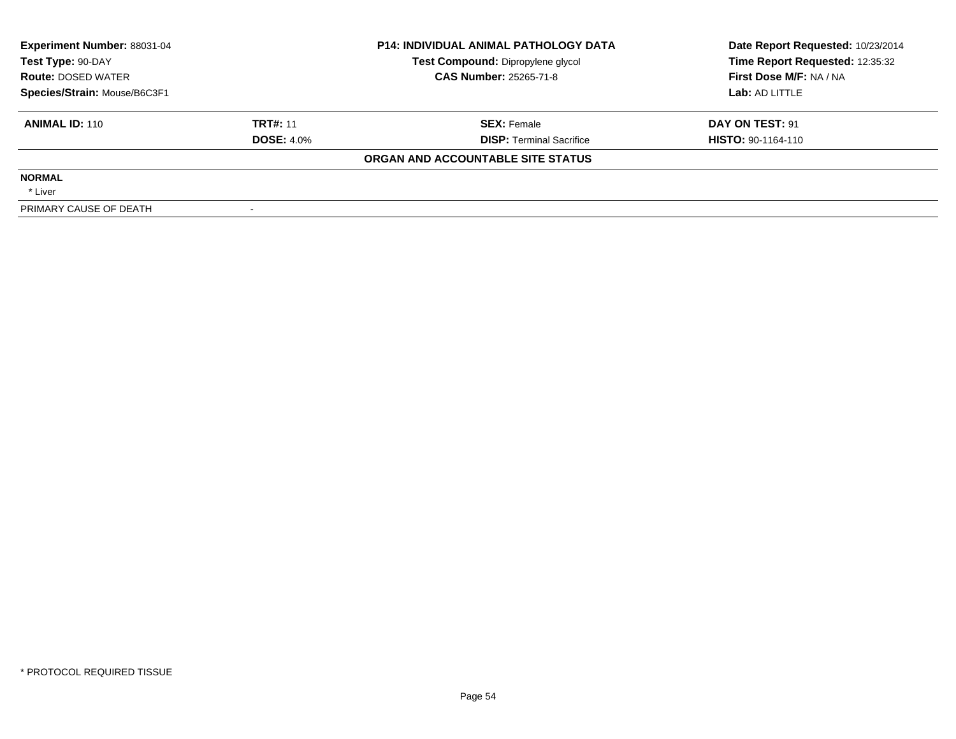| Experiment Number: 88031-04<br>Test Type: 90-DAY<br><b>Route: DOSED WATER</b><br>Species/Strain: Mouse/B6C3F1 |                   | <b>P14: INDIVIDUAL ANIMAL PATHOLOGY DATA</b><br>Test Compound: Dipropylene glycol | Date Report Requested: 10/23/2014<br>Time Report Requested: 12:35:32 |
|---------------------------------------------------------------------------------------------------------------|-------------------|-----------------------------------------------------------------------------------|----------------------------------------------------------------------|
|                                                                                                               |                   | <b>CAS Number: 25265-71-8</b>                                                     | First Dose M/F: NA / NA                                              |
|                                                                                                               |                   |                                                                                   | Lab: AD LITTLE                                                       |
| <b>ANIMAL ID: 110</b>                                                                                         | <b>TRT#: 11</b>   | <b>SEX: Female</b>                                                                | DAY ON TEST: 91                                                      |
|                                                                                                               | <b>DOSE: 4.0%</b> | <b>DISP:</b> Terminal Sacrifice                                                   | <b>HISTO: 90-1164-110</b>                                            |
|                                                                                                               |                   | ORGAN AND ACCOUNTABLE SITE STATUS                                                 |                                                                      |
| <b>NORMAL</b>                                                                                                 |                   |                                                                                   |                                                                      |
| * Liver                                                                                                       |                   |                                                                                   |                                                                      |
| PRIMARY CAUSE OF DEATH                                                                                        |                   |                                                                                   |                                                                      |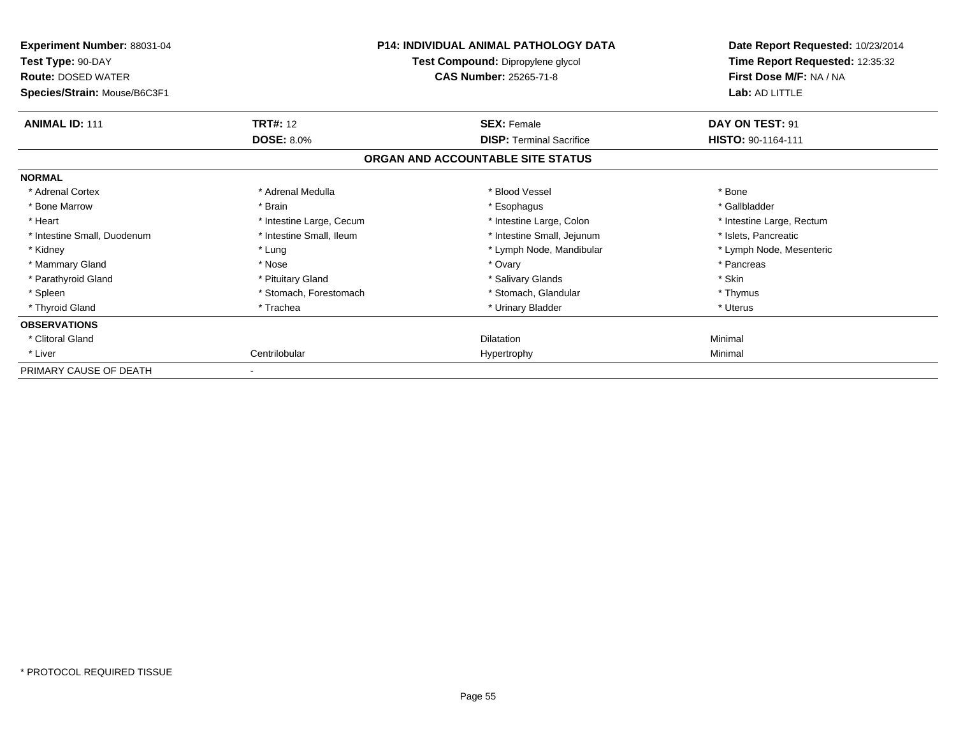| Experiment Number: 88031-04<br>Test Type: 90-DAY<br><b>Route: DOSED WATER</b><br>Species/Strain: Mouse/B6C3F1 |                          | <b>P14: INDIVIDUAL ANIMAL PATHOLOGY DATA</b><br>Test Compound: Dipropylene glycol<br><b>CAS Number: 25265-71-8</b> | Date Report Requested: 10/23/2014<br>Time Report Requested: 12:35:32<br>First Dose M/F: NA / NA<br>Lab: AD LITTLE |  |
|---------------------------------------------------------------------------------------------------------------|--------------------------|--------------------------------------------------------------------------------------------------------------------|-------------------------------------------------------------------------------------------------------------------|--|
| <b>ANIMAL ID: 111</b>                                                                                         | <b>TRT#: 12</b>          | <b>SEX: Female</b>                                                                                                 | DAY ON TEST: 91                                                                                                   |  |
|                                                                                                               | <b>DOSE: 8.0%</b>        | <b>DISP: Terminal Sacrifice</b>                                                                                    | HISTO: 90-1164-111                                                                                                |  |
|                                                                                                               |                          | ORGAN AND ACCOUNTABLE SITE STATUS                                                                                  |                                                                                                                   |  |
| <b>NORMAL</b>                                                                                                 |                          |                                                                                                                    |                                                                                                                   |  |
| * Adrenal Cortex                                                                                              | * Adrenal Medulla        | * Blood Vessel                                                                                                     | * Bone                                                                                                            |  |
| * Bone Marrow                                                                                                 | * Brain                  | * Esophagus                                                                                                        | * Gallbladder                                                                                                     |  |
| * Heart                                                                                                       | * Intestine Large, Cecum | * Intestine Large, Colon                                                                                           | * Intestine Large, Rectum                                                                                         |  |
| * Intestine Small, Duodenum                                                                                   | * Intestine Small, Ileum | * Intestine Small, Jejunum                                                                                         | * Islets, Pancreatic                                                                                              |  |
| * Kidney                                                                                                      | * Lung                   | * Lymph Node, Mandibular                                                                                           | * Lymph Node, Mesenteric                                                                                          |  |
| * Mammary Gland                                                                                               | * Nose                   | * Ovary                                                                                                            | * Pancreas                                                                                                        |  |
| * Parathyroid Gland                                                                                           | * Pituitary Gland        | * Salivary Glands                                                                                                  | * Skin                                                                                                            |  |
| * Spleen                                                                                                      | * Stomach, Forestomach   | * Stomach, Glandular                                                                                               | * Thymus                                                                                                          |  |
| * Thyroid Gland                                                                                               | * Trachea                | * Urinary Bladder                                                                                                  | * Uterus                                                                                                          |  |
| <b>OBSERVATIONS</b>                                                                                           |                          |                                                                                                                    |                                                                                                                   |  |
| * Clitoral Gland                                                                                              |                          | <b>Dilatation</b>                                                                                                  | Minimal                                                                                                           |  |
| * Liver                                                                                                       | Centrilobular            | Hypertrophy                                                                                                        | Minimal                                                                                                           |  |
| PRIMARY CAUSE OF DEATH                                                                                        |                          |                                                                                                                    |                                                                                                                   |  |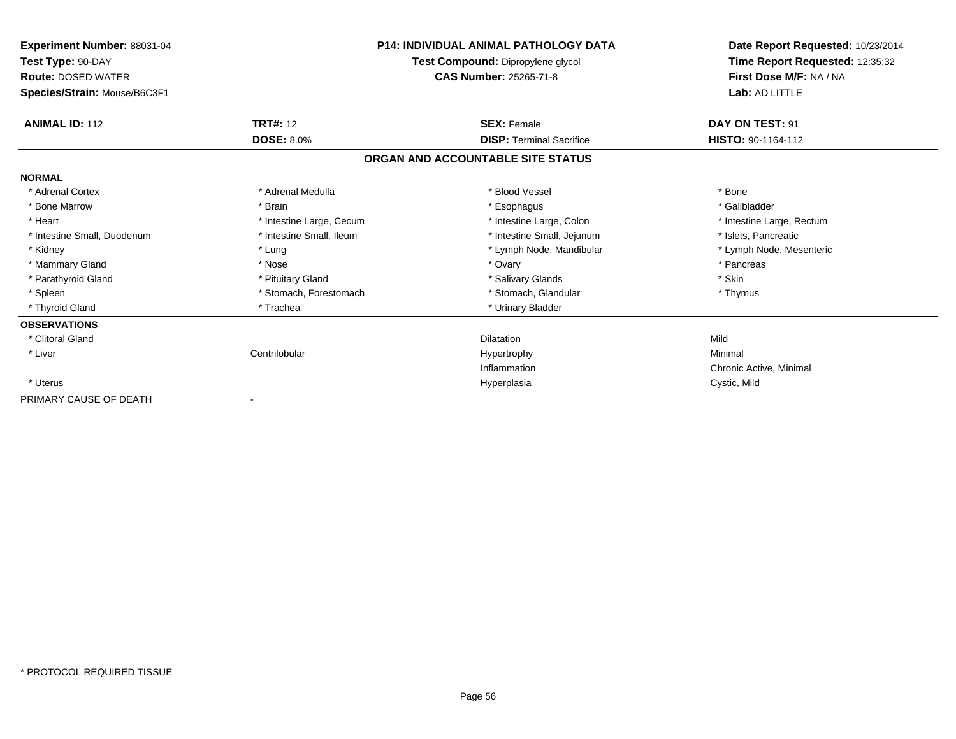| Experiment Number: 88031-04<br>Test Type: 90-DAY<br><b>Route: DOSED WATER</b> |                          | <b>P14: INDIVIDUAL ANIMAL PATHOLOGY DATA</b><br>Test Compound: Dipropylene glycol<br><b>CAS Number: 25265-71-8</b> | Date Report Requested: 10/23/2014<br>Time Report Requested: 12:35:32<br>First Dose M/F: NA / NA |
|-------------------------------------------------------------------------------|--------------------------|--------------------------------------------------------------------------------------------------------------------|-------------------------------------------------------------------------------------------------|
| Species/Strain: Mouse/B6C3F1                                                  |                          |                                                                                                                    | Lab: AD LITTLE                                                                                  |
| <b>ANIMAL ID: 112</b>                                                         | <b>TRT#: 12</b>          | <b>SEX: Female</b>                                                                                                 | DAY ON TEST: 91                                                                                 |
|                                                                               | <b>DOSE: 8.0%</b>        | <b>DISP: Terminal Sacrifice</b>                                                                                    | HISTO: 90-1164-112                                                                              |
|                                                                               |                          | ORGAN AND ACCOUNTABLE SITE STATUS                                                                                  |                                                                                                 |
| <b>NORMAL</b>                                                                 |                          |                                                                                                                    |                                                                                                 |
| * Adrenal Cortex                                                              | * Adrenal Medulla        | * Blood Vessel                                                                                                     | * Bone                                                                                          |
| * Bone Marrow                                                                 | * Brain                  | * Esophagus                                                                                                        | * Gallbladder                                                                                   |
| * Heart                                                                       | * Intestine Large, Cecum | * Intestine Large, Colon                                                                                           | * Intestine Large, Rectum                                                                       |
| * Intestine Small, Duodenum                                                   | * Intestine Small, Ileum | * Intestine Small, Jejunum                                                                                         | * Islets, Pancreatic                                                                            |
| * Kidney                                                                      | * Lung                   | * Lymph Node, Mandibular                                                                                           | * Lymph Node, Mesenteric                                                                        |
| * Mammary Gland                                                               | * Nose                   | * Ovary                                                                                                            | * Pancreas                                                                                      |
| * Parathyroid Gland                                                           | * Pituitary Gland        | * Salivary Glands                                                                                                  | * Skin                                                                                          |
| * Spleen                                                                      | * Stomach, Forestomach   | * Stomach, Glandular                                                                                               | * Thymus                                                                                        |
| * Thyroid Gland                                                               | * Trachea                | * Urinary Bladder                                                                                                  |                                                                                                 |
| <b>OBSERVATIONS</b>                                                           |                          |                                                                                                                    |                                                                                                 |
| * Clitoral Gland                                                              |                          | <b>Dilatation</b>                                                                                                  | Mild                                                                                            |
| * Liver                                                                       | Centrilobular            | Hypertrophy                                                                                                        | Minimal                                                                                         |
|                                                                               |                          | Inflammation                                                                                                       | Chronic Active, Minimal                                                                         |
| * Uterus                                                                      |                          | Hyperplasia                                                                                                        | Cystic, Mild                                                                                    |
| PRIMARY CAUSE OF DEATH                                                        |                          |                                                                                                                    |                                                                                                 |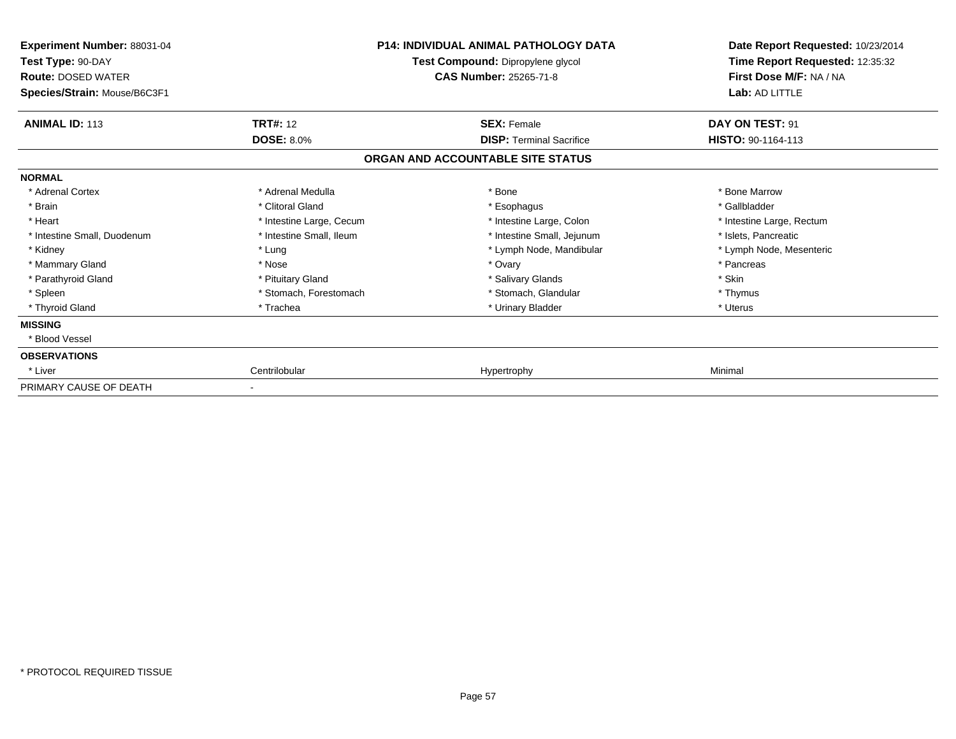| Experiment Number: 88031-04<br>Test Type: 90-DAY<br><b>Route: DOSED WATER</b><br>Species/Strain: Mouse/B6C3F1 |                          | <b>P14: INDIVIDUAL ANIMAL PATHOLOGY DATA</b><br>Test Compound: Dipropylene glycol<br><b>CAS Number: 25265-71-8</b> | Date Report Requested: 10/23/2014<br>Time Report Requested: 12:35:32<br>First Dose M/F: NA / NA<br>Lab: AD LITTLE |  |
|---------------------------------------------------------------------------------------------------------------|--------------------------|--------------------------------------------------------------------------------------------------------------------|-------------------------------------------------------------------------------------------------------------------|--|
| <b>ANIMAL ID: 113</b>                                                                                         | <b>TRT#: 12</b>          | <b>SEX: Female</b>                                                                                                 | DAY ON TEST: 91                                                                                                   |  |
|                                                                                                               | <b>DOSE: 8.0%</b>        | <b>DISP: Terminal Sacrifice</b>                                                                                    | HISTO: 90-1164-113                                                                                                |  |
|                                                                                                               |                          | ORGAN AND ACCOUNTABLE SITE STATUS                                                                                  |                                                                                                                   |  |
| <b>NORMAL</b>                                                                                                 |                          |                                                                                                                    |                                                                                                                   |  |
| * Adrenal Cortex                                                                                              | * Adrenal Medulla        | * Bone                                                                                                             | * Bone Marrow                                                                                                     |  |
| * Brain                                                                                                       | * Clitoral Gland         | * Esophagus                                                                                                        | * Gallbladder                                                                                                     |  |
| * Heart                                                                                                       | * Intestine Large, Cecum | * Intestine Large, Colon                                                                                           | * Intestine Large, Rectum                                                                                         |  |
| * Intestine Small, Duodenum                                                                                   | * Intestine Small, Ileum | * Intestine Small, Jejunum                                                                                         | * Islets, Pancreatic                                                                                              |  |
| * Kidney                                                                                                      | * Lung                   | * Lymph Node, Mandibular                                                                                           | * Lymph Node, Mesenteric                                                                                          |  |
| * Mammary Gland                                                                                               | * Nose                   | * Ovary                                                                                                            | * Pancreas                                                                                                        |  |
| * Parathyroid Gland                                                                                           | * Pituitary Gland        | * Salivary Glands                                                                                                  | * Skin                                                                                                            |  |
| * Spleen                                                                                                      | * Stomach, Forestomach   | * Stomach, Glandular                                                                                               | * Thymus                                                                                                          |  |
| * Thyroid Gland                                                                                               | * Trachea                | * Urinary Bladder                                                                                                  | * Uterus                                                                                                          |  |
| <b>MISSING</b>                                                                                                |                          |                                                                                                                    |                                                                                                                   |  |
| * Blood Vessel                                                                                                |                          |                                                                                                                    |                                                                                                                   |  |
| <b>OBSERVATIONS</b>                                                                                           |                          |                                                                                                                    |                                                                                                                   |  |
| * Liver                                                                                                       | Centrilobular            | Hypertrophy                                                                                                        | Minimal                                                                                                           |  |
| PRIMARY CAUSE OF DEATH                                                                                        |                          |                                                                                                                    |                                                                                                                   |  |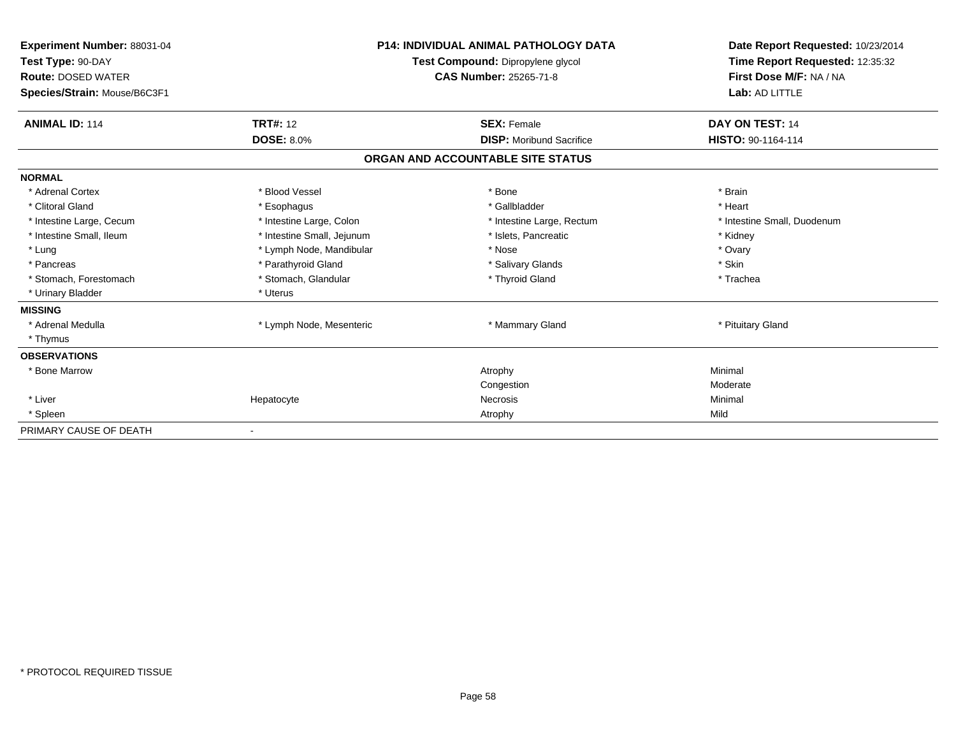| Experiment Number: 88031-04<br>Test Type: 90-DAY<br><b>Route: DOSED WATER</b><br>Species/Strain: Mouse/B6C3F1 |                            | <b>P14: INDIVIDUAL ANIMAL PATHOLOGY DATA</b><br>Test Compound: Dipropylene glycol<br>CAS Number: 25265-71-8 | Date Report Requested: 10/23/2014<br>Time Report Requested: 12:35:32<br>First Dose M/F: NA / NA<br>Lab: AD LITTLE |
|---------------------------------------------------------------------------------------------------------------|----------------------------|-------------------------------------------------------------------------------------------------------------|-------------------------------------------------------------------------------------------------------------------|
| <b>ANIMAL ID: 114</b>                                                                                         | <b>TRT#: 12</b>            | <b>SEX: Female</b>                                                                                          | DAY ON TEST: 14                                                                                                   |
|                                                                                                               | <b>DOSE: 8.0%</b>          | <b>DISP:</b> Moribund Sacrifice                                                                             | HISTO: 90-1164-114                                                                                                |
|                                                                                                               |                            | ORGAN AND ACCOUNTABLE SITE STATUS                                                                           |                                                                                                                   |
| <b>NORMAL</b>                                                                                                 |                            |                                                                                                             |                                                                                                                   |
| * Adrenal Cortex                                                                                              | * Blood Vessel             | * Bone                                                                                                      | * Brain                                                                                                           |
| * Clitoral Gland                                                                                              | * Esophagus                | * Gallbladder                                                                                               | * Heart                                                                                                           |
| * Intestine Large, Cecum                                                                                      | * Intestine Large, Colon   | * Intestine Large, Rectum                                                                                   | * Intestine Small, Duodenum                                                                                       |
| * Intestine Small, Ileum                                                                                      | * Intestine Small, Jejunum | * Islets, Pancreatic                                                                                        | * Kidney                                                                                                          |
| * Lung                                                                                                        | * Lymph Node, Mandibular   | * Nose                                                                                                      | * Ovary                                                                                                           |
| * Pancreas                                                                                                    | * Parathyroid Gland        | * Salivary Glands                                                                                           | * Skin                                                                                                            |
| * Stomach, Forestomach                                                                                        | * Stomach, Glandular       | * Thyroid Gland                                                                                             | * Trachea                                                                                                         |
| * Urinary Bladder                                                                                             | * Uterus                   |                                                                                                             |                                                                                                                   |
| <b>MISSING</b>                                                                                                |                            |                                                                                                             |                                                                                                                   |
| * Adrenal Medulla                                                                                             | * Lymph Node, Mesenteric   | * Mammary Gland                                                                                             | * Pituitary Gland                                                                                                 |
| * Thymus                                                                                                      |                            |                                                                                                             |                                                                                                                   |
| <b>OBSERVATIONS</b>                                                                                           |                            |                                                                                                             |                                                                                                                   |
| * Bone Marrow                                                                                                 |                            | Atrophy                                                                                                     | Minimal                                                                                                           |
|                                                                                                               |                            | Congestion                                                                                                  | Moderate                                                                                                          |
| * Liver                                                                                                       | Hepatocyte                 | <b>Necrosis</b>                                                                                             | Minimal                                                                                                           |
| * Spleen                                                                                                      |                            | Atrophy                                                                                                     | Mild                                                                                                              |
| PRIMARY CAUSE OF DEATH                                                                                        |                            |                                                                                                             |                                                                                                                   |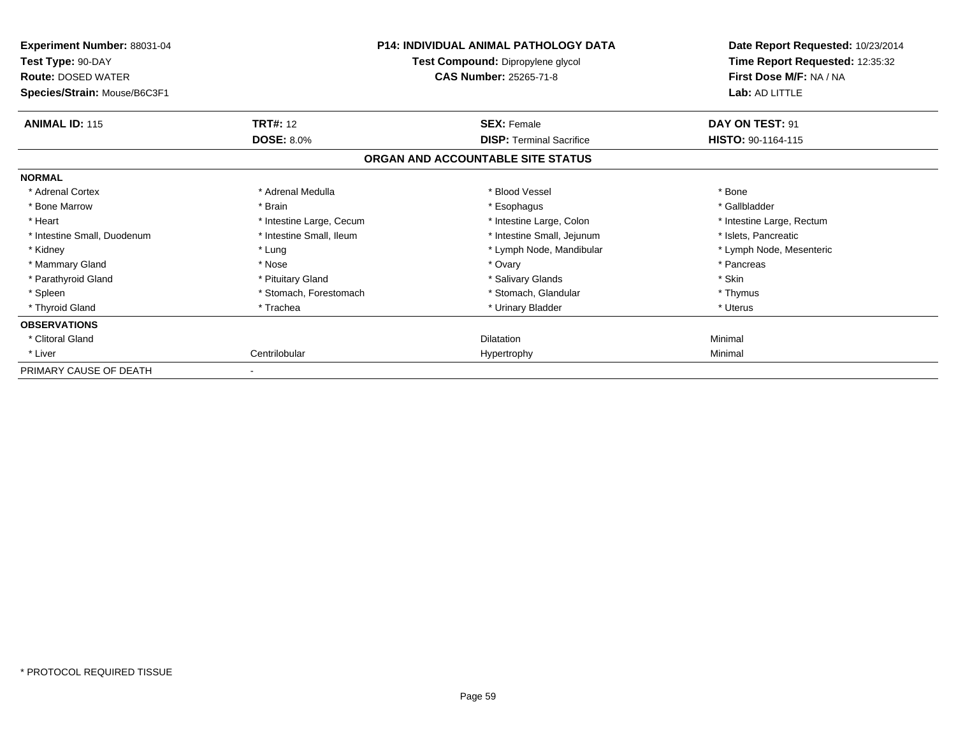| Experiment Number: 88031-04<br>Test Type: 90-DAY<br><b>Route: DOSED WATER</b><br>Species/Strain: Mouse/B6C3F1 |                          | <b>P14: INDIVIDUAL ANIMAL PATHOLOGY DATA</b><br>Test Compound: Dipropylene glycol<br><b>CAS Number: 25265-71-8</b> | Date Report Requested: 10/23/2014<br>Time Report Requested: 12:35:32<br>First Dose M/F: NA / NA<br>Lab: AD LITTLE |  |
|---------------------------------------------------------------------------------------------------------------|--------------------------|--------------------------------------------------------------------------------------------------------------------|-------------------------------------------------------------------------------------------------------------------|--|
| <b>ANIMAL ID: 115</b>                                                                                         | <b>TRT#: 12</b>          | <b>SEX: Female</b>                                                                                                 | DAY ON TEST: 91                                                                                                   |  |
|                                                                                                               | <b>DOSE: 8.0%</b>        | <b>DISP: Terminal Sacrifice</b>                                                                                    | HISTO: 90-1164-115                                                                                                |  |
|                                                                                                               |                          | ORGAN AND ACCOUNTABLE SITE STATUS                                                                                  |                                                                                                                   |  |
| <b>NORMAL</b>                                                                                                 |                          |                                                                                                                    |                                                                                                                   |  |
| * Adrenal Cortex                                                                                              | * Adrenal Medulla        | * Blood Vessel                                                                                                     | * Bone                                                                                                            |  |
| * Bone Marrow                                                                                                 | * Brain                  | * Esophagus                                                                                                        | * Gallbladder                                                                                                     |  |
| * Heart                                                                                                       | * Intestine Large, Cecum | * Intestine Large, Colon                                                                                           | * Intestine Large, Rectum                                                                                         |  |
| * Intestine Small, Duodenum                                                                                   | * Intestine Small, Ileum | * Intestine Small, Jejunum                                                                                         | * Islets, Pancreatic                                                                                              |  |
| * Kidney                                                                                                      | * Lung                   | * Lymph Node, Mandibular                                                                                           | * Lymph Node, Mesenteric                                                                                          |  |
| * Mammary Gland                                                                                               | * Nose                   | * Ovary                                                                                                            | * Pancreas                                                                                                        |  |
| * Parathyroid Gland                                                                                           | * Pituitary Gland        | * Salivary Glands                                                                                                  | * Skin                                                                                                            |  |
| * Spleen                                                                                                      | * Stomach, Forestomach   | * Stomach, Glandular                                                                                               | * Thymus                                                                                                          |  |
| * Thyroid Gland                                                                                               | * Trachea                | * Urinary Bladder                                                                                                  | * Uterus                                                                                                          |  |
| <b>OBSERVATIONS</b>                                                                                           |                          |                                                                                                                    |                                                                                                                   |  |
| * Clitoral Gland                                                                                              |                          | <b>Dilatation</b>                                                                                                  | Minimal                                                                                                           |  |
| * Liver                                                                                                       | Centrilobular            | Hypertrophy                                                                                                        | Minimal                                                                                                           |  |
| PRIMARY CAUSE OF DEATH                                                                                        |                          |                                                                                                                    |                                                                                                                   |  |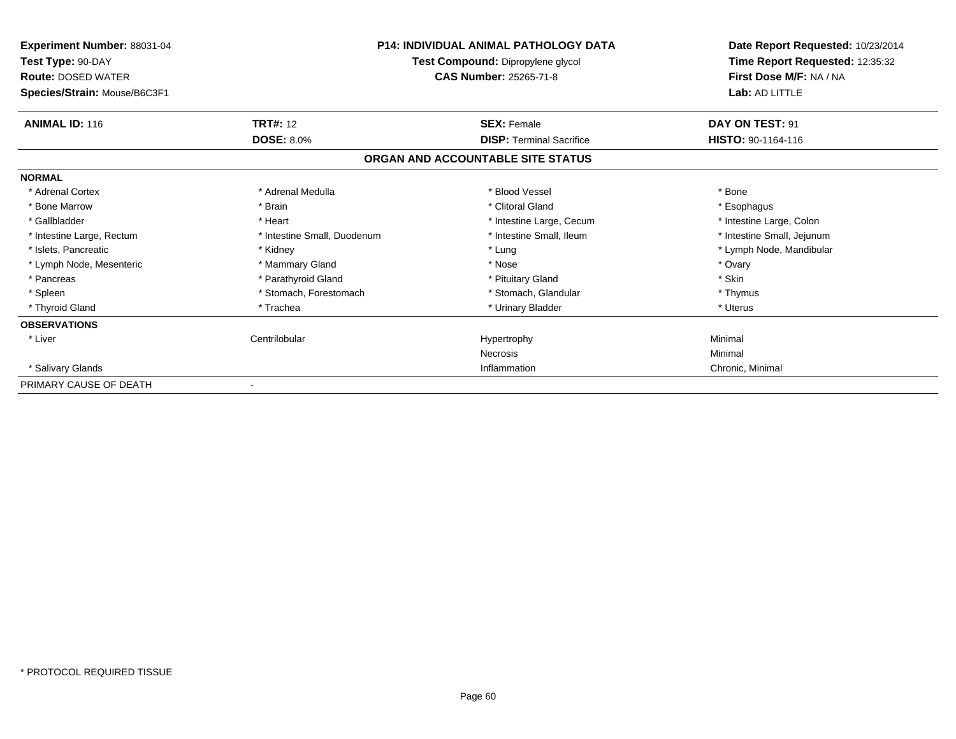| <b>Experiment Number: 88031-04</b><br>Test Type: 90-DAY<br><b>Route: DOSED WATER</b><br>Species/Strain: Mouse/B6C3F1 |                                      | <b>P14: INDIVIDUAL ANIMAL PATHOLOGY DATA</b><br>Test Compound: Dipropylene glycol<br><b>CAS Number: 25265-71-8</b> | Date Report Requested: 10/23/2014<br>Time Report Requested: 12:35:32<br>First Dose M/F: NA / NA<br>Lab: AD LITTLE |
|----------------------------------------------------------------------------------------------------------------------|--------------------------------------|--------------------------------------------------------------------------------------------------------------------|-------------------------------------------------------------------------------------------------------------------|
| <b>ANIMAL ID: 116</b>                                                                                                | <b>TRT#: 12</b><br><b>DOSE: 8.0%</b> | <b>SEX: Female</b>                                                                                                 | DAY ON TEST: 91<br><b>HISTO: 90-1164-116</b>                                                                      |
|                                                                                                                      |                                      | <b>DISP: Terminal Sacrifice</b><br>ORGAN AND ACCOUNTABLE SITE STATUS                                               |                                                                                                                   |
| <b>NORMAL</b>                                                                                                        |                                      |                                                                                                                    |                                                                                                                   |
| * Adrenal Cortex                                                                                                     | * Adrenal Medulla                    | * Blood Vessel                                                                                                     | * Bone                                                                                                            |
| * Bone Marrow                                                                                                        | * Brain                              | * Clitoral Gland                                                                                                   | * Esophagus                                                                                                       |
| * Gallbladder                                                                                                        | * Heart                              | * Intestine Large, Cecum                                                                                           | * Intestine Large, Colon                                                                                          |
| * Intestine Large, Rectum                                                                                            | * Intestine Small, Duodenum          | * Intestine Small, Ileum                                                                                           | * Intestine Small, Jejunum                                                                                        |
| * Islets, Pancreatic                                                                                                 | * Kidney                             | * Lung                                                                                                             | * Lymph Node, Mandibular                                                                                          |
| * Lymph Node, Mesenteric                                                                                             | * Mammary Gland                      | * Nose                                                                                                             | * Ovary                                                                                                           |
| * Pancreas                                                                                                           | * Parathyroid Gland                  | * Pituitary Gland                                                                                                  | * Skin                                                                                                            |
| * Spleen                                                                                                             | * Stomach, Forestomach               | * Stomach, Glandular                                                                                               | * Thymus                                                                                                          |
| * Thyroid Gland                                                                                                      | * Trachea                            | * Urinary Bladder                                                                                                  | * Uterus                                                                                                          |
| <b>OBSERVATIONS</b>                                                                                                  |                                      |                                                                                                                    |                                                                                                                   |
| * Liver                                                                                                              | Centrilobular                        | Hypertrophy                                                                                                        | Minimal                                                                                                           |
|                                                                                                                      |                                      | <b>Necrosis</b>                                                                                                    | Minimal                                                                                                           |
| * Salivary Glands                                                                                                    |                                      | Inflammation                                                                                                       | Chronic, Minimal                                                                                                  |
| PRIMARY CAUSE OF DEATH                                                                                               |                                      |                                                                                                                    |                                                                                                                   |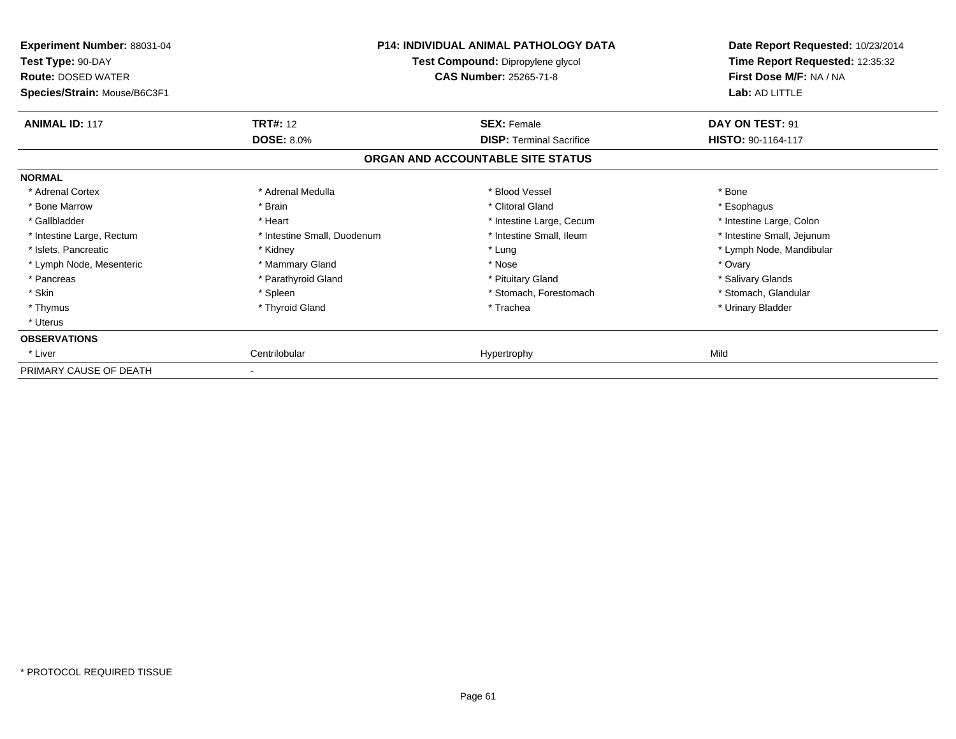| Experiment Number: 88031-04<br>Test Type: 90-DAY<br><b>Route: DOSED WATER</b><br>Species/Strain: Mouse/B6C3F1 |                             | <b>P14: INDIVIDUAL ANIMAL PATHOLOGY DATA</b><br>Test Compound: Dipropylene glycol<br><b>CAS Number: 25265-71-8</b> | Date Report Requested: 10/23/2014<br>Time Report Requested: 12:35:32<br>First Dose M/F: NA / NA<br>Lab: AD LITTLE |
|---------------------------------------------------------------------------------------------------------------|-----------------------------|--------------------------------------------------------------------------------------------------------------------|-------------------------------------------------------------------------------------------------------------------|
| <b>ANIMAL ID: 117</b>                                                                                         | <b>TRT#: 12</b>             | <b>SEX: Female</b>                                                                                                 | DAY ON TEST: 91                                                                                                   |
|                                                                                                               | <b>DOSE: 8.0%</b>           | <b>DISP: Terminal Sacrifice</b>                                                                                    | HISTO: 90-1164-117                                                                                                |
|                                                                                                               |                             | ORGAN AND ACCOUNTABLE SITE STATUS                                                                                  |                                                                                                                   |
| <b>NORMAL</b>                                                                                                 |                             |                                                                                                                    |                                                                                                                   |
| * Adrenal Cortex                                                                                              | * Adrenal Medulla           | * Blood Vessel                                                                                                     | * Bone                                                                                                            |
| * Bone Marrow                                                                                                 | * Brain                     | * Clitoral Gland                                                                                                   | * Esophagus                                                                                                       |
| * Gallbladder                                                                                                 | * Heart                     | * Intestine Large, Cecum                                                                                           | * Intestine Large, Colon                                                                                          |
| * Intestine Large, Rectum                                                                                     | * Intestine Small, Duodenum | * Intestine Small, Ileum                                                                                           | * Intestine Small, Jejunum                                                                                        |
| * Islets, Pancreatic                                                                                          | * Kidney                    | * Lung                                                                                                             | * Lymph Node, Mandibular                                                                                          |
| * Lymph Node, Mesenteric                                                                                      | * Mammary Gland             | * Nose                                                                                                             | * Ovary                                                                                                           |
| * Pancreas                                                                                                    | * Parathyroid Gland         | * Pituitary Gland                                                                                                  | * Salivary Glands                                                                                                 |
| * Skin                                                                                                        | * Spleen                    | * Stomach, Forestomach                                                                                             | * Stomach, Glandular                                                                                              |
| * Thymus                                                                                                      | * Thyroid Gland             | * Trachea                                                                                                          | * Urinary Bladder                                                                                                 |
| * Uterus                                                                                                      |                             |                                                                                                                    |                                                                                                                   |
| <b>OBSERVATIONS</b>                                                                                           |                             |                                                                                                                    |                                                                                                                   |
| * Liver                                                                                                       | Centrilobular               | Hypertrophy                                                                                                        | Mild                                                                                                              |
| PRIMARY CAUSE OF DEATH                                                                                        |                             |                                                                                                                    |                                                                                                                   |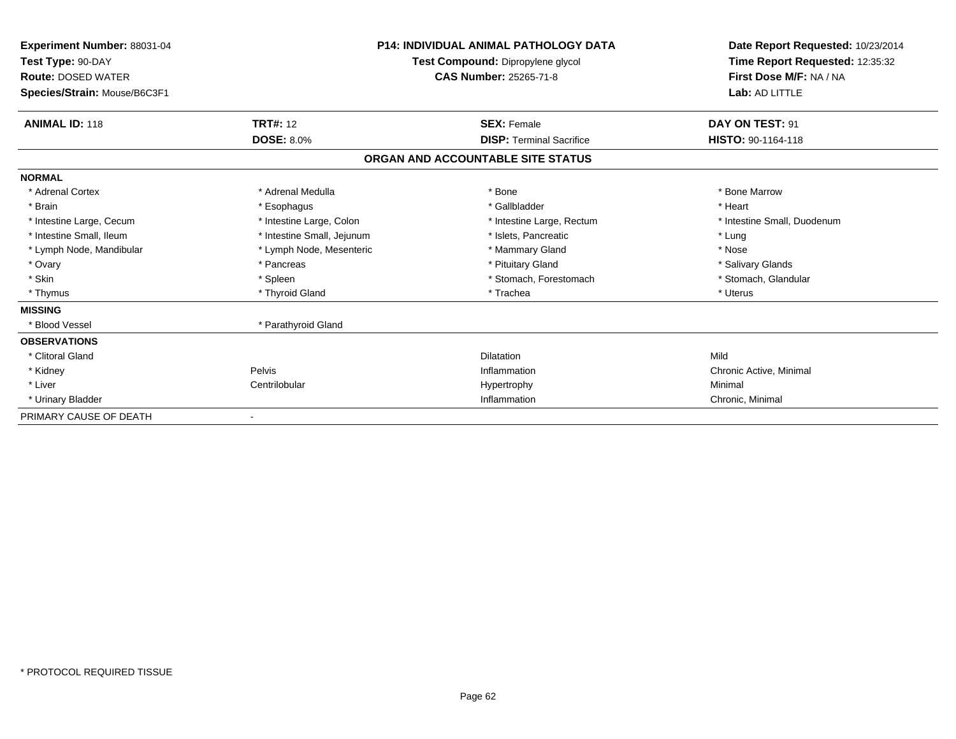| <b>Experiment Number: 88031-04</b><br>Test Type: 90-DAY<br><b>Route: DOSED WATER</b><br>Species/Strain: Mouse/B6C3F1 | <b>P14: INDIVIDUAL ANIMAL PATHOLOGY DATA</b><br>Test Compound: Dipropylene glycol<br><b>CAS Number: 25265-71-8</b> |                                   | Date Report Requested: 10/23/2014<br>Time Report Requested: 12:35:32<br>First Dose M/F: NA / NA<br>Lab: AD LITTLE |
|----------------------------------------------------------------------------------------------------------------------|--------------------------------------------------------------------------------------------------------------------|-----------------------------------|-------------------------------------------------------------------------------------------------------------------|
| <b>ANIMAL ID: 118</b>                                                                                                | <b>TRT#: 12</b>                                                                                                    | <b>SEX: Female</b>                | DAY ON TEST: 91                                                                                                   |
|                                                                                                                      | <b>DOSE: 8.0%</b>                                                                                                  | <b>DISP: Terminal Sacrifice</b>   | HISTO: 90-1164-118                                                                                                |
|                                                                                                                      |                                                                                                                    | ORGAN AND ACCOUNTABLE SITE STATUS |                                                                                                                   |
| <b>NORMAL</b>                                                                                                        |                                                                                                                    |                                   |                                                                                                                   |
| * Adrenal Cortex                                                                                                     | * Adrenal Medulla                                                                                                  | * Bone                            | * Bone Marrow                                                                                                     |
| * Brain                                                                                                              | * Esophagus                                                                                                        | * Gallbladder                     | * Heart                                                                                                           |
| * Intestine Large, Cecum                                                                                             | * Intestine Large, Colon                                                                                           | * Intestine Large, Rectum         | * Intestine Small, Duodenum                                                                                       |
| * Intestine Small, Ileum                                                                                             | * Intestine Small, Jejunum                                                                                         | * Islets, Pancreatic              | * Lung                                                                                                            |
| * Lymph Node, Mandibular                                                                                             | * Lymph Node, Mesenteric                                                                                           | * Mammary Gland                   | * Nose                                                                                                            |
| * Ovary                                                                                                              | * Pancreas                                                                                                         | * Pituitary Gland                 | * Salivary Glands                                                                                                 |
| * Skin                                                                                                               | * Spleen                                                                                                           | * Stomach, Forestomach            | * Stomach, Glandular                                                                                              |
| * Thymus                                                                                                             | * Thyroid Gland                                                                                                    | * Trachea                         | * Uterus                                                                                                          |
| <b>MISSING</b>                                                                                                       |                                                                                                                    |                                   |                                                                                                                   |
| * Blood Vessel                                                                                                       | * Parathyroid Gland                                                                                                |                                   |                                                                                                                   |
| <b>OBSERVATIONS</b>                                                                                                  |                                                                                                                    |                                   |                                                                                                                   |
| * Clitoral Gland                                                                                                     |                                                                                                                    | <b>Dilatation</b>                 | Mild                                                                                                              |
| * Kidney                                                                                                             | Pelvis                                                                                                             | Inflammation                      | Chronic Active, Minimal                                                                                           |
| * Liver                                                                                                              | Centrilobular                                                                                                      | Hypertrophy                       | Minimal                                                                                                           |
| * Urinary Bladder                                                                                                    |                                                                                                                    | Inflammation                      | Chronic, Minimal                                                                                                  |
| PRIMARY CAUSE OF DEATH                                                                                               |                                                                                                                    |                                   |                                                                                                                   |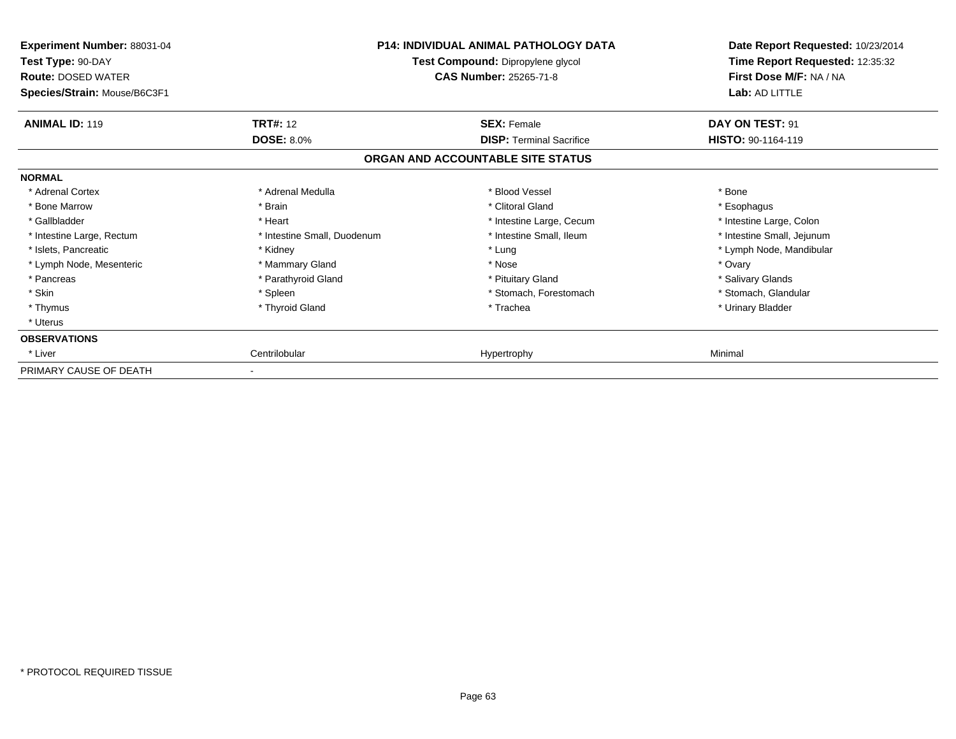| Experiment Number: 88031-04<br>Test Type: 90-DAY<br><b>Route: DOSED WATER</b><br>Species/Strain: Mouse/B6C3F1 |                             | <b>P14: INDIVIDUAL ANIMAL PATHOLOGY DATA</b><br>Test Compound: Dipropylene glycol<br><b>CAS Number: 25265-71-8</b> | Date Report Requested: 10/23/2014<br>Time Report Requested: 12:35:32<br>First Dose M/F: NA / NA<br>Lab: AD LITTLE |
|---------------------------------------------------------------------------------------------------------------|-----------------------------|--------------------------------------------------------------------------------------------------------------------|-------------------------------------------------------------------------------------------------------------------|
| <b>ANIMAL ID: 119</b>                                                                                         | <b>TRT#: 12</b>             | <b>SEX: Female</b>                                                                                                 | DAY ON TEST: 91                                                                                                   |
|                                                                                                               | <b>DOSE: 8.0%</b>           | <b>DISP: Terminal Sacrifice</b>                                                                                    | <b>HISTO: 90-1164-119</b>                                                                                         |
|                                                                                                               |                             | ORGAN AND ACCOUNTABLE SITE STATUS                                                                                  |                                                                                                                   |
| <b>NORMAL</b>                                                                                                 |                             |                                                                                                                    |                                                                                                                   |
| * Adrenal Cortex                                                                                              | * Adrenal Medulla           | * Blood Vessel                                                                                                     | * Bone                                                                                                            |
| * Bone Marrow                                                                                                 | * Brain                     | * Clitoral Gland                                                                                                   | * Esophagus                                                                                                       |
| * Gallbladder                                                                                                 | * Heart                     | * Intestine Large, Cecum                                                                                           | * Intestine Large, Colon                                                                                          |
| * Intestine Large, Rectum                                                                                     | * Intestine Small, Duodenum | * Intestine Small, Ileum                                                                                           | * Intestine Small, Jejunum                                                                                        |
| * Islets, Pancreatic                                                                                          | * Kidney                    | * Lung                                                                                                             | * Lymph Node, Mandibular                                                                                          |
| * Lymph Node, Mesenteric                                                                                      | * Mammary Gland             | * Nose                                                                                                             | * Ovary                                                                                                           |
| * Pancreas                                                                                                    | * Parathyroid Gland         | * Pituitary Gland                                                                                                  | * Salivary Glands                                                                                                 |
| * Skin                                                                                                        | * Spleen                    | * Stomach, Forestomach                                                                                             | * Stomach, Glandular                                                                                              |
| * Thymus                                                                                                      | * Thyroid Gland             | * Trachea                                                                                                          | * Urinary Bladder                                                                                                 |
| * Uterus                                                                                                      |                             |                                                                                                                    |                                                                                                                   |
| <b>OBSERVATIONS</b>                                                                                           |                             |                                                                                                                    |                                                                                                                   |
| * Liver                                                                                                       | Centrilobular               | Hypertrophy                                                                                                        | Minimal                                                                                                           |
| PRIMARY CAUSE OF DEATH                                                                                        |                             |                                                                                                                    |                                                                                                                   |